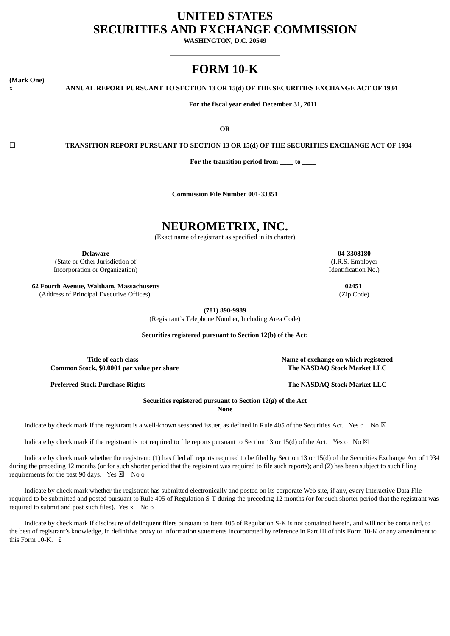# **UNITED STATES SECURITIES AND EXCHANGE COMMISSION**

**WASHINGTON, D.C. 20549**

# **FORM 10-K**

**(Mark One)**

x **ANNUAL REPORT PURSUANT TO SECTION 13 OR 15(d) OF THE SECURITIES EXCHANGE ACT OF 1934**

**For the fiscal year ended December 31, 2011**

**OR**

☐ **TRANSITION REPORT PURSUANT TO SECTION 13 OR 15(d) OF THE SECURITIES EXCHANGE ACT OF 1934**

**For the transition period from \_\_\_\_ to \_\_\_\_**

**Commission File Number 001-33351**

## **NEUROMETRIX, INC.**

(Exact name of registrant as specified in its charter)

**Delaware 04-3308180** (State or Other Jurisdiction of (I.R.S. Employer Incorporation or Organization) and the set of the set of the set of the set of the set of the set of the set of the set of the set of the set of the set of the set of the set of the set of the set of the set of the set of

**62 Fourth Avenue, Waltham, Massachusetts 02451**

(Address of Principal Executive Offices) (Zip Code)

**(781) 890-9989**

(Registrant's Telephone Number, Including Area Code)

**Securities registered pursuant to Section 12(b) of the Act:**

**Preferred Stock Purchase Rights The NASDAQ Stock Market LLC**

**Securities registered pursuant to Section 12(g) of the Act None**

Indicate by check mark if the registrant is a well-known seasoned issuer, as defined in Rule 405 of the Securities Act. Yes o No  $\boxtimes$ 

Indicate by check mark if the registrant is not required to file reports pursuant to Section 13 or 15(d) of the Act. Yes o No  $\boxtimes$ 

Indicate by check mark whether the registrant: (1) has filed all reports required to be filed by Section 13 or 15(d) of the Securities Exchange Act of 1934 during the preceding 12 months (or for such shorter period that the registrant was required to file such reports); and (2) has been subject to such filing requirements for the past 90 days. Yes  $\boxtimes$  No o

Indicate by check mark whether the registrant has submitted electronically and posted on its corporate Web site, if any, every Interactive Data File required to be submitted and posted pursuant to Rule 405 of Regulation S-T during the preceding 12 months (or for such shorter period that the registrant was required to submit and post such files). Yes x No o

Indicate by check mark if disclosure of delinquent filers pursuant to Item 405 of Regulation S-K is not contained herein, and will not be contained, to the best of registrant's knowledge, in definitive proxy or information statements incorporated by reference in Part III of this Form 10-K or any amendment to this Form 10-K. £

**Common Stock, \$0.0001 par value per share The NASDAQ Stock Market LLC**

**Title of each class Name of exchange on which registered**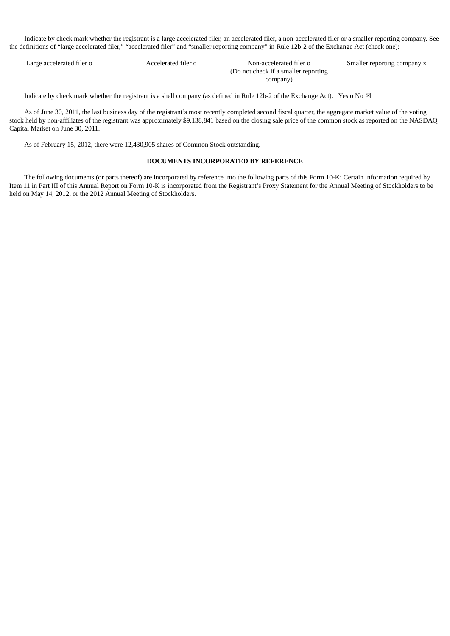Indicate by check mark whether the registrant is a large accelerated filer, an accelerated filer, a non-accelerated filer or a smaller reporting company. See the definitions of "large accelerated filer," "accelerated filer" and "smaller reporting company" in Rule 12b-2 of the Exchange Act (check one):

Large accelerated filer o  $\alpha$  Accelerated filer o  $\alpha$  Non-accelerated filer o Smaller reporting company x (Do not check if a smaller reporting company)

Indicate by check mark whether the registrant is a shell company (as defined in Rule 12b-2 of the Exchange Act). Yes o No  $\boxtimes$ 

As of June 30, 2011, the last business day of the registrant's most recently completed second fiscal quarter, the aggregate market value of the voting stock held by non-affiliates of the registrant was approximately \$9,138,841 based on the closing sale price of the common stock as reported on the NASDAQ Capital Market on June 30, 2011.

As of February 15, 2012, there were 12,430,905 shares of Common Stock outstanding.

## **DOCUMENTS INCORPORATED BY REFERENCE**

The following documents (or parts thereof) are incorporated by reference into the following parts of this Form 10-K: Certain information required by Item 11 in Part III of this Annual Report on Form 10-K is incorporated from the Registrant's Proxy Statement for the Annual Meeting of Stockholders to be held on May 14, 2012, or the 2012 Annual Meeting of Stockholders.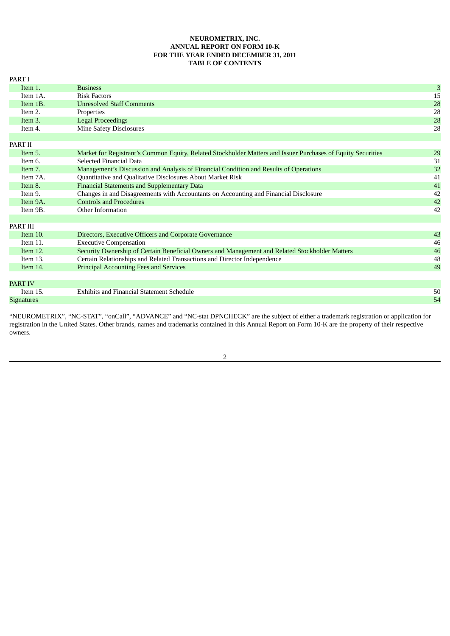## **NEUROMETRIX, INC. ANNUAL REPORT ON FORM 10-K FOR THE YEAR ENDED DECEMBER 31, 2011 TABLE OF CONTENTS**

| PART I            |                                                                                                              |    |
|-------------------|--------------------------------------------------------------------------------------------------------------|----|
| Item 1.           | <b>Business</b>                                                                                              | 3  |
| Item 1A.          | <b>Risk Factors</b>                                                                                          | 15 |
| Item 1B.          | <b>Unresolved Staff Comments</b>                                                                             | 28 |
| Item 2.           | Properties                                                                                                   | 28 |
| Item 3.           | <b>Legal Proceedings</b>                                                                                     | 28 |
| Item 4.           | <b>Mine Safety Disclosures</b>                                                                               | 28 |
| PART II           |                                                                                                              |    |
| Item 5.           | Market for Registrant's Common Equity, Related Stockholder Matters and Issuer Purchases of Equity Securities | 29 |
| Item 6.           | Selected Financial Data                                                                                      | 31 |
| Item 7.           | Management's Discussion and Analysis of Financial Condition and Results of Operations                        | 32 |
| Item 7A.          | Quantitative and Qualitative Disclosures About Market Risk                                                   | 41 |
| Item 8.           | <b>Financial Statements and Supplementary Data</b>                                                           | 41 |
| Item 9.           | Changes in and Disagreements with Accountants on Accounting and Financial Disclosure                         | 42 |
| Item 9A.          | <b>Controls and Procedures</b>                                                                               | 42 |
| Item 9B.          | Other Information                                                                                            | 42 |
| <b>PART III</b>   |                                                                                                              |    |
| Item 10.          | Directors, Executive Officers and Corporate Governance                                                       | 43 |
| Item $11$ .       | <b>Executive Compensation</b>                                                                                | 46 |
| Item 12.          | Security Ownership of Certain Beneficial Owners and Management and Related Stockholder Matters               | 46 |
| Item 13.          | Certain Relationships and Related Transactions and Director Independence                                     | 48 |
| Item 14.          | <b>Principal Accounting Fees and Services</b>                                                                | 49 |
| <b>PART IV</b>    |                                                                                                              |    |
| Item 15.          | <b>Exhibits and Financial Statement Schedule</b>                                                             | 50 |
| <b>Signatures</b> |                                                                                                              | 54 |
|                   |                                                                                                              |    |

"NEUROMETRIX", "NC-STAT", "onCall", "ADVANCE" and "NC-stat DPNCHECK" are the subject of either a trademark registration or application for registration in the United States. Other brands, names and trademarks contained in this Annual Report on Form 10-K are the property of their respective owners.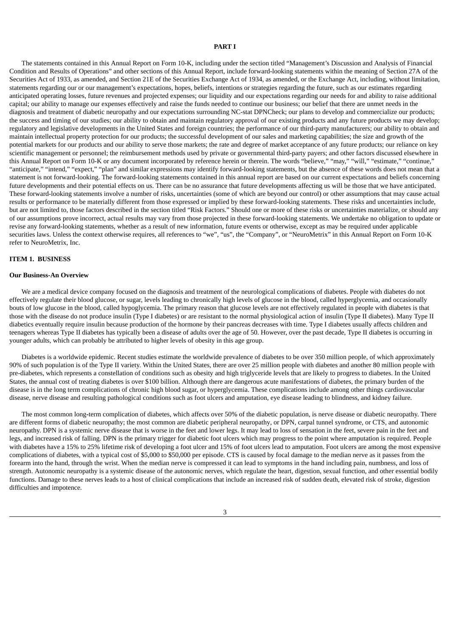## **PART I**

The statements contained in this Annual Report on Form 10-K, including under the section titled "Management's Discussion and Analysis of Financial Condition and Results of Operations" and other sections of this Annual Report, include forward-looking statements within the meaning of Section 27A of the Securities Act of 1933, as amended, and Section 21E of the Securities Exchange Act of 1934, as amended, or the Exchange Act, including, without limitation, statements regarding our or our management's expectations, hopes, beliefs, intentions or strategies regarding the future, such as our estimates regarding anticipated operating losses, future revenues and projected expenses; our liquidity and our expectations regarding our needs for and ability to raise additional capital; our ability to manage our expenses effectively and raise the funds needed to continue our business; our belief that there are unmet needs in the diagnosis and treatment of diabetic neuropathy and our expectations surrounding NC-stat DPNCheck; our plans to develop and commercialize our products; the success and timing of our studies; our ability to obtain and maintain regulatory approval of our existing products and any future products we may develop; regulatory and legislative developments in the United States and foreign countries; the performance of our third-party manufacturers; our ability to obtain and maintain intellectual property protection for our products; the successful development of our sales and marketing capabilities; the size and growth of the potential markets for our products and our ability to serve those markets; the rate and degree of market acceptance of any future products; our reliance on key scientific management or personnel; the reimbursement methods used by private or governmental third-party payers; and other factors discussed elsewhere in this Annual Report on Form 10-K or any document incorporated by reference herein or therein. The words "believe," "may," "will," "estimate," "continue," "anticipate," "intend," "expect," "plan" and similar expressions may identify forward-looking statements, but the absence of these words does not mean that a statement is not forward-looking. The forward-looking statements contained in this annual report are based on our current expectations and beliefs concerning future developments and their potential effects on us. There can be no assurance that future developments affecting us will be those that we have anticipated. These forward-looking statements involve a number of risks, uncertainties (some of which are beyond our control) or other assumptions that may cause actual results or performance to be materially different from those expressed or implied by these forward-looking statements. These risks and uncertainties include, but are not limited to, those factors described in the section titled "Risk Factors." Should one or more of these risks or uncertainties materialize, or should any of our assumptions prove incorrect, actual results may vary from those projected in these forward-looking statements. We undertake no obligation to update or revise any forward-looking statements, whether as a result of new information, future events or otherwise, except as may be required under applicable securities laws. Unless the context otherwise requires, all references to "we", "us", the "Company", or "NeuroMetrix" in this Annual Report on Form 10-K refer to NeuroMetrix, Inc.

#### **ITEM 1. BUSINESS**

#### **Our Business-An Overview**

We are a medical device company focused on the diagnosis and treatment of the neurological complications of diabetes. People with diabetes do not effectively regulate their blood glucose, or sugar, levels leading to chronically high levels of glucose in the blood, called hyperglycemia, and occasionally bouts of low glucose in the blood, called hypoglycemia. The primary reason that glucose levels are not effectively regulated in people with diabetes is that those with the disease do not produce insulin (Type I diabetes) or are resistant to the normal physiological action of insulin (Type II diabetes). Many Type II diabetics eventually require insulin because production of the hormone by their pancreas decreases with time. Type I diabetes usually affects children and teenagers whereas Type II diabetes has typically been a disease of adults over the age of 50. However, over the past decade, Type II diabetes is occurring in younger adults, which can probably be attributed to higher levels of obesity in this age group.

Diabetes is a worldwide epidemic. Recent studies estimate the worldwide prevalence of diabetes to be over 350 million people, of which approximately 90% of such population is of the Type II variety. Within the United States, there are over 25 million people with diabetes and another 80 million people with pre-diabetes, which represents a constellation of conditions such as obesity and high triglyceride levels that are likely to progress to diabetes. In the United States, the annual cost of treating diabetes is over \$100 billion. Although there are dangerous acute manifestations of diabetes, the primary burden of the disease is in the long term complications of chronic high blood sugar, or hyperglycemia. These complications include among other things cardiovascular disease, nerve disease and resulting pathological conditions such as foot ulcers and amputation, eye disease leading to blindness, and kidney failure.

The most common long**-**term complication of diabetes, which affects over 50% of the diabetic population, is nerve disease or diabetic neuropathy. There are different forms of diabetic neuropathy; the most common are diabetic peripheral neuropathy, or DPN, carpal tunnel syndrome, or CTS, and autonomic neuropathy. DPN is a systemic nerve disease that is worse in the feet and lower legs. It may lead to loss of sensation in the feet, severe pain in the feet and legs, and increased risk of falling. DPN is the primary trigger for diabetic foot ulcers which may progress to the point where amputation is required. People with diabetes have a 15% to 25% lifetime risk of developing a foot ulcer and 15% of foot ulcers lead to amputation. Foot ulcers are among the most expensive complications of diabetes, with a typical cost of \$5,000 to \$50,000 per episode. CTS is caused by focal damage to the median nerve as it passes from the forearm into the hand, through the wrist. When the median nerve is compressed it can lead to symptoms in the hand including pain, numbness, and loss of strength. Autonomic neuropathy is a systemic disease of the autonomic nerves, which regulate the heart, digestion, sexual function, and other essential bodily functions. Damage to these nerves leads to a host of clinical complications that include an increased risk of sudden death, elevated risk of stroke, digestion difficulties and impotence.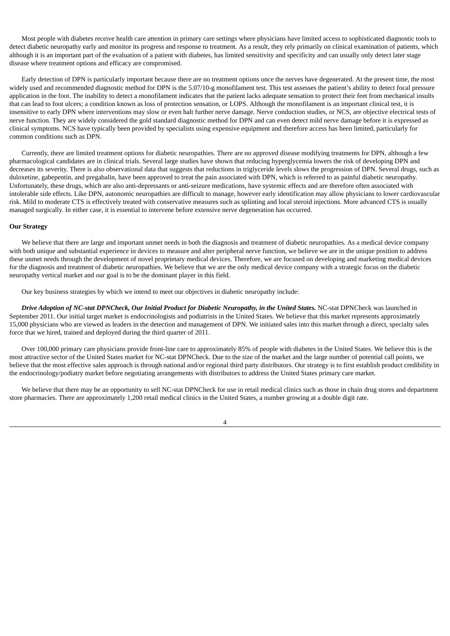Most people with diabetes receive health care attention in primary care settings where physicians have limited access to sophisticated diagnostic tools to detect diabetic neuropathy early and monitor its progress and response to treatment. As a result, they rely primarily on clinical examination of patients, which although it is an important part of the evaluation of a patient with diabetes, has limited sensitivity and specificity and can usually only detect later stage disease where treatment options and efficacy are compromised.

Early detection of DPN is particularly important because there are no treatment options once the nerves have degenerated. At the present time, the most widely used and recommended diagnostic method for DPN is the 5.07/10-g monofilament test. This test assesses the patient's ability to detect focal pressure application in the foot. The inability to detect a monofilament indicates that the patient lacks adequate sensation to protect their feet from mechanical insults that can lead to foot ulcers; a condition known as loss of protection sensation, or LOPS. Although the monofilament is an important clinical test, it is insensitive to early DPN where interventions may slow or even halt further nerve damage. Nerve conduction studies, or NCS, are objective electrical tests of nerve function. They are widely considered the gold standard diagnostic method for DPN and can even detect mild nerve damage before it is expressed as clinical symptoms. NCS have typically been provided by specialists using expensive equipment and therefore access has been limited, particularly for common conditions such as DPN.

Currently, there are limited treatment options for diabetic neuropathies. There are no approved disease modifying treatments for DPN, although a few pharmacological candidates are in clinical trials. Several large studies have shown that reducing hyperglycemia lowers the risk of developing DPN and decreases its severity. There is also observational data that suggests that reductions in triglyceride levels slows the progression of DPN. Several drugs, such as duloxetine, gabepentin, and pregabalin, have been approved to treat the pain associated with DPN, which is referred to as painful diabetic neuropathy. Unfortunately, these drugs, which are also anti-depressants or anti-seizure medications, have systemic effects and are therefore often associated with intolerable side effects. Like DPN, autonomic neuropathies are difficult to manage, however early identification may allow physicians to lower cardiovascular risk. Mild to moderate CTS is effectively treated with conservative measures such as splinting and local steroid injections. More advanced CTS is usually managed surgically. In either case, it is essential to intervene before extensive nerve degeneration has occurred.

## **Our Strategy**

We believe that there are large and important unmet needs in both the diagnosis and treatment of diabetic neuropathies. As a medical device company with both unique and substantial experience in devices to measure and alter peripheral nerve function, we believe we are in the unique position to address these unmet needs through the development of novel proprietary medical devices. Therefore, we are focused on developing and marketing medical devices for the diagnosis and treatment of diabetic neuropathies. We believe that we are the only medical device company with a strategic focus on the diabetic neuropathy vertical market and our goal is to be the dominant player in this field.

Our key business strategies by which we intend to meet our objectives in diabetic neuropathy include:

Drive Adoption of NC-stat DPNCheck, Our Initial Product for Diabetic Neuropathy, in the United States. NC-stat DPNCheck was launched in September 2011. Our initial target market is endocrinologists and podiatrists in the United States. We believe that this market represents approximately 15,000 physicians who are viewed as leaders in the detection and management of DPN. We initiated sales into this market through a direct, specialty sales force that we hired, trained and deployed during the third quarter of 2011.

Over 100,000 primary care physicians provide front-line care to approximately 85% of people with diabetes in the United States. We believe this is the most attractive sector of the United States market for NC-stat DPNCheck. Due to the size of the market and the large number of potential call points, we believe that the most effective sales approach is through national and/or regional third party distributors. Our strategy is to first establish product credibility in the endocrinology/podiatry market before negotiating arrangements with distributors to address the United States primary care market.

We believe that there may be an opportunity to sell NC-stat DPNCheck for use in retail medical clinics such as those in chain drug stores and department store pharmacies. There are approximately 1,200 retail medical clinics in the United States, a number growing at a double digit rate.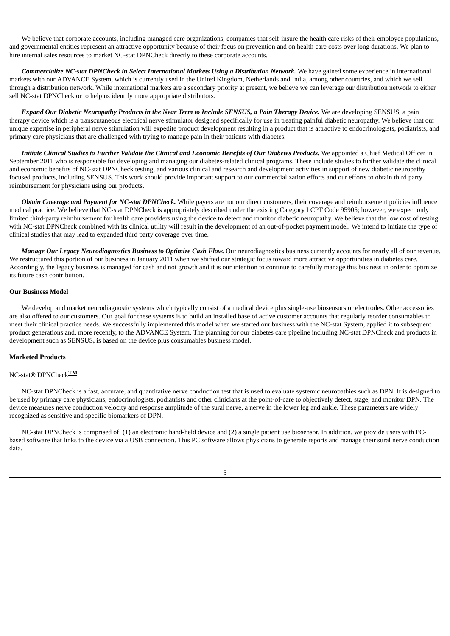We believe that corporate accounts, including managed care organizations, companies that self-insure the health care risks of their employee populations, and governmental entities represent an attractive opportunity because of their focus on prevention and on health care costs over long durations. We plan to hire internal sales resources to market NC-stat DPNCheck directly to these corporate accounts.

*Commercialize NC-stat DPNCheck in Select International Markets Using a Distribution Network.* We have gained some experience in international markets with our ADVANCE System, which is currently used in the United Kingdom, Netherlands and India, among other countries, and which we sell through a distribution network. While international markets are a secondary priority at present, we believe we can leverage our distribution network to either sell NC-stat DPNCheck or to help us identify more appropriate distributors.

Expand Our Diabetic Neuropathy Products in the Near Term to Include SENSUS, a Pain Therapy Device. We are developing SENSUS, a pain therapy device which is a transcutaneous electrical nerve stimulator designed specifically for use in treating painful diabetic neuropathy. We believe that our unique expertise in peripheral nerve stimulation will expedite product development resulting in a product that is attractive to endocrinologists, podiatrists, and primary care physicians that are challenged with trying to manage pain in their patients with diabetes.

Initiate Clinical Studies to Further Validate the Clinical and Economic Benefits of Our Diabetes Products. We appointed a Chief Medical Officer in September 2011 who is responsible for developing and managing our diabetes-related clinical programs. These include studies to further validate the clinical and economic benefits of NC-stat DPNCheck testing, and various clinical and research and development activities in support of new diabetic neuropathy focused products, including SENSUS. This work should provide important support to our commercialization efforts and our efforts to obtain third party reimbursement for physicians using our products.

*Obtain Coverage and Payment for NC-stat DPNCheck.* While payers are not our direct customers, their coverage and reimbursement policies influence medical practice. We believe that NC-stat DPNCheck is appropriately described under the existing Category I CPT Code 95905; however, we expect only limited third-party reimbursement for health care providers using the device to detect and monitor diabetic neuropathy. We believe that the low cost of testing with NC-stat DPNCheck combined with its clinical utility will result in the development of an out-of-pocket payment model. We intend to initiate the type of clinical studies that may lead to expanded third party coverage over time.

*Manage Our Legacy Neurodiagnostics Business to Optimize Cash Flow.* Our neurodiagnostics business currently accounts for nearly all of our revenue. We restructured this portion of our business in January 2011 when we shifted our strategic focus toward more attractive opportunities in diabetes care. Accordingly, the legacy business is managed for cash and not growth and it is our intention to continue to carefully manage this business in order to optimize its future cash contribution.

#### **Our Business Model**

We develop and market neurodiagnostic systems which typically consist of a medical device plus single-use biosensors or electrodes. Other accessories are also offered to our customers. Our goal for these systems is to build an installed base of active customer accounts that regularly reorder consumables to meet their clinical practice needs. We successfully implemented this model when we started our business with the NC-stat System, applied it to subsequent product generations and, more recently, to the ADVANCE System. The planning for our diabetes care pipeline including NC-stat DPNCheck and products in development such as SENSUS**,** is based on the device plus consumables business model.

#### **Marketed Products**

## NC-stat**®** DPNCheck**TM**

NC-stat DPNCheck is a fast, accurate, and quantitative nerve conduction test that is used to evaluate systemic neuropathies such as DPN. It is designed to be used by primary care physicians, endocrinologists, podiatrists and other clinicians at the point-of-care to objectively detect, stage, and monitor DPN. The device measures nerve conduction velocity and response amplitude of the sural nerve, a nerve in the lower leg and ankle. These parameters are widely recognized as sensitive and specific biomarkers of DPN.

NC-stat DPNCheck is comprised of: (1) an electronic hand-held device and (2) a single patient use biosensor. In addition, we provide users with PCbased software that links to the device via a USB connection. This PC software allows physicians to generate reports and manage their sural nerve conduction data.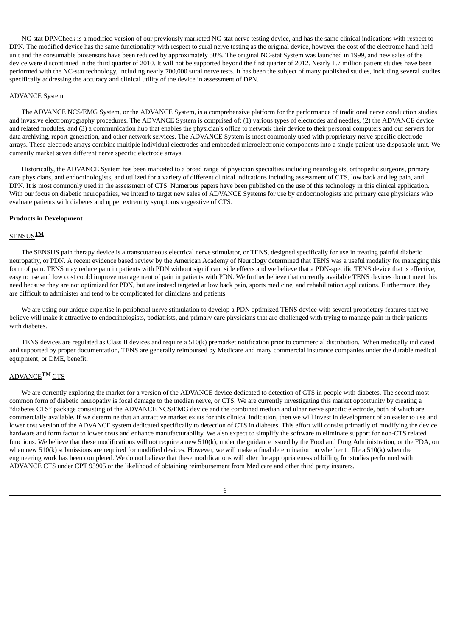NC-stat DPNCheck is a modified version of our previously marketed NC-stat nerve testing device, and has the same clinical indications with respect to DPN. The modified device has the same functionality with respect to sural nerve testing as the original device, however the cost of the electronic hand-held unit and the consumable biosensors have been reduced by approximately 50%. The original NC-stat System was launched in 1999, and new sales of the device were discontinued in the third quarter of 2010. It will not be supported beyond the first quarter of 2012. Nearly 1.7 million patient studies have been performed with the NC-stat technology, including nearly 700,000 sural nerve tests. It has been the subject of many published studies, including several studies specifically addressing the accuracy and clinical utility of the device in assessment of DPN.

#### ADVANCE System

The ADVANCE NCS/EMG System, or the ADVANCE System, is a comprehensive platform for the performance of traditional nerve conduction studies and invasive electromyography procedures. The ADVANCE System is comprised of: (1) various types of electrodes and needles, (2) the ADVANCE device and related modules, and (3) a communication hub that enables the physician's office to network their device to their personal computers and our servers for data archiving, report generation, and other network services. The ADVANCE System is most commonly used with proprietary nerve specific electrode arrays. These electrode arrays combine multiple individual electrodes and embedded microelectronic components into a single patient-use disposable unit. We currently market seven different nerve specific electrode arrays.

Historically, the ADVANCE System has been marketed to a broad range of physician specialties including neurologists, orthopedic surgeons, primary care physicians, and endocrinologists, and utilized for a variety of different clinical indications including assessment of CTS, low back and leg pain, and DPN. It is most commonly used in the assessment of CTS. Numerous papers have been published on the use of this technology in this clinical application. With our focus on diabetic neuropathies, we intend to target new sales of ADVANCE Systems for use by endocrinologists and primary care physicians who evaluate patients with diabetes and upper extremity symptoms suggestive of CTS.

#### **Products in Development**

## SENSUS **TM**

The SENSUS pain therapy device is a transcutaneous electrical nerve stimulator, or TENS, designed specifically for use in treating painful diabetic neuropathy, or PDN. A recent evidence based review by the American Academy of Neurology determined that TENS was a useful modality for managing this form of pain. TENS may reduce pain in patients with PDN without significant side effects and we believe that a PDN-specific TENS device that is effective, easy to use and low cost could improve management of pain in patients with PDN. We further believe that currently available TENS devices do not meet this need because they are not optimized for PDN, but are instead targeted at low back pain, sports medicine, and rehabilitation applications. Furthermore, they are difficult to administer and tend to be complicated for clinicians and patients.

We are using our unique expertise in peripheral nerve stimulation to develop a PDN optimized TENS device with several proprietary features that we believe will make it attractive to endocrinologists, podiatrists, and primary care physicians that are challenged with trying to manage pain in their patients with diabetes.

TENS devices are regulated as Class II devices and require a 510(k) premarket notification prior to commercial distribution. When medically indicated and supported by proper documentation, TENS are generally reimbursed by Medicare and many commercial insurance companies under the durable medical equipment, or DME, benefit.

## ADVANCE **TM** CTS

We are currently exploring the market for a version of the ADVANCE device dedicated to detection of CTS in people with diabetes. The second most common form of diabetic neuropathy is focal damage to the median nerve, or CTS. We are currently investigating this market opportunity by creating a "diabetes CTS" package consisting of the ADVANCE NCS/EMG device and the combined median and ulnar nerve specific electrode, both of which are commercially available. If we determine that an attractive market exists for this clinical indication, then we will invest in development of an easier to use and lower cost version of the ADVANCE system dedicated specifically to detection of CTS in diabetes. This effort will consist primarily of modifying the device hardware and form factor to lower costs and enhance manufacturability. We also expect to simplify the software to eliminate support for non-CTS related functions. We believe that these modifications will not require a new 510(k), under the guidance issued by the Food and Drug Administration, or the FDA, on when new 510(k) submissions are required for modified devices. However, we will make a final determination on whether to file a 510(k) when the engineering work has been completed. We do not believe that these modifications will alter the appropriateness of billing for studies performed with ADVANCE CTS under CPT 95905 or the likelihood of obtaining reimbursement from Medicare and other third party insurers.

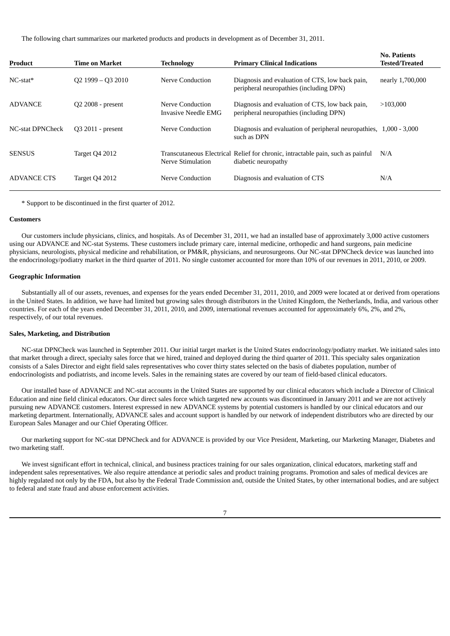The following chart summarizes our marketed products and products in development as of December 31, 2011.

| <b>Product</b>     | <b>Time on Market</b> | <b>Technology</b>                              | <b>Primary Clinical Indications</b>                                                                    | <b>No. Patients</b><br><b>Tested/Treated</b> |
|--------------------|-----------------------|------------------------------------------------|--------------------------------------------------------------------------------------------------------|----------------------------------------------|
| $NC$ -stat*        | $Q2$ 1999 - $Q3$ 2010 | Nerve Conduction                               | Diagnosis and evaluation of CTS, low back pain,<br>peripheral neuropathies (including DPN)             | nearly 1,700,000                             |
| <b>ADVANCE</b>     | Q2 2008 - present     | <b>Nerve Conduction</b><br>Invasive Needle EMG | Diagnosis and evaluation of CTS, low back pain,<br>peripheral neuropathies (including DPN)             | >103,000                                     |
| NC-stat DPNCheck   | Q3 2011 - present     | Nerve Conduction                               | Diagnosis and evaluation of peripheral neuropathies,<br>such as DPN                                    | $1.000 - 3.000$                              |
| <b>SENSUS</b>      | Target Q4 2012        | <b>Nerve Stimulation</b>                       | Transcutaneous Electrical Relief for chronic, intractable pain, such as painful<br>diabetic neuropathy | N/A                                          |
| <b>ADVANCE CTS</b> | Target Q4 2012        | <b>Nerve Conduction</b>                        | Diagnosis and evaluation of CTS                                                                        | N/A                                          |

\* Support to be discontinued in the first quarter of 2012.

#### **Customers**

Our customers include physicians, clinics, and hospitals. As of December 31, 2011, we had an installed base of approximately 3,000 active customers using our ADVANCE and NC-stat Systems. These customers include primary care, internal medicine, orthopedic and hand surgeons, pain medicine physicians, neurologists, physical medicine and rehabilitation, or PM&R, physicians, and neurosurgeons. Our NC-stat DPNCheck device was launched into the endocrinology/podiatry market in the third quarter of 2011. No single customer accounted for more than 10% of our revenues in 2011, 2010, or 2009.

#### **Geographic Information**

Substantially all of our assets, revenues, and expenses for the years ended December 31, 2011, 2010, and 2009 were located at or derived from operations in the United States. In addition, we have had limited but growing sales through distributors in the United Kingdom, the Netherlands, India, and various other countries. For each of the years ended December 31, 2011, 2010, and 2009, international revenues accounted for approximately 6%, 2%, and 2%, respectively, of our total revenues.

#### **Sales, Marketing, and Distribution**

NC-stat DPNCheck was launched in September 2011. Our initial target market is the United States endocrinology/podiatry market. We initiated sales into that market through a direct, specialty sales force that we hired, trained and deployed during the third quarter of 2011. This specialty sales organization consists of a Sales Director and eight field sales representatives who cover thirty states selected on the basis of diabetes population, number of endocrinologists and podiatrists, and income levels. Sales in the remaining states are covered by our team of field-based clinical educators.

Our installed base of ADVANCE and NC-stat accounts in the United States are supported by our clinical educators which include a Director of Clinical Education and nine field clinical educators. Our direct sales force which targeted new accounts was discontinued in January 2011 and we are not actively pursuing new ADVANCE customers. Interest expressed in new ADVANCE systems by potential customers is handled by our clinical educators and our marketing department. Internationally, ADVANCE sales and account support is handled by our network of independent distributors who are directed by our European Sales Manager and our Chief Operating Officer.

Our marketing support for NC-stat DPNCheck and for ADVANCE is provided by our Vice President, Marketing, our Marketing Manager, Diabetes and two marketing staff.

We invest significant effort in technical, clinical, and business practices training for our sales organization, clinical educators, marketing staff and independent sales representatives. We also require attendance at periodic sales and product training programs. Promotion and sales of medical devices are highly regulated not only by the FDA, but also by the Federal Trade Commission and, outside the United States, by other international bodies, and are subject to federal and state fraud and abuse enforcement activities.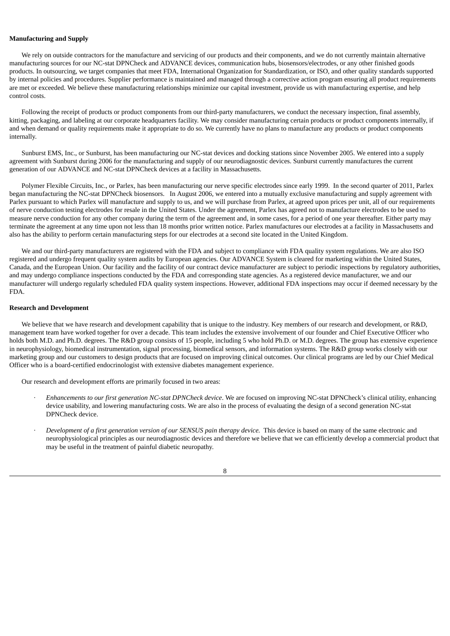## **Manufacturing and Supply**

We rely on outside contractors for the manufacture and servicing of our products and their components, and we do not currently maintain alternative manufacturing sources for our NC-stat DPNCheck and ADVANCE devices, communication hubs, biosensors/electrodes, or any other finished goods products. In outsourcing, we target companies that meet FDA, International Organization for Standardization, or ISO, and other quality standards supported by internal policies and procedures. Supplier performance is maintained and managed through a corrective action program ensuring all product requirements are met or exceeded. We believe these manufacturing relationships minimize our capital investment, provide us with manufacturing expertise, and help control costs.

Following the receipt of products or product components from our third-party manufacturers, we conduct the necessary inspection, final assembly, kitting, packaging, and labeling at our corporate headquarters facility. We may consider manufacturing certain products or product components internally, if and when demand or quality requirements make it appropriate to do so. We currently have no plans to manufacture any products or product components internally.

Sunburst EMS, Inc., or Sunburst, has been manufacturing our NC-stat devices and docking stations since November 2005. We entered into a supply agreement with Sunburst during 2006 for the manufacturing and supply of our neurodiagnostic devices. Sunburst currently manufactures the current generation of our ADVANCE and NC-stat DPNCheck devices at a facility in Massachusetts.

Polymer Flexible Circuits, Inc., or Parlex, has been manufacturing our nerve specific electrodes since early 1999. In the second quarter of 2011, Parlex began manufacturing the NC-stat DPNCheck biosensors. In August 2006, we entered into a mutually exclusive manufacturing and supply agreement with Parlex pursuant to which Parlex will manufacture and supply to us, and we will purchase from Parlex, at agreed upon prices per unit, all of our requirements of nerve conduction testing electrodes for resale in the United States. Under the agreement, Parlex has agreed not to manufacture electrodes to be used to measure nerve conduction for any other company during the term of the agreement and, in some cases, for a period of one year thereafter. Either party may terminate the agreement at any time upon not less than 18 months prior written notice. Parlex manufactures our electrodes at a facility in Massachusetts and also has the ability to perform certain manufacturing steps for our electrodes at a second site located in the United Kingdom.

We and our third-party manufacturers are registered with the FDA and subject to compliance with FDA quality system regulations. We are also ISO registered and undergo frequent quality system audits by European agencies. Our ADVANCE System is cleared for marketing within the United States, Canada, and the European Union. Our facility and the facility of our contract device manufacturer are subject to periodic inspections by regulatory authorities, and may undergo compliance inspections conducted by the FDA and corresponding state agencies. As a registered device manufacturer, we and our manufacturer will undergo regularly scheduled FDA quality system inspections. However, additional FDA inspections may occur if deemed necessary by the FDA.

#### **Research and Development**

We believe that we have research and development capability that is unique to the industry. Key members of our research and development, or R&D, management team have worked together for over a decade. This team includes the extensive involvement of our founder and Chief Executive Officer who holds both M.D. and Ph.D. degrees. The R&D group consists of 15 people, including 5 who hold Ph.D. or M.D. degrees. The group has extensive experience in neurophysiology, biomedical instrumentation, signal processing, biomedical sensors, and information systems. The R&D group works closely with our marketing group and our customers to design products that are focused on improving clinical outcomes. Our clinical programs are led by our Chief Medical Officer who is a board-certified endocrinologist with extensive diabetes management experience.

Our research and development efforts are primarily focused in two areas:

- · *Enhancements to our first generation NC-stat DPNCheck device*. We are focused on improving NC-stat DPNCheck's clinical utility, enhancing device usability, and lowering manufacturing costs. We are also in the process of evaluating the design of a second generation NC-stat DPNCheck device.
- · *Development of a first generation version of our SENSUS pain therapy device.* This device is based on many of the same electronic and neurophysiological principles as our neurodiagnostic devices and therefore we believe that we can efficiently develop a commercial product that may be useful in the treatment of painful diabetic neuropathy.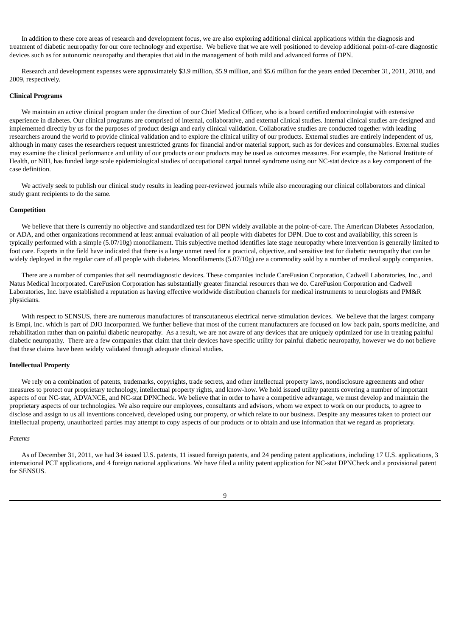In addition to these core areas of research and development focus, we are also exploring additional clinical applications within the diagnosis and treatment of diabetic neuropathy for our core technology and expertise. We believe that we are well positioned to develop additional point-of-care diagnostic devices such as for autonomic neuropathy and therapies that aid in the management of both mild and advanced forms of DPN.

Research and development expenses were approximately \$3.9 million, \$5.9 million, and \$5.6 million for the years ended December 31, 2011, 2010, and 2009, respectively.

#### **Clinical Programs**

We maintain an active clinical program under the direction of our Chief Medical Officer, who is a board certified endocrinologist with extensive experience in diabetes. Our clinical programs are comprised of internal, collaborative, and external clinical studies. Internal clinical studies are designed and implemented directly by us for the purposes of product design and early clinical validation. Collaborative studies are conducted together with leading researchers around the world to provide clinical validation and to explore the clinical utility of our products. External studies are entirely independent of us, although in many cases the researchers request unrestricted grants for financial and/or material support, such as for devices and consumables. External studies may examine the clinical performance and utility of our products or our products may be used as outcomes measures. For example, the National Institute of Health, or NIH, has funded large scale epidemiological studies of occupational carpal tunnel syndrome using our NC-stat device as a key component of the case definition.

We actively seek to publish our clinical study results in leading peer-reviewed journals while also encouraging our clinical collaborators and clinical study grant recipients to do the same.

## **Competition**

We believe that there is currently no objective and standardized test for DPN widely available at the point-of-care. The American Diabetes Association, or ADA, and other organizations recommend at least annual evaluation of all people with diabetes for DPN. Due to cost and availability, this screen is typically performed with a simple (5.07/10g) monofilament. This subjective method identifies late stage neuropathy where intervention is generally limited to foot care. Experts in the field have indicated that there is a large unmet need for a practical, objective, and sensitive test for diabetic neuropathy that can be widely deployed in the regular care of all people with diabetes. Monofilaments (5.07/10g) are a commodity sold by a number of medical supply companies.

There are a number of companies that sell neurodiagnostic devices. These companies include CareFusion Corporation, Cadwell Laboratories, Inc., and Natus Medical Incorporated. CareFusion Corporation has substantially greater financial resources than we do. CareFusion Corporation and Cadwell Laboratories, Inc. have established a reputation as having effective worldwide distribution channels for medical instruments to neurologists and PM&R physicians.

With respect to SENSUS, there are numerous manufactures of transcutaneous electrical nerve stimulation devices. We believe that the largest company is Empi, Inc. which is part of DJO Incorporated. We further believe that most of the current manufacturers are focused on low back pain, sports medicine, and rehabilitation rather than on painful diabetic neuropathy. As a result, we are not aware of any devices that are uniquely optimized for use in treating painful diabetic neuropathy. There are a few companies that claim that their devices have specific utility for painful diabetic neuropathy, however we do not believe that these claims have been widely validated through adequate clinical studies.

## **Intellectual Property**

We rely on a combination of patents, trademarks, copyrights, trade secrets, and other intellectual property laws, nondisclosure agreements and other measures to protect our proprietary technology, intellectual property rights, and know-how. We hold issued utility patents covering a number of important aspects of our NC-stat, ADVANCE, and NC-stat DPNCheck. We believe that in order to have a competitive advantage, we must develop and maintain the proprietary aspects of our technologies. We also require our employees, consultants and advisors, whom we expect to work on our products, to agree to disclose and assign to us all inventions conceived, developed using our property, or which relate to our business. Despite any measures taken to protect our intellectual property, unauthorized parties may attempt to copy aspects of our products or to obtain and use information that we regard as proprietary.

#### *Patents*

As of December 31, 2011, we had 34 issued U.S. patents, 11 issued foreign patents, and 24 pending patent applications, including 17 U.S. applications, 3 international PCT applications, and 4 foreign national applications. We have filed a utility patent application for NC-stat DPNCheck and a provisional patent for SENSUS.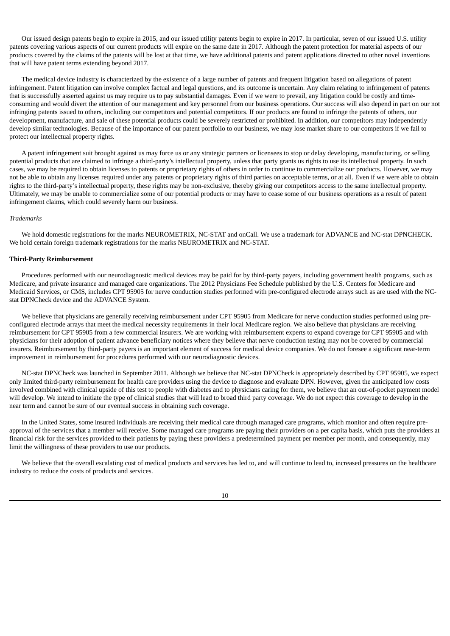Our issued design patents begin to expire in 2015, and our issued utility patents begin to expire in 2017. In particular, seven of our issued U.S. utility patents covering various aspects of our current products will expire on the same date in 2017. Although the patent protection for material aspects of our products covered by the claims of the patents will be lost at that time, we have additional patents and patent applications directed to other novel inventions that will have patent terms extending beyond 2017.

The medical device industry is characterized by the existence of a large number of patents and frequent litigation based on allegations of patent infringement. Patent litigation can involve complex factual and legal questions, and its outcome is uncertain. Any claim relating to infringement of patents that is successfully asserted against us may require us to pay substantial damages. Even if we were to prevail, any litigation could be costly and timeconsuming and would divert the attention of our management and key personnel from our business operations. Our success will also depend in part on our not infringing patents issued to others, including our competitors and potential competitors. If our products are found to infringe the patents of others, our development, manufacture, and sale of these potential products could be severely restricted or prohibited. In addition, our competitors may independently develop similar technologies. Because of the importance of our patent portfolio to our business, we may lose market share to our competitors if we fail to protect our intellectual property rights.

A patent infringement suit brought against us may force us or any strategic partners or licensees to stop or delay developing, manufacturing, or selling potential products that are claimed to infringe a third-party's intellectual property, unless that party grants us rights to use its intellectual property. In such cases, we may be required to obtain licenses to patents or proprietary rights of others in order to continue to commercialize our products. However, we may not be able to obtain any licenses required under any patents or proprietary rights of third parties on acceptable terms, or at all. Even if we were able to obtain rights to the third-party's intellectual property, these rights may be non-exclusive, thereby giving our competitors access to the same intellectual property. Ultimately, we may be unable to commercialize some of our potential products or may have to cease some of our business operations as a result of patent infringement claims, which could severely harm our business.

#### *Trademarks*

We hold domestic registrations for the marks NEUROMETRIX, NC-STAT and onCall. We use a trademark for ADVANCE and NC-stat DPNCHECK. We hold certain foreign trademark registrations for the marks NEUROMETRIX and NC-STAT.

#### **Third-Party Reimbursement**

Procedures performed with our neurodiagnostic medical devices may be paid for by third-party payers, including government health programs, such as Medicare, and private insurance and managed care organizations. The 2012 Physicians Fee Schedule published by the U.S. Centers for Medicare and Medicaid Services, or CMS, includes CPT 95905 for nerve conduction studies performed with pre-configured electrode arrays such as are used with the NCstat DPNCheck device and the ADVANCE System.

We believe that physicians are generally receiving reimbursement under CPT 95905 from Medicare for nerve conduction studies performed using preconfigured electrode arrays that meet the medical necessity requirements in their local Medicare region. We also believe that physicians are receiving reimbursement for CPT 95905 from a few commercial insurers. We are working with reimbursement experts to expand coverage for CPT 95905 and with physicians for their adoption of patient advance beneficiary notices where they believe that nerve conduction testing may not be covered by commercial insurers. Reimbursement by third-party payers is an important element of success for medical device companies. We do not foresee a significant near-term improvement in reimbursement for procedures performed with our neurodiagnostic devices.

NC-stat DPNCheck was launched in September 2011. Although we believe that NC-stat DPNCheck is appropriately described by CPT 95905, we expect only limited third-party reimbursement for health care providers using the device to diagnose and evaluate DPN. However, given the anticipated low costs involved combined with clinical upside of this test to people with diabetes and to physicians caring for them, we believe that an out-of-pocket payment model will develop. We intend to initiate the type of clinical studies that will lead to broad third party coverage. We do not expect this coverage to develop in the near term and cannot be sure of our eventual success in obtaining such coverage.

In the United States, some insured individuals are receiving their medical care through managed care programs, which monitor and often require preapproval of the services that a member will receive. Some managed care programs are paying their providers on a per capita basis, which puts the providers at financial risk for the services provided to their patients by paying these providers a predetermined payment per member per month, and consequently, may limit the willingness of these providers to use our products.

We believe that the overall escalating cost of medical products and services has led to, and will continue to lead to, increased pressures on the healthcare industry to reduce the costs of products and services.

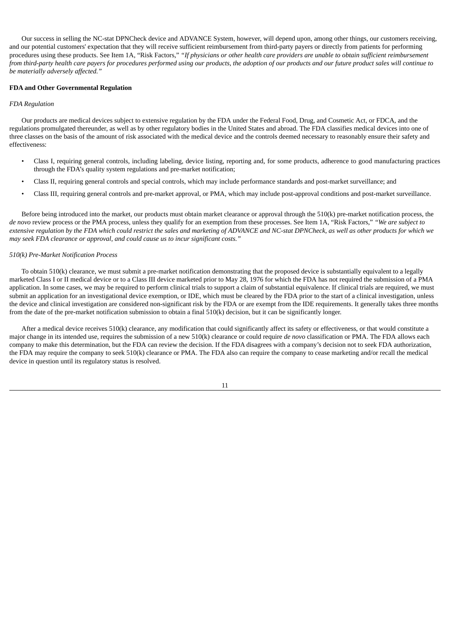Our success in selling the NC-stat DPNCheck device and ADVANCE System, however, will depend upon, among other things, our customers receiving, and our potential customers' expectation that they will receive sufficient reimbursement from third-party payers or directly from patients for performing procedures using these products. See Item 1A, "Risk Factors," "If physicians or other health care providers are unable to obtain sufficient reimbursement from third-party health care payers for procedures performed using our products, the adoption of our products and our future product sales will continue to *be materially adversely affected."*

#### **FDA and Other Governmental Regulation**

## *FDA Regulation*

Our products are medical devices subject to extensive regulation by the FDA under the Federal Food, Drug, and Cosmetic Act, or FDCA, and the regulations promulgated thereunder, as well as by other regulatory bodies in the United States and abroad. The FDA classifies medical devices into one of three classes on the basis of the amount of risk associated with the medical device and the controls deemed necessary to reasonably ensure their safety and effectiveness:

- Class I, requiring general controls, including labeling, device listing, reporting and, for some products, adherence to good manufacturing practices through the FDA's quality system regulations and pre-market notification;
- Class II, requiring general controls and special controls, which may include performance standards and post-market surveillance; and
- Class III, requiring general controls and pre-market approval, or PMA, which may include post-approval conditions and post-market surveillance.

Before being introduced into the market, our products must obtain market clearance or approval through the 510(k) pre-market notification process, the *de novo* review process or the PMA process, unless they qualify for an exemption from these processes. See Item 1A, "Risk Factors," *"We are subject to* extensive regulation by the FDA which could restrict the sales and marketing of ADVANCE and NC-stat DPNCheck, as well as other products for which we *may seek FDA clearance or approval, and could cause us to incur significant costs."*

## *510(k) Pre-Market Notification Process*

To obtain 510(k) clearance, we must submit a pre-market notification demonstrating that the proposed device is substantially equivalent to a legally marketed Class I or II medical device or to a Class III device marketed prior to May 28, 1976 for which the FDA has not required the submission of a PMA application. In some cases, we may be required to perform clinical trials to support a claim of substantial equivalence. If clinical trials are required, we must submit an application for an investigational device exemption, or IDE, which must be cleared by the FDA prior to the start of a clinical investigation, unless the device and clinical investigation are considered non-significant risk by the FDA or are exempt from the IDE requirements. It generally takes three months from the date of the pre-market notification submission to obtain a final 510(k) decision, but it can be significantly longer.

After a medical device receives 510(k) clearance, any modification that could significantly affect its safety or effectiveness, or that would constitute a major change in its intended use, requires the submission of a new 510(k) clearance or could require *de novo* classification or PMA. The FDA allows each company to make this determination, but the FDA can review the decision. If the FDA disagrees with a company's decision not to seek FDA authorization, the FDA may require the company to seek 510(k) clearance or PMA. The FDA also can require the company to cease marketing and/or recall the medical device in question until its regulatory status is resolved.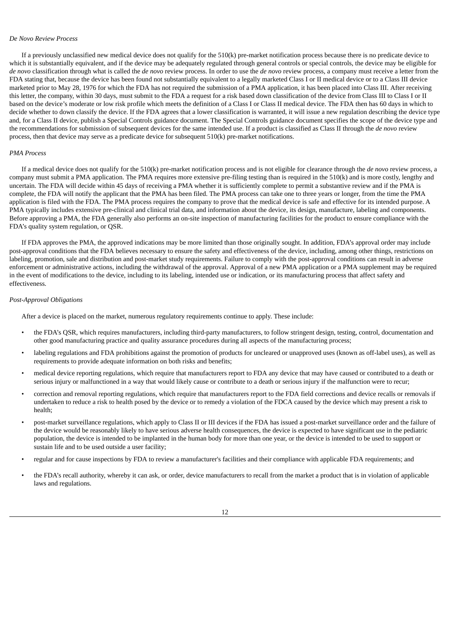## *De Novo Review Process*

If a previously unclassified new medical device does not qualify for the 510(k) pre-market notification process because there is no predicate device to which it is substantially equivalent, and if the device may be adequately regulated through general controls or special controls, the device may be eligible for *de novo* classification through what is called the *de novo* review process. In order to use the *de novo* review process, a company must receive a letter from the FDA stating that, because the device has been found not substantially equivalent to a legally marketed Class I or II medical device or to a Class III device marketed prior to May 28, 1976 for which the FDA has not required the submission of a PMA application, it has been placed into Class III. After receiving this letter, the company, within 30 days, must submit to the FDA a request for a risk based down classification of the device from Class III to Class I or II based on the device's moderate or low risk profile which meets the definition of a Class I or Class II medical device. The FDA then has 60 days in which to decide whether to down classify the device. If the FDA agrees that a lower classification is warranted, it will issue a new regulation describing the device type and, for a Class II device, publish a Special Controls guidance document. The Special Controls guidance document specifies the scope of the device type and the recommendations for submission of subsequent devices for the same intended use. If a product is classified as Class II through the *de novo* review process, then that device may serve as a predicate device for subsequent 510(k) pre-market notifications.

#### *PMA Process*

If a medical device does not qualify for the 510(k) pre-market notification process and is not eligible for clearance through the *de novo* review process, a company must submit a PMA application. The PMA requires more extensive pre-filing testing than is required in the 510(k) and is more costly, lengthy and uncertain. The FDA will decide within 45 days of receiving a PMA whether it is sufficiently complete to permit a substantive review and if the PMA is complete, the FDA will notify the applicant that the PMA has been filed. The PMA process can take one to three years or longer, from the time the PMA application is filed with the FDA. The PMA process requires the company to prove that the medical device is safe and effective for its intended purpose. A PMA typically includes extensive pre-clinical and clinical trial data, and information about the device, its design, manufacture, labeling and components. Before approving a PMA, the FDA generally also performs an on-site inspection of manufacturing facilities for the product to ensure compliance with the FDA's quality system regulation, or QSR.

If FDA approves the PMA, the approved indications may be more limited than those originally sought. In addition, FDA's approval order may include post-approval conditions that the FDA believes necessary to ensure the safety and effectiveness of the device, including, among other things, restrictions on labeling, promotion, sale and distribution and post-market study requirements. Failure to comply with the post-approval conditions can result in adverse enforcement or administrative actions, including the withdrawal of the approval. Approval of a new PMA application or a PMA supplement may be required in the event of modifications to the device, including to its labeling, intended use or indication, or its manufacturing process that affect safety and effectiveness.

#### *Post-Approval Obligations*

After a device is placed on the market, numerous regulatory requirements continue to apply. These include:

- the FDA's QSR, which requires manufacturers, including third-party manufacturers, to follow stringent design, testing, control, documentation and other good manufacturing practice and quality assurance procedures during all aspects of the manufacturing process;
- labeling regulations and FDA prohibitions against the promotion of products for uncleared or unapproved uses (known as off-label uses), as well as requirements to provide adequate information on both risks and benefits;
- medical device reporting regulations, which require that manufacturers report to FDA any device that may have caused or contributed to a death or serious injury or malfunctioned in a way that would likely cause or contribute to a death or serious injury if the malfunction were to recur;
- correction and removal reporting regulations, which require that manufacturers report to the FDA field corrections and device recalls or removals if undertaken to reduce a risk to health posed by the device or to remedy a violation of the FDCA caused by the device which may present a risk to health;
- post-market surveillance regulations, which apply to Class II or III devices if the FDA has issued a post-market surveillance order and the failure of the device would be reasonably likely to have serious adverse health consequences, the device is expected to have significant use in the pediatric population, the device is intended to be implanted in the human body for more than one year, or the device is intended to be used to support or sustain life and to be used outside a user facility;
- regular and for cause inspections by FDA to review a manufacturer's facilities and their compliance with applicable FDA requirements; and
- the FDA's recall authority, whereby it can ask, or order, device manufacturers to recall from the market a product that is in violation of applicable laws and regulations.

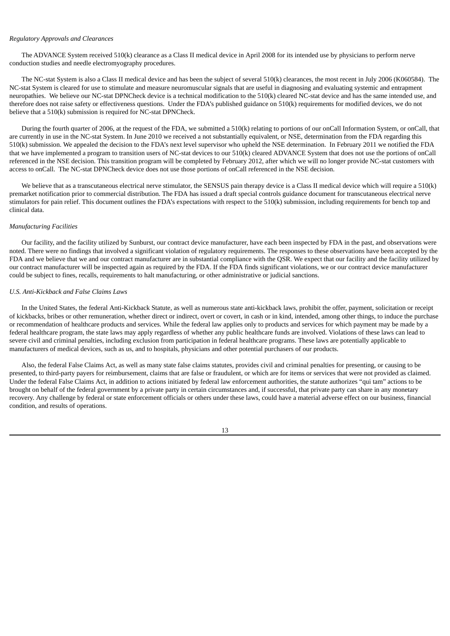#### *Regulatory Approvals and Clearances*

The ADVANCE System received 510(k) clearance as a Class II medical device in April 2008 for its intended use by physicians to perform nerve conduction studies and needle electromyography procedures.

The NC-stat System is also a Class II medical device and has been the subject of several 510(k) clearances, the most recent in July 2006 (K060584). The NC-stat System is cleared for use to stimulate and measure neuromuscular signals that are useful in diagnosing and evaluating systemic and entrapment neuropathies. We believe our NC-stat DPNCheck device is a technical modification to the 510(k) cleared NC-stat device and has the same intended use, and therefore does not raise safety or effectiveness questions. Under the FDA's published guidance on 510(k) requirements for modified devices, we do not believe that a 510(k) submission is required for NC-stat DPNCheck.

During the fourth quarter of 2006, at the request of the FDA, we submitted a 510(k) relating to portions of our onCall Information System, or onCall, that are currently in use in the NC-stat System. In June 2010 we received a not substantially equivalent, or NSE, determination from the FDA regarding this 510(k) submission. We appealed the decision to the FDA's next level supervisor who upheld the NSE determination. In February 2011 we notified the FDA that we have implemented a program to transition users of NC-stat devices to our 510(k) cleared ADVANCE System that does not use the portions of onCall referenced in the NSE decision. This transition program will be completed by February 2012, after which we will no longer provide NC-stat customers with access to onCall. The NC-stat DPNCheck device does not use those portions of onCall referenced in the NSE decision.

We believe that as a transcutaneous electrical nerve stimulator, the SENSUS pain therapy device is a Class II medical device which will require a 510(k) premarket notification prior to commercial distribution. The FDA has issued a draft special controls guidance document for transcutaneous electrical nerve stimulators for pain relief. This document outlines the FDA's expectations with respect to the 510(k) submission, including requirements for bench top and clinical data.

#### *Manufacturing Facilities*

Our facility, and the facility utilized by Sunburst, our contract device manufacturer, have each been inspected by FDA in the past, and observations were noted. There were no findings that involved a significant violation of regulatory requirements. The responses to these observations have been accepted by the FDA and we believe that we and our contract manufacturer are in substantial compliance with the QSR. We expect that our facility and the facility utilized by our contract manufacturer will be inspected again as required by the FDA. If the FDA finds significant violations, we or our contract device manufacturer could be subject to fines, recalls, requirements to halt manufacturing, or other administrative or judicial sanctions.

#### *U.S. Anti-Kickback and False Claims Laws*

In the United States, the federal Anti-Kickback Statute, as well as numerous state anti-kickback laws, prohibit the offer, payment, solicitation or receipt of kickbacks, bribes or other remuneration, whether direct or indirect, overt or covert, in cash or in kind, intended, among other things, to induce the purchase or recommendation of healthcare products and services. While the federal law applies only to products and services for which payment may be made by a federal healthcare program, the state laws may apply regardless of whether any public healthcare funds are involved. Violations of these laws can lead to severe civil and criminal penalties, including exclusion from participation in federal healthcare programs. These laws are potentially applicable to manufacturers of medical devices, such as us, and to hospitals, physicians and other potential purchasers of our products.

Also, the federal False Claims Act, as well as many state false claims statutes, provides civil and criminal penalties for presenting, or causing to be presented, to third-party payers for reimbursement, claims that are false or fraudulent, or which are for items or services that were not provided as claimed. Under the federal False Claims Act, in addition to actions initiated by federal law enforcement authorities, the statute authorizes "qui tam" actions to be brought on behalf of the federal government by a private party in certain circumstances and, if successful, that private party can share in any monetary recovery. Any challenge by federal or state enforcement officials or others under these laws, could have a material adverse effect on our business, financial condition, and results of operations.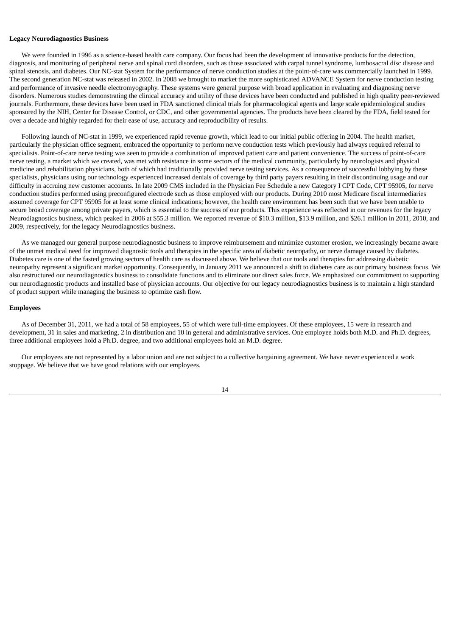#### **Legacy Neurodiagnostics Business**

We were founded in 1996 as a science-based health care company. Our focus had been the development of innovative products for the detection, diagnosis, and monitoring of peripheral nerve and spinal cord disorders, such as those associated with carpal tunnel syndrome, lumbosacral disc disease and spinal stenosis, and diabetes. Our NC-stat System for the performance of nerve conduction studies at the point-of-care was commercially launched in 1999. The second generation NC-stat was released in 2002. In 2008 we brought to market the more sophisticated ADVANCE System for nerve conduction testing and performance of invasive needle electromyography. These systems were general purpose with broad application in evaluating and diagnosing nerve disorders. Numerous studies demonstrating the clinical accuracy and utility of these devices have been conducted and published in high quality peer-reviewed journals. Furthermore, these devices have been used in FDA sanctioned clinical trials for pharmacological agents and large scale epidemiological studies sponsored by the NIH, Center for Disease Control, or CDC, and other governmental agencies. The products have been cleared by the FDA, field tested for over a decade and highly regarded for their ease of use, accuracy and reproducibility of results.

Following launch of NC-stat in 1999, we experienced rapid revenue growth, which lead to our initial public offering in 2004. The health market, particularly the physician office segment, embraced the opportunity to perform nerve conduction tests which previously had always required referral to specialists. Point-of-care nerve testing was seen to provide a combination of improved patient care and patient convenience. The success of point-of-care nerve testing, a market which we created, was met with resistance in some sectors of the medical community, particularly by neurologists and physical medicine and rehabilitation physicians, both of which had traditionally provided nerve testing services. As a consequence of successful lobbying by these specialists, physicians using our technology experienced increased denials of coverage by third party payers resulting in their discontinuing usage and our difficulty in accruing new customer accounts. In late 2009 CMS included in the Physician Fee Schedule a new Category I CPT Code, CPT 95905, for nerve conduction studies performed using preconfigured electrode such as those employed with our products. During 2010 most Medicare fiscal intermediaries assumed coverage for CPT 95905 for at least some clinical indications; however, the health care environment has been such that we have been unable to secure broad coverage among private payers, which is essential to the success of our products. This experience was reflected in our revenues for the legacy Neurodiagnostics business, which peaked in 2006 at \$55.3 million. We reported revenue of \$10.3 million, \$13.9 million, and \$26.1 million in 2011, 2010, and 2009, respectively, for the legacy Neurodiagnostics business.

As we managed our general purpose neurodiagnostic business to improve reimbursement and minimize customer erosion, we increasingly became aware of the unmet medical need for improved diagnostic tools and therapies in the specific area of diabetic neuropathy, or nerve damage caused by diabetes. Diabetes care is one of the fasted growing sectors of health care as discussed above*.* We believe that our tools and therapies for addressing diabetic neuropathy represent a significant market opportunity. Consequently, in January 2011 we announced a shift to diabetes care as our primary business focus. We also restructured our neurodiagnostics business to consolidate functions and to eliminate our direct sales force. We emphasized our commitment to supporting our neurodiagnostic products and installed base of physician accounts. Our objective for our legacy neurodiagnostics business is to maintain a high standard of product support while managing the business to optimize cash flow.

#### **Employees**

As of December 31, 2011, we had a total of 58 employees, 55 of which were full-time employees. Of these employees, 15 were in research and development, 31 in sales and marketing, 2 in distribution and 10 in general and administrative services. One employee holds both M.D. and Ph.D. degrees, three additional employees hold a Ph.D. degree, and two additional employees hold an M.D. degree.

Our employees are not represented by a labor union and are not subject to a collective bargaining agreement. We have never experienced a work stoppage. We believe that we have good relations with our employees.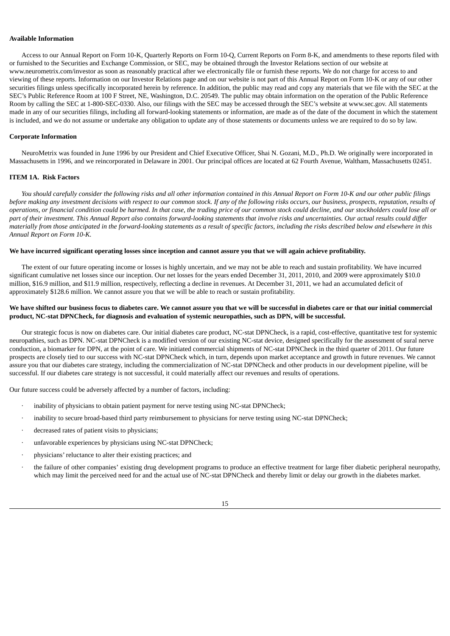#### **Available Information**

Access to our Annual Report on Form 10-K, Quarterly Reports on Form 10-Q, Current Reports on Form 8-K, and amendments to these reports filed with or furnished to the Securities and Exchange Commission, or SEC, may be obtained through the Investor Relations section of our website at www.neurometrix.com/investor as soon as reasonably practical after we electronically file or furnish these reports. We do not charge for access to and viewing of these reports. Information on our Investor Relations page and on our website is not part of this Annual Report on Form 10-K or any of our other securities filings unless specifically incorporated herein by reference. In addition, the public may read and copy any materials that we file with the SEC at the SEC's Public Reference Room at 100 F Street, NE, Washington, D.C. 20549. The public may obtain information on the operation of the Public Reference Room by calling the SEC at 1-800-SEC-0330. Also, our filings with the SEC may be accessed through the SEC's website at www.sec.gov. All statements made in any of our securities filings, including all forward-looking statements or information, are made as of the date of the document in which the statement is included, and we do not assume or undertake any obligation to update any of those statements or documents unless we are required to do so by law.

#### **Corporate Information**

NeuroMetrix was founded in June 1996 by our President and Chief Executive Officer, Shai N. Gozani, M.D., Ph.D. We originally were incorporated in Massachusetts in 1996, and we reincorporated in Delaware in 2001. Our principal offices are located at 62 Fourth Avenue, Waltham, Massachusetts 02451.

## **ITEM 1A. Risk Factors**

You should carefully consider the following risks and all other information contained in this Annual Report on Form 10-K and our other public filings before making any investment decisions with respect to our common stock. If any of the following risks occurs, our business, prospects, reputation, results of operations, or financial condition could be harmed. In that case, the trading price of our common stock could decline, and our stockholders could lose all or part of their investment. This Annual Report also contains forward-looking statements that involve risks and uncertainties. Our actual results could differ materially from those anticipated in the forward-looking statements as a result of specific factors, including the risks described below and elsewhere in this *Annual Report on Form 10-K.*

#### We have incurred significant operating losses since inception and cannot assure you that we will again achieve profitability.

The extent of our future operating income or losses is highly uncertain, and we may not be able to reach and sustain profitability. We have incurred significant cumulative net losses since our inception. Our net losses for the years ended December 31, 2011, 2010, and 2009 were approximately \$10.0 million, \$16.9 million, and \$11.9 million, respectively, reflecting a decline in revenues. At December 31, 2011, we had an accumulated deficit of approximately \$128.6 million. We cannot assure you that we will be able to reach or sustain profitability.

#### We have shifted our business focus to diabetes care. We cannot assure you that we will be successful in diabetes care or that our initial commercial product, NC-stat DPNCheck, for diagnosis and evaluation of systemic neuropathies, such as DPN, will be successful.

Our strategic focus is now on diabetes care. Our initial diabetes care product, NC-stat DPNCheck, is a rapid, cost-effective, quantitative test for systemic neuropathies, such as DPN. NC-stat DPNCheck is a modified version of our existing NC-stat device, designed specifically for the assessment of sural nerve conduction, a biomarker for DPN, at the point of care. We initiated commercial shipments of NC-stat DPNCheck in the third quarter of 2011. Our future prospects are closely tied to our success with NC-stat DPNCheck which, in turn, depends upon market acceptance and growth in future revenues. We cannot assure you that our diabetes care strategy, including the commercialization of NC-stat DPNCheck and other products in our development pipeline, will be successful. If our diabetes care strategy is not successful, it could materially affect our revenues and results of operations.

Our future success could be adversely affected by a number of factors, including:

- inability of physicians to obtain patient payment for nerve testing using NC-stat DPNCheck;
- inability to secure broad-based third party reimbursement to physicians for nerve testing using NC-stat DPNCheck;
- decreased rates of patient visits to physicians;
- unfavorable experiences by physicians using NC-stat DPNCheck;
- physicians' reluctance to alter their existing practices; and
- the failure of other companies' existing drug development programs to produce an effective treatment for large fiber diabetic peripheral neuropathy, which may limit the perceived need for and the actual use of NC-stat DPNCheck and thereby limit or delay our growth in the diabetes market.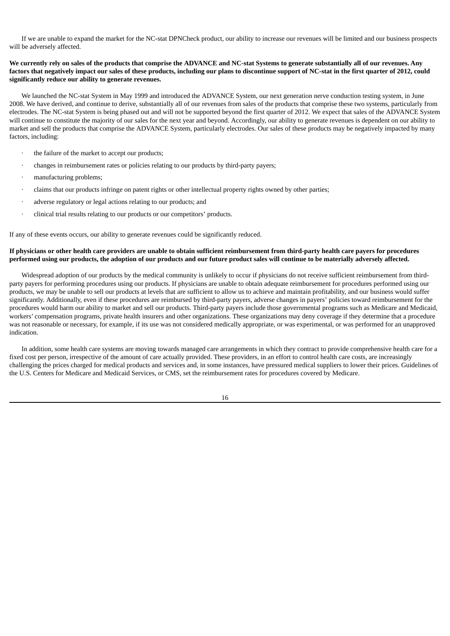If we are unable to expand the market for the NC-stat DPNCheck product, our ability to increase our revenues will be limited and our business prospects will be adversely affected.

## We currently rely on sales of the products that comprise the ADVANCE and NC-stat Systems to generate substantially all of our revenues. Any factors that negatively impact our sales of these products, including our plans to discontinue support of NC-stat in the first quarter of 2012, could **significantly reduce our ability to generate revenues.**

We launched the NC-stat System in May 1999 and introduced the ADVANCE System, our next generation nerve conduction testing system, in June 2008. We have derived, and continue to derive, substantially all of our revenues from sales of the products that comprise these two systems, particularly from electrodes. The NC-stat System is being phased out and will not be supported beyond the first quarter of 2012. We expect that sales of the ADVANCE System will continue to constitute the majority of our sales for the next year and beyond. Accordingly, our ability to generate revenues is dependent on our ability to market and sell the products that comprise the ADVANCE System, particularly electrodes. Our sales of these products may be negatively impacted by many factors, including:

- the failure of the market to accept our products;
- · changes in reimbursement rates or policies relating to our products by third-party payers;
- manufacturing problems;
- · claims that our products infringe on patent rights or other intellectual property rights owned by other parties;
- adverse regulatory or legal actions relating to our products; and
- · clinical trial results relating to our products or our competitors' products.

If any of these events occurs, our ability to generate revenues could be significantly reduced.

## If physicians or other health care providers are unable to obtain sufficient reimbursement from third-party health care payers for procedures performed using our products, the adoption of our products and our future product sales will continue to be materially adversely affected.

Widespread adoption of our products by the medical community is unlikely to occur if physicians do not receive sufficient reimbursement from thirdparty payers for performing procedures using our products. If physicians are unable to obtain adequate reimbursement for procedures performed using our products, we may be unable to sell our products at levels that are sufficient to allow us to achieve and maintain profitability, and our business would suffer significantly. Additionally, even if these procedures are reimbursed by third-party payers, adverse changes in payers' policies toward reimbursement for the procedures would harm our ability to market and sell our products. Third-party payers include those governmental programs such as Medicare and Medicaid, workers' compensation programs, private health insurers and other organizations. These organizations may deny coverage if they determine that a procedure was not reasonable or necessary, for example, if its use was not considered medically appropriate, or was experimental, or was performed for an unapproved indication.

In addition, some health care systems are moving towards managed care arrangements in which they contract to provide comprehensive health care for a fixed cost per person, irrespective of the amount of care actually provided. These providers, in an effort to control health care costs, are increasingly challenging the prices charged for medical products and services and, in some instances, have pressured medical suppliers to lower their prices. Guidelines of the U.S. Centers for Medicare and Medicaid Services, or CMS, set the reimbursement rates for procedures covered by Medicare.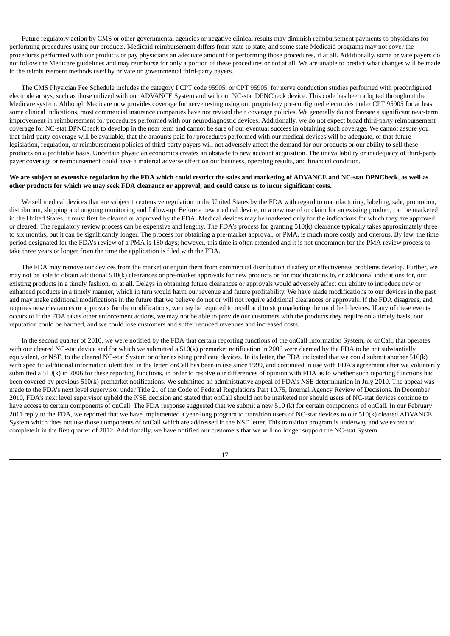Future regulatory action by CMS or other governmental agencies or negative clinical results may diminish reimbursement payments to physicians for performing procedures using our products. Medicaid reimbursement differs from state to state, and some state Medicaid programs may not cover the procedures performed with our products or pay physicians an adequate amount for performing those procedures, if at all. Additionally, some private payers do not follow the Medicare guidelines and may reimburse for only a portion of these procedures or not at all. We are unable to predict what changes will be made in the reimbursement methods used by private or governmental third-party payers.

The CMS Physician Fee Schedule includes the category I CPT code 95905, or CPT 95905, for nerve conduction studies performed with preconfigured electrode arrays, such as those utilized with our ADVANCE System and with our NC-stat DPNCheck device. This code has been adopted throughout the Medicare system. Although Medicare now provides coverage for nerve testing using our proprietary pre-configured electrodes under CPT 95905 for at least some clinical indications, most commercial insurance companies have not revised their coverage policies. We generally do not foresee a significant near-term improvement in reimbursement for procedures performed with our neurodiagnostic devices. Additionally, we do not expect broad third-party reimbursement coverage for NC-stat DPNCheck to develop in the near term and cannot be sure of our eventual success in obtaining such coverage. We cannot assure you that third-party coverage will be available, that the amounts paid for procedures performed with our medical devices will be adequate, or that future legislation, regulation, or reimbursement policies of third-party payers will not adversely affect the demand for our products or our ability to sell these products on a profitable basis. Uncertain physician economics creates an obstacle to new account acquisition. The unavailability or inadequacy of third-party payer coverage or reimbursement could have a material adverse effect on our business, operating results, and financial condition.

## We are subject to extensive regulation by the FDA which could restrict the sales and marketing of ADVANCE and NC-stat DPNCheck, as well as other products for which we may seek FDA clearance or approval, and could cause us to incur significant costs.

We sell medical devices that are subject to extensive regulation in the United States by the FDA with regard to manufacturing, labeling, sale, promotion, distribution, shipping and ongoing monitoring and follow-up. Before a new medical device, or a new use of or claim for an existing product, can be marketed in the United States, it must first be cleared or approved by the FDA. Medical devices may be marketed only for the indications for which they are approved or cleared. The regulatory review process can be expensive and lengthy. The FDA's process for granting 510(k) clearance typically takes approximately three to six months, but it can be significantly longer. The process for obtaining a pre-market approval, or PMA, is much more costly and onerous. By law, the time period designated for the FDA's review of a PMA is 180 days; however, this time is often extended and it is not uncommon for the PMA review process to take three years or longer from the time the application is filed with the FDA.

The FDA may remove our devices from the market or enjoin them from commercial distribution if safety or effectiveness problems develop. Further, we may not be able to obtain additional 510(k) clearances or pre-market approvals for new products or for modifications to, or additional indications for, our existing products in a timely fashion, or at all. Delays in obtaining future clearances or approvals would adversely affect our ability to introduce new or enhanced products in a timely manner, which in turn would harm our revenue and future profitability. We have made modifications to our devices in the past and may make additional modifications in the future that we believe do not or will not require additional clearances or approvals. If the FDA disagrees, and requires new clearances or approvals for the modifications, we may be required to recall and to stop marketing the modified devices. If any of these events occurs or if the FDA takes other enforcement actions, we may not be able to provide our customers with the products they require on a timely basis, our reputation could be harmed, and we could lose customers and suffer reduced revenues and increased costs.

In the second quarter of 2010, we were notified by the FDA that certain reporting functions of the onCall Information System, or onCall, that operates with our cleared NC-stat device and for which we submitted a 510(k) premarket notification in 2006 were deemed by the FDA to be not substantially equivalent, or NSE, to the cleared NC-stat System or other existing predicate devices. In its letter, the FDA indicated that we could submit another 510(k) with specific additional information identified in the letter. onCall has been in use since 1999, and continued in use with FDA's agreement after we voluntarily submitted a 510(k) in 2006 for these reporting functions, in order to resolve our differences of opinion with FDA as to whether such reporting functions had been covered by previous 510(k) premarket notifications. We submitted an administrative appeal of FDA's NSE determination in July 2010. The appeal was made to the FDA's next level supervisor under Title 21 of the Code of Federal Regulations Part 10.75, Internal Agency Review of Decisions. In December 2010, FDA's next level supervisor upheld the NSE decision and stated that onCall should not be marketed nor should users of NC-stat devices continue to have access to certain components of onCall. The FDA response suggested that we submit a new 510 (k) for certain components of onCall. In our February 2011 reply to the FDA, we reported that we have implemented a year-long program to transition users of NC-stat devices to our 510(k) cleared ADVANCE System which does not use those components of onCall which are addressed in the NSE letter. This transition program is underway and we expect to complete it in the first quarter of 2012. Additionally, we have notified our customers that we will no longer support the NC-stat System.

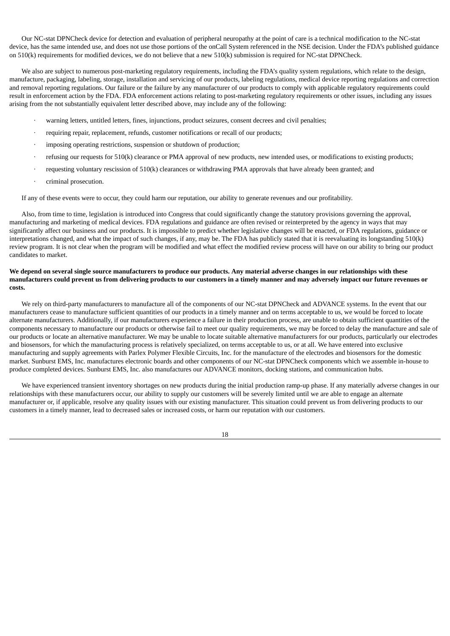Our NC-stat DPNCheck device for detection and evaluation of peripheral neuropathy at the point of care is a technical modification to the NC-stat device, has the same intended use, and does not use those portions of the onCall System referenced in the NSE decision. Under the FDA's published guidance on 510(k) requirements for modified devices, we do not believe that a new 510(k) submission is required for NC-stat DPNCheck.

We also are subject to numerous post-marketing regulatory requirements, including the FDA's quality system regulations, which relate to the design, manufacture, packaging, labeling, storage, installation and servicing of our products, labeling regulations, medical device reporting regulations and correction and removal reporting regulations. Our failure or the failure by any manufacturer of our products to comply with applicable regulatory requirements could result in enforcement action by the FDA. FDA enforcement actions relating to post-marketing regulatory requirements or other issues, including any issues arising from the not substantially equivalent letter described above, may include any of the following:

- warning letters, untitled letters, fines, injunctions, product seizures, consent decrees and civil penalties;
- requiring repair, replacement, refunds, customer notifications or recall of our products;
- imposing operating restrictions, suspension or shutdown of production;
- · refusing our requests for 510(k) clearance or PMA approval of new products, new intended uses, or modifications to existing products;
- requesting voluntary rescission of 510(k) clearances or withdrawing PMA approvals that have already been granted; and
- criminal prosecution.

If any of these events were to occur, they could harm our reputation, our ability to generate revenues and our profitability.

Also, from time to time, legislation is introduced into Congress that could significantly change the statutory provisions governing the approval, manufacturing and marketing of medical devices. FDA regulations and guidance are often revised or reinterpreted by the agency in ways that may significantly affect our business and our products. It is impossible to predict whether legislative changes will be enacted, or FDA regulations, guidance or interpretations changed, and what the impact of such changes, if any, may be. The FDA has publicly stated that it is reevaluating its longstanding 510(k) review program. It is not clear when the program will be modified and what effect the modified review process will have on our ability to bring our product candidates to market.

## We depend on several single source manufacturers to produce our products. Any material adverse changes in our relationships with these manufacturers could prevent us from delivering products to our customers in a timely manner and may adversely impact our future revenues or **costs.**

We rely on third-party manufacturers to manufacture all of the components of our NC-stat DPNCheck and ADVANCE systems. In the event that our manufacturers cease to manufacture sufficient quantities of our products in a timely manner and on terms acceptable to us, we would be forced to locate alternate manufacturers. Additionally, if our manufacturers experience a failure in their production process, are unable to obtain sufficient quantities of the components necessary to manufacture our products or otherwise fail to meet our quality requirements, we may be forced to delay the manufacture and sale of our products or locate an alternative manufacturer. We may be unable to locate suitable alternative manufacturers for our products, particularly our electrodes and biosensors, for which the manufacturing process is relatively specialized, on terms acceptable to us, or at all. We have entered into exclusive manufacturing and supply agreements with Parlex Polymer Flexible Circuits, Inc. for the manufacture of the electrodes and biosensors for the domestic market. Sunburst EMS, Inc. manufactures electronic boards and other components of our NC-stat DPNCheck components which we assemble in-house to produce completed devices. Sunburst EMS, Inc. also manufactures our ADVANCE monitors, docking stations, and communication hubs.

We have experienced transient inventory shortages on new products during the initial production ramp-up phase. If any materially adverse changes in our relationships with these manufacturers occur, our ability to supply our customers will be severely limited until we are able to engage an alternate manufacturer or, if applicable, resolve any quality issues with our existing manufacturer. This situation could prevent us from delivering products to our customers in a timely manner, lead to decreased sales or increased costs, or harm our reputation with our customers.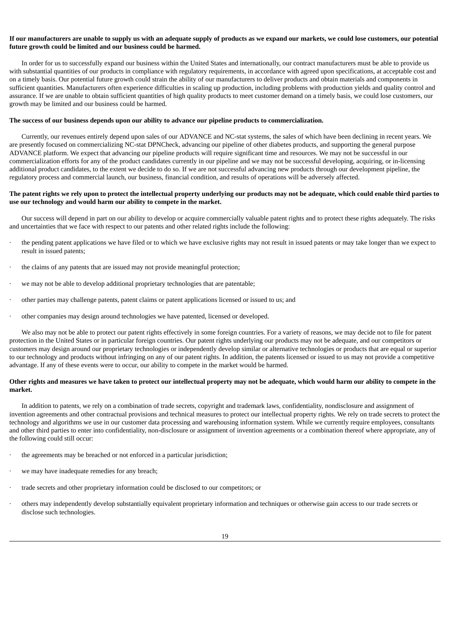## If our manufacturers are unable to supply us with an adequate supply of products as we expand our markets, we could lose customers, our potential **future growth could be limited and our business could be harmed.**

In order for us to successfully expand our business within the United States and internationally, our contract manufacturers must be able to provide us with substantial quantities of our products in compliance with regulatory requirements, in accordance with agreed upon specifications, at acceptable cost and on a timely basis. Our potential future growth could strain the ability of our manufacturers to deliver products and obtain materials and components in sufficient quantities. Manufacturers often experience difficulties in scaling up production, including problems with production yields and quality control and assurance. If we are unable to obtain sufficient quantities of high quality products to meet customer demand on a timely basis, we could lose customers, our growth may be limited and our business could be harmed.

#### **The success of our business depends upon our ability to advance our pipeline products to commercialization.**

Currently, our revenues entirely depend upon sales of our ADVANCE and NC-stat systems, the sales of which have been declining in recent years. We are presently focused on commercializing NC-stat DPNCheck, advancing our pipeline of other diabetes products, and supporting the general purpose ADVANCE platform. We expect that advancing our pipeline products will require significant time and resources. We may not be successful in our commercialization efforts for any of the product candidates currently in our pipeline and we may not be successful developing, acquiring, or in-licensing additional product candidates, to the extent we decide to do so. If we are not successful advancing new products through our development pipeline, the regulatory process and commercial launch, our business, financial condition, and results of operations will be adversely affected.

## The patent rights we rely upon to protect the intellectual property underlying our products may not be adequate, which could enable third parties to **use our technology and would harm our ability to compete in the market.**

Our success will depend in part on our ability to develop or acquire commercially valuable patent rights and to protect these rights adequately. The risks and uncertainties that we face with respect to our patents and other related rights include the following:

- · the pending patent applications we have filed or to which we have exclusive rights may not result in issued patents or may take longer than we expect to result in issued patents;
- the claims of any patents that are issued may not provide meaningful protection;
- we may not be able to develop additional proprietary technologies that are patentable;
- other parties may challenge patents, patent claims or patent applications licensed or issued to us; and
- · other companies may design around technologies we have patented, licensed or developed.

We also may not be able to protect our patent rights effectively in some foreign countries. For a variety of reasons, we may decide not to file for patent protection in the United States or in particular foreign countries. Our patent rights underlying our products may not be adequate, and our competitors or customers may design around our proprietary technologies or independently develop similar or alternative technologies or products that are equal or superior to our technology and products without infringing on any of our patent rights. In addition, the patents licensed or issued to us may not provide a competitive advantage. If any of these events were to occur, our ability to compete in the market would be harmed.

## Other rights and measures we have taken to protect our intellectual property may not be adequate, which would harm our ability to compete in the **market.**

In addition to patents, we rely on a combination of trade secrets, copyright and trademark laws, confidentiality, nondisclosure and assignment of invention agreements and other contractual provisions and technical measures to protect our intellectual property rights. We rely on trade secrets to protect the technology and algorithms we use in our customer data processing and warehousing information system. While we currently require employees, consultants and other third parties to enter into confidentiality, non-disclosure or assignment of invention agreements or a combination thereof where appropriate, any of the following could still occur:

- the agreements may be breached or not enforced in a particular jurisdiction;
- we may have inadequate remedies for any breach;
- · trade secrets and other proprietary information could be disclosed to our competitors; or
- · others may independently develop substantially equivalent proprietary information and techniques or otherwise gain access to our trade secrets or disclose such technologies.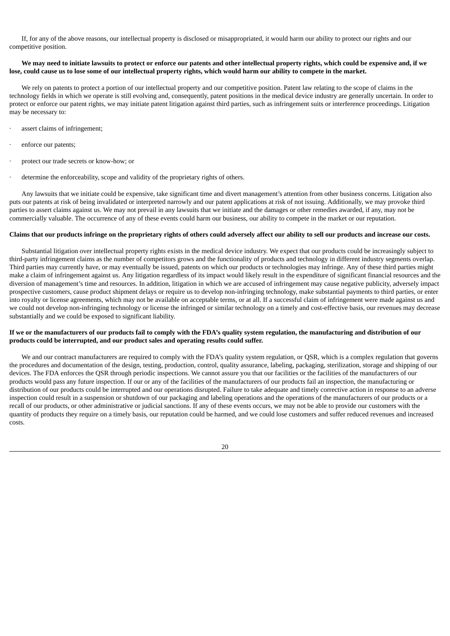If, for any of the above reasons, our intellectual property is disclosed or misappropriated, it would harm our ability to protect our rights and our competitive position.

## We may need to initiate lawsuits to protect or enforce our patents and other intellectual property rights, which could be expensive and, if we lose, could cause us to lose some of our intellectual property rights, which would harm our ability to compete in the market.

We rely on patents to protect a portion of our intellectual property and our competitive position. Patent law relating to the scope of claims in the technology fields in which we operate is still evolving and, consequently, patent positions in the medical device industry are generally uncertain. In order to protect or enforce our patent rights, we may initiate patent litigation against third parties, such as infringement suits or interference proceedings. Litigation may be necessary to:

- assert claims of infringement;
- enforce our patents;
- protect our trade secrets or know-how; or
- determine the enforceability, scope and validity of the proprietary rights of others.

Any lawsuits that we initiate could be expensive, take significant time and divert management's attention from other business concerns. Litigation also puts our patents at risk of being invalidated or interpreted narrowly and our patent applications at risk of not issuing. Additionally, we may provoke third parties to assert claims against us. We may not prevail in any lawsuits that we initiate and the damages or other remedies awarded, if any, may not be commercially valuable. The occurrence of any of these events could harm our business, our ability to compete in the market or our reputation.

#### Claims that our products infringe on the proprietary rights of others could adversely affect our ability to sell our products and increase our costs.

Substantial litigation over intellectual property rights exists in the medical device industry. We expect that our products could be increasingly subject to third-party infringement claims as the number of competitors grows and the functionality of products and technology in different industry segments overlap. Third parties may currently have, or may eventually be issued, patents on which our products or technologies may infringe. Any of these third parties might make a claim of infringement against us. Any litigation regardless of its impact would likely result in the expenditure of significant financial resources and the diversion of management's time and resources. In addition, litigation in which we are accused of infringement may cause negative publicity, adversely impact prospective customers, cause product shipment delays or require us to develop non-infringing technology, make substantial payments to third parties, or enter into royalty or license agreements, which may not be available on acceptable terms, or at all. If a successful claim of infringement were made against us and we could not develop non-infringing technology or license the infringed or similar technology on a timely and cost-effective basis, our revenues may decrease substantially and we could be exposed to significant liability.

## If we or the manufacturers of our products fail to comply with the FDA's quality system regulation, the manufacturing and distribution of our **products could be interrupted, and our product sales and operating results could suffer.**

We and our contract manufacturers are required to comply with the FDA's quality system regulation, or QSR, which is a complex regulation that governs the procedures and documentation of the design, testing, production, control, quality assurance, labeling, packaging, sterilization, storage and shipping of our devices. The FDA enforces the QSR through periodic inspections. We cannot assure you that our facilities or the facilities of the manufacturers of our products would pass any future inspection. If our or any of the facilities of the manufacturers of our products fail an inspection, the manufacturing or distribution of our products could be interrupted and our operations disrupted. Failure to take adequate and timely corrective action in response to an adverse inspection could result in a suspension or shutdown of our packaging and labeling operations and the operations of the manufacturers of our products or a recall of our products, or other administrative or judicial sanctions. If any of these events occurs, we may not be able to provide our customers with the quantity of products they require on a timely basis, our reputation could be harmed, and we could lose customers and suffer reduced revenues and increased costs.

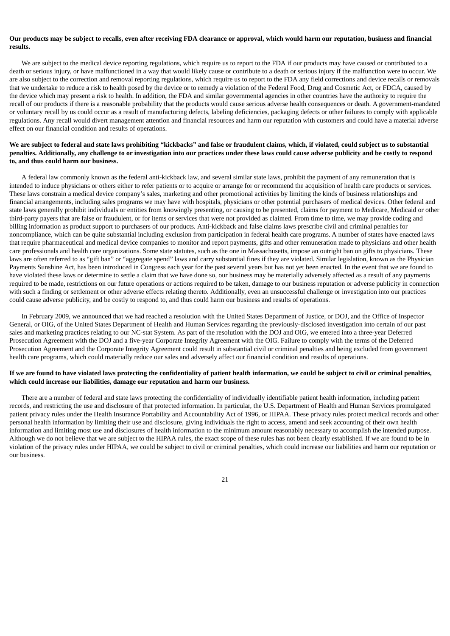## Our products may be subject to recalls, even after receiving FDA clearance or approval, which would harm our reputation, business and financial **results.**

We are subject to the medical device reporting regulations, which require us to report to the FDA if our products may have caused or contributed to a death or serious injury, or have malfunctioned in a way that would likely cause or contribute to a death or serious injury if the malfunction were to occur. We are also subject to the correction and removal reporting regulations, which require us to report to the FDA any field corrections and device recalls or removals that we undertake to reduce a risk to health posed by the device or to remedy a violation of the Federal Food, Drug and Cosmetic Act, or FDCA, caused by the device which may present a risk to health. In addition, the FDA and similar governmental agencies in other countries have the authority to require the recall of our products if there is a reasonable probability that the products would cause serious adverse health consequences or death. A government-mandated or voluntary recall by us could occur as a result of manufacturing defects, labeling deficiencies, packaging defects or other failures to comply with applicable regulations. Any recall would divert management attention and financial resources and harm our reputation with customers and could have a material adverse effect on our financial condition and results of operations.

## We are subject to federal and state laws prohibiting "kickbacks" and false or fraudulent claims, which, if violated, could subject us to substantial penalties. Additionally, any challenge to or investigation into our practices under these laws could cause adverse publicity and be costly to respond **to, and thus could harm our business.**

A federal law commonly known as the federal anti-kickback law, and several similar state laws, prohibit the payment of any remuneration that is intended to induce physicians or others either to refer patients or to acquire or arrange for or recommend the acquisition of health care products or services. These laws constrain a medical device company's sales, marketing and other promotional activities by limiting the kinds of business relationships and financial arrangements, including sales programs we may have with hospitals, physicians or other potential purchasers of medical devices. Other federal and state laws generally prohibit individuals or entities from knowingly presenting, or causing to be presented, claims for payment to Medicare, Medicaid or other third-party payers that are false or fraudulent, or for items or services that were not provided as claimed. From time to time, we may provide coding and billing information as product support to purchasers of our products. Anti-kickback and false claims laws prescribe civil and criminal penalties for noncompliance, which can be quite substantial including exclusion from participation in federal health care programs. A number of states have enacted laws that require pharmaceutical and medical device companies to monitor and report payments, gifts and other remuneration made to physicians and other health care professionals and health care organizations. Some state statutes, such as the one in Massachusetts, impose an outright ban on gifts to physicians. These laws are often referred to as "gift ban" or "aggregate spend" laws and carry substantial fines if they are violated. Similar legislation, known as the Physician Payments Sunshine Act, has been introduced in Congress each year for the past several years but has not yet been enacted. In the event that we are found to have violated these laws or determine to settle a claim that we have done so, our business may be materially adversely affected as a result of any payments required to be made, restrictions on our future operations or actions required to be taken, damage to our business reputation or adverse publicity in connection with such a finding or settlement or other adverse effects relating thereto. Additionally, even an unsuccessful challenge or investigation into our practices could cause adverse publicity, and be costly to respond to, and thus could harm our business and results of operations.

In February 2009, we announced that we had reached a resolution with the United States Department of Justice, or DOJ, and the Office of Inspector General, or OIG, of the United States Department of Health and Human Services regarding the previously-disclosed investigation into certain of our past sales and marketing practices relating to our NC-stat System. As part of the resolution with the DOJ and OIG, we entered into a three-year Deferred Prosecution Agreement with the DOJ and a five-year Corporate Integrity Agreement with the OIG. Failure to comply with the terms of the Deferred Prosecution Agreement and the Corporate Integrity Agreement could result in substantial civil or criminal penalties and being excluded from government health care programs, which could materially reduce our sales and adversely affect our financial condition and results of operations.

## If we are found to have violated laws protecting the confidentiality of patient health information, we could be subject to civil or criminal penalties, **which could increase our liabilities, damage our reputation and harm our business.**

There are a number of federal and state laws protecting the confidentiality of individually identifiable patient health information, including patient records, and restricting the use and disclosure of that protected information. In particular, the U.S. Department of Health and Human Services promulgated patient privacy rules under the Health Insurance Portability and Accountability Act of 1996, or HIPAA. These privacy rules protect medical records and other personal health information by limiting their use and disclosure, giving individuals the right to access, amend and seek accounting of their own health information and limiting most use and disclosures of health information to the minimum amount reasonably necessary to accomplish the intended purpose. Although we do not believe that we are subject to the HIPAA rules, the exact scope of these rules has not been clearly established. If we are found to be in violation of the privacy rules under HIPAA, we could be subject to civil or criminal penalties, which could increase our liabilities and harm our reputation or our business.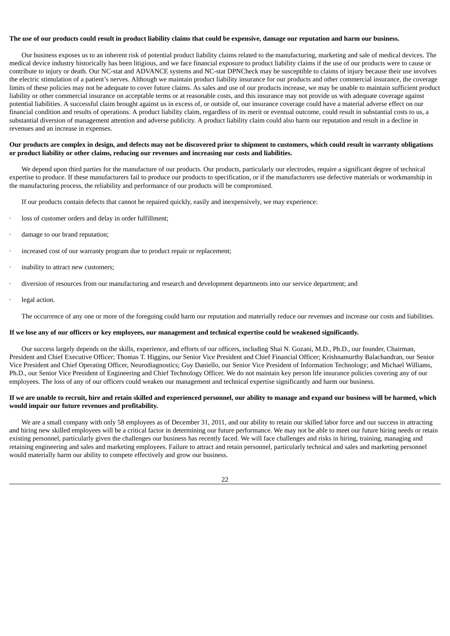#### The use of our products could result in product liability claims that could be expensive, damage our reputation and harm our business.

Our business exposes us to an inherent risk of potential product liability claims related to the manufacturing, marketing and sale of medical devices. The medical device industry historically has been litigious, and we face financial exposure to product liability claims if the use of our products were to cause or contribute to injury or death. Our NC-stat and ADVANCE systems and NC-stat DPNCheck may be susceptible to claims of injury because their use involves the electric stimulation of a patient's nerves. Although we maintain product liability insurance for our products and other commercial insurance, the coverage limits of these policies may not be adequate to cover future claims. As sales and use of our products increase, we may be unable to maintain sufficient product liability or other commercial insurance on acceptable terms or at reasonable costs, and this insurance may not provide us with adequate coverage against potential liabilities. A successful claim brought against us in excess of, or outside of, our insurance coverage could have a material adverse effect on our financial condition and results of operations. A product liability claim, regardless of its merit or eventual outcome, could result in substantial costs to us, a substantial diversion of management attention and adverse publicity. A product liability claim could also harm our reputation and result in a decline in revenues and an increase in expenses.

## Our products are complex in design, and defects may not be discovered prior to shipment to customers, which could result in warranty obligations **or product liability or other claims, reducing our revenues and increasing our costs and liabilities.**

We depend upon third parties for the manufacture of our products. Our products, particularly our electrodes, require a significant degree of technical expertise to produce. If these manufacturers fail to produce our products to specification, or if the manufacturers use defective materials or workmanship in the manufacturing process, the reliability and performance of our products will be compromised.

If our products contain defects that cannot be repaired quickly, easily and inexpensively, we may experience:

- loss of customer orders and delay in order fulfillment;
- damage to our brand reputation;
- increased cost of our warranty program due to product repair or replacement;
- inability to attract new customers;
- · diversion of resources from our manufacturing and research and development departments into our service department; and
- legal action.

The occurrence of any one or more of the foregoing could harm our reputation and materially reduce our revenues and increase our costs and liabilities.

#### If we lose any of our officers or key employees, our management and technical expertise could be weakened significantly.

Our success largely depends on the skills, experience, and efforts of our officers, including Shai N. Gozani, M.D., Ph.D., our founder, Chairman, President and Chief Executive Officer; Thomas T. Higgins, our Senior Vice President and Chief Financial Officer; Krishnamurthy Balachandran, our Senior Vice President and Chief Operating Officer, Neurodiagnostics; Guy Daniello, our Senior Vice President of Information Technology; and Michael Williams, Ph.D., our Senior Vice President of Engineering and Chief Technology Officer. We do not maintain key person life insurance policies covering any of our employees. The loss of any of our officers could weaken our management and technical expertise significantly and harm our business.

## If we are unable to recruit, hire and retain skilled and experienced personnel, our ability to manage and expand our business will be harmed, which **would impair our future revenues and profitability.**

We are a small company with only 58 employees as of December 31, 2011, and our ability to retain our skilled labor force and our success in attracting and hiring new skilled employees will be a critical factor in determining our future performance. We may not be able to meet our future hiring needs or retain existing personnel, particularly given the challenges our business has recently faced. We will face challenges and risks in hiring, training, managing and retaining engineering and sales and marketing employees. Failure to attract and retain personnel, particularly technical and sales and marketing personnel would materially harm our ability to compete effectively and grow our business.

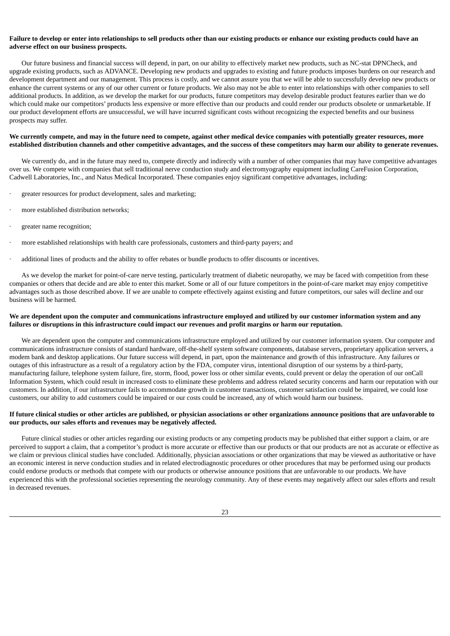## Failure to develop or enter into relationships to sell products other than our existing products or enhance our existing products could have an **adverse effect on our business prospects.**

Our future business and financial success will depend, in part, on our ability to effectively market new products, such as NC-stat DPNCheck, and upgrade existing products, such as ADVANCE. Developing new products and upgrades to existing and future products imposes burdens on our research and development department and our management. This process is costly, and we cannot assure you that we will be able to successfully develop new products or enhance the current systems or any of our other current or future products. We also may not be able to enter into relationships with other companies to sell additional products. In addition, as we develop the market for our products, future competitors may develop desirable product features earlier than we do which could make our competitors' products less expensive or more effective than our products and could render our products obsolete or unmarketable. If our product development efforts are unsuccessful, we will have incurred significant costs without recognizing the expected benefits and our business prospects may suffer.

## We currently compete, and may in the future need to compete, against other medical device companies with potentially greater resources, more established distribution channels and other competitive advantages, and the success of these competitors may harm our ability to generate revenues.

We currently do, and in the future may need to, compete directly and indirectly with a number of other companies that may have competitive advantages over us. We compete with companies that sell traditional nerve conduction study and electromyography equipment including CareFusion Corporation, Cadwell Laboratories, Inc., and Natus Medical Incorporated. These companies enjoy significant competitive advantages, including:

- · greater resources for product development, sales and marketing;
- · more established distribution networks;
- · greater name recognition;
- · more established relationships with health care professionals, customers and third-party payers; and
- · additional lines of products and the ability to offer rebates or bundle products to offer discounts or incentives.

As we develop the market for point-of-care nerve testing, particularly treatment of diabetic neuropathy, we may be faced with competition from these companies or others that decide and are able to enter this market. Some or all of our future competitors in the point-of-care market may enjoy competitive advantages such as those described above. If we are unable to compete effectively against existing and future competitors, our sales will decline and our business will be harmed.

## We are dependent upon the computer and communications infrastructure emploved and utilized by our customer information system and any failures or disruptions in this infrastructure could impact our revenues and profit margins or harm our reputation.

We are dependent upon the computer and communications infrastructure employed and utilized by our customer information system. Our computer and communications infrastructure consists of standard hardware, off-the-shelf system software components, database servers, proprietary application servers, a modem bank and desktop applications. Our future success will depend, in part, upon the maintenance and growth of this infrastructure. Any failures or outages of this infrastructure as a result of a regulatory action by the FDA, computer virus, intentional disruption of our systems by a third-party, manufacturing failure, telephone system failure, fire, storm, flood, power loss or other similar events, could prevent or delay the operation of our onCall Information System, which could result in increased costs to eliminate these problems and address related security concerns and harm our reputation with our customers. In addition, if our infrastructure fails to accommodate growth in customer transactions, customer satisfaction could be impaired, we could lose customers, our ability to add customers could be impaired or our costs could be increased, any of which would harm our business.

## If future clinical studies or other articles are published, or physician associations or other organizations announce positions that are unfavorable to **our products, our sales efforts and revenues may be negatively affected.**

Future clinical studies or other articles regarding our existing products or any competing products may be published that either support a claim, or are perceived to support a claim, that a competitor's product is more accurate or effective than our products or that our products are not as accurate or effective as we claim or previous clinical studies have concluded. Additionally, physician associations or other organizations that may be viewed as authoritative or have an economic interest in nerve conduction studies and in related electrodiagnostic procedures or other procedures that may be performed using our products could endorse products or methods that compete with our products or otherwise announce positions that are unfavorable to our products. We have experienced this with the professional societies representing the neurology community. Any of these events may negatively affect our sales efforts and result in decreased revenues.

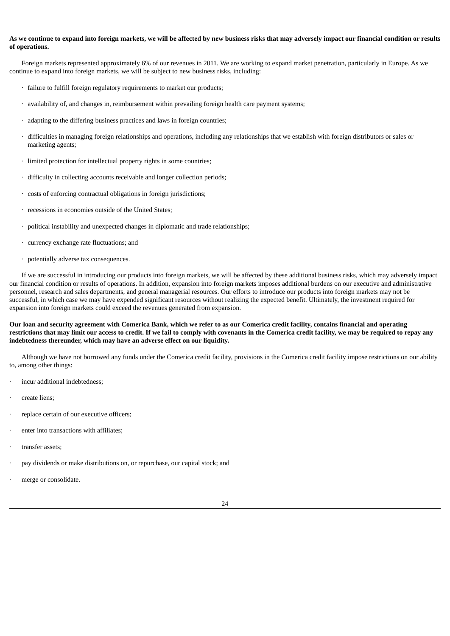## As we continue to expand into foreign markets, we will be affected by new business risks that may adversely impact our financial condition or results **of operations.**

Foreign markets represented approximately 6% of our revenues in 2011. We are working to expand market penetration, particularly in Europe. As we continue to expand into foreign markets, we will be subject to new business risks, including:

- · failure to fulfill foreign regulatory requirements to market our products;
- · availability of, and changes in, reimbursement within prevailing foreign health care payment systems;
- adapting to the differing business practices and laws in foreign countries;
- · difficulties in managing foreign relationships and operations, including any relationships that we establish with foreign distributors or sales or marketing agents;
- · limited protection for intellectual property rights in some countries;
- difficulty in collecting accounts receivable and longer collection periods;
- costs of enforcing contractual obligations in foreign jurisdictions;
- · recessions in economies outside of the United States;
- · political instability and unexpected changes in diplomatic and trade relationships;
- currency exchange rate fluctuations; and
- · potentially adverse tax consequences.

If we are successful in introducing our products into foreign markets, we will be affected by these additional business risks, which may adversely impact our financial condition or results of operations. In addition, expansion into foreign markets imposes additional burdens on our executive and administrative personnel, research and sales departments, and general managerial resources. Our efforts to introduce our products into foreign markets may not be successful, in which case we may have expended significant resources without realizing the expected benefit. Ultimately, the investment required for expansion into foreign markets could exceed the revenues generated from expansion.

## Our loan and security agreement with Comerica Bank, which we refer to as our Comerica credit facility, contains financial and operating restrictions that may limit our access to credit. If we fail to comply with covenants in the Comerica credit facility, we may be required to repay any **indebtedness thereunder, which may have an adverse effect on our liquidity.**

Although we have not borrowed any funds under the Comerica credit facility, provisions in the Comerica credit facility impose restrictions on our ability to, among other things:

- incur additional indebtedness;
- · create liens;
- · replace certain of our executive officers;
- enter into transactions with affiliates;
- transfer assets;
- pay dividends or make distributions on, or repurchase, our capital stock; and
- merge or consolidate.

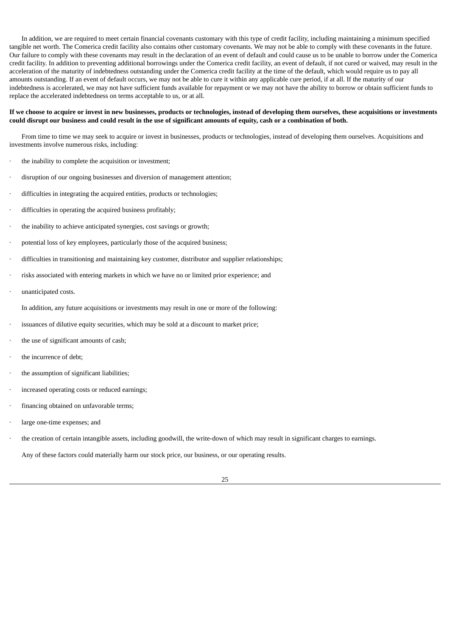In addition, we are required to meet certain financial covenants customary with this type of credit facility, including maintaining a minimum specified tangible net worth. The Comerica credit facility also contains other customary covenants. We may not be able to comply with these covenants in the future. Our failure to comply with these covenants may result in the declaration of an event of default and could cause us to be unable to borrow under the Comerica credit facility. In addition to preventing additional borrowings under the Comerica credit facility, an event of default, if not cured or waived, may result in the acceleration of the maturity of indebtedness outstanding under the Comerica credit facility at the time of the default, which would require us to pay all amounts outstanding. If an event of default occurs, we may not be able to cure it within any applicable cure period, if at all. If the maturity of our indebtedness is accelerated, we may not have sufficient funds available for repayment or we may not have the ability to borrow or obtain sufficient funds to replace the accelerated indebtedness on terms acceptable to us, or at all.

#### If we choose to acquire or invest in new businesses, products or technologies, instead of developing them ourselves, these acquisitions or investments could disrupt our business and could result in the use of significant amounts of equity, cash or a combination of both.

From time to time we may seek to acquire or invest in businesses, products or technologies, instead of developing them ourselves. Acquisitions and investments involve numerous risks, including:

- the inability to complete the acquisition or investment;
- disruption of our ongoing businesses and diversion of management attention;
- difficulties in integrating the acquired entities, products or technologies;
- difficulties in operating the acquired business profitably;
- · the inability to achieve anticipated synergies, cost savings or growth;
- potential loss of key employees, particularly those of the acquired business;
- difficulties in transitioning and maintaining key customer, distributor and supplier relationships;
- · risks associated with entering markets in which we have no or limited prior experience; and
- unanticipated costs.

In addition, any future acquisitions or investments may result in one or more of the following:

- issuances of dilutive equity securities, which may be sold at a discount to market price;
- the use of significant amounts of cash;
- the incurrence of debt:
- the assumption of significant liabilities;
- increased operating costs or reduced earnings;
- financing obtained on unfavorable terms;
- large one-time expenses; and
- · the creation of certain intangible assets, including goodwill, the write-down of which may result in significant charges to earnings.

Any of these factors could materially harm our stock price, our business, or our operating results.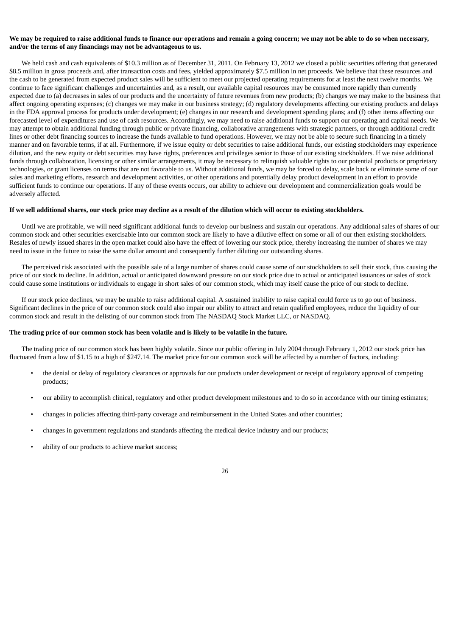## We may be required to raise additional funds to finance our operations and remain a going concern; we may not be able to do so when necessary. **and/or the terms of any financings may not be advantageous to us.**

We held cash and cash equivalents of \$10.3 million as of December 31, 2011. On February 13, 2012 we closed a public securities offering that generated \$8.5 million in gross proceeds and, after transaction costs and fees, yielded approximately \$7.5 million in net proceeds. We believe that these resources and the cash to be generated from expected product sales will be sufficient to meet our projected operating requirements for at least the next twelve months. We continue to face significant challenges and uncertainties and, as a result, our available capital resources may be consumed more rapidly than currently expected due to (a) decreases in sales of our products and the uncertainty of future revenues from new products; (b) changes we may make to the business that affect ongoing operating expenses; (c) changes we may make in our business strategy; (d) regulatory developments affecting our existing products and delays in the FDA approval process for products under development; (e) changes in our research and development spending plans; and (f) other items affecting our forecasted level of expenditures and use of cash resources. Accordingly, we may need to raise additional funds to support our operating and capital needs. We may attempt to obtain additional funding through public or private financing, collaborative arrangements with strategic partners, or through additional credit lines or other debt financing sources to increase the funds available to fund operations. However, we may not be able to secure such financing in a timely manner and on favorable terms, if at all. Furthermore, if we issue equity or debt securities to raise additional funds, our existing stockholders may experience dilution, and the new equity or debt securities may have rights, preferences and privileges senior to those of our existing stockholders. If we raise additional funds through collaboration, licensing or other similar arrangements, it may be necessary to relinquish valuable rights to our potential products or proprietary technologies, or grant licenses on terms that are not favorable to us. Without additional funds, we may be forced to delay, scale back or eliminate some of our sales and marketing efforts, research and development activities, or other operations and potentially delay product development in an effort to provide sufficient funds to continue our operations. If any of these events occurs, our ability to achieve our development and commercialization goals would be adversely affected.

## If we sell additional shares, our stock price may decline as a result of the dilution which will occur to existing stockholders.

Until we are profitable, we will need significant additional funds to develop our business and sustain our operations. Any additional sales of shares of our common stock and other securities exercisable into our common stock are likely to have a dilutive effect on some or all of our then existing stockholders. Resales of newly issued shares in the open market could also have the effect of lowering our stock price, thereby increasing the number of shares we may need to issue in the future to raise the same dollar amount and consequently further diluting our outstanding shares.

The perceived risk associated with the possible sale of a large number of shares could cause some of our stockholders to sell their stock, thus causing the price of our stock to decline. In addition, actual or anticipated downward pressure on our stock price due to actual or anticipated issuances or sales of stock could cause some institutions or individuals to engage in short sales of our common stock, which may itself cause the price of our stock to decline.

If our stock price declines, we may be unable to raise additional capital. A sustained inability to raise capital could force us to go out of business. Significant declines in the price of our common stock could also impair our ability to attract and retain qualified employees, reduce the liquidity of our common stock and result in the delisting of our common stock from The NASDAQ Stock Market LLC, or NASDAQ.

#### The trading price of our common stock has been volatile and is likely to be volatile in the future.

The trading price of our common stock has been highly volatile. Since our public offering in July 2004 through February 1, 2012 our stock price has fluctuated from a low of \$1.15 to a high of \$247.14. The market price for our common stock will be affected by a number of factors, including:

- the denial or delay of regulatory clearances or approvals for our products under development or receipt of regulatory approval of competing products;
- our ability to accomplish clinical, regulatory and other product development milestones and to do so in accordance with our timing estimates;
- changes in policies affecting third-party coverage and reimbursement in the United States and other countries;
- changes in government regulations and standards affecting the medical device industry and our products;
- ability of our products to achieve market success;

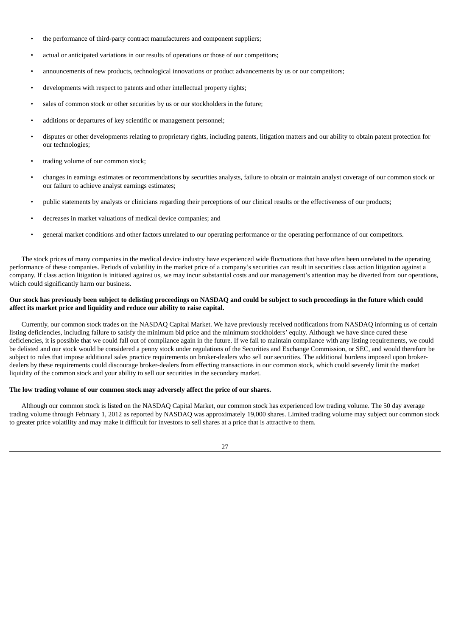- the performance of third-party contract manufacturers and component suppliers;
- actual or anticipated variations in our results of operations or those of our competitors;
- announcements of new products, technological innovations or product advancements by us or our competitors;
- developments with respect to patents and other intellectual property rights;
- sales of common stock or other securities by us or our stockholders in the future;
- additions or departures of key scientific or management personnel;
- disputes or other developments relating to proprietary rights, including patents, litigation matters and our ability to obtain patent protection for our technologies;
- trading volume of our common stock;
- changes in earnings estimates or recommendations by securities analysts, failure to obtain or maintain analyst coverage of our common stock or our failure to achieve analyst earnings estimates;
- public statements by analysts or clinicians regarding their perceptions of our clinical results or the effectiveness of our products;
- decreases in market valuations of medical device companies; and
- general market conditions and other factors unrelated to our operating performance or the operating performance of our competitors.

The stock prices of many companies in the medical device industry have experienced wide fluctuations that have often been unrelated to the operating performance of these companies. Periods of volatility in the market price of a company's securities can result in securities class action litigation against a company. If class action litigation is initiated against us, we may incur substantial costs and our management's attention may be diverted from our operations, which could significantly harm our business.

## Our stock has previously been subject to delisting proceedings on NASDAQ and could be subject to such proceedings in the future which could **affect its market price and liquidity and reduce our ability to raise capital.**

Currently, our common stock trades on the NASDAQ Capital Market. We have previously received notifications from NASDAQ informing us of certain listing deficiencies, including failure to satisfy the minimum bid price and the minimum stockholders' equity. Although we have since cured these deficiencies, it is possible that we could fall out of compliance again in the future. If we fail to maintain compliance with any listing requirements, we could be delisted and our stock would be considered a penny stock under regulations of the Securities and Exchange Commission, or SEC, and would therefore be subject to rules that impose additional sales practice requirements on broker-dealers who sell our securities. The additional burdens imposed upon brokerdealers by these requirements could discourage broker-dealers from effecting transactions in our common stock, which could severely limit the market liquidity of the common stock and your ability to sell our securities in the secondary market.

#### **The low trading volume of our common stock may adversely affect the price of our shares.**

Although our common stock is listed on the NASDAQ Capital Market, our common stock has experienced low trading volume. The 50 day average trading volume through February 1, 2012 as reported by NASDAQ was approximately 19,000 shares. Limited trading volume may subject our common stock to greater price volatility and may make it difficult for investors to sell shares at a price that is attractive to them.

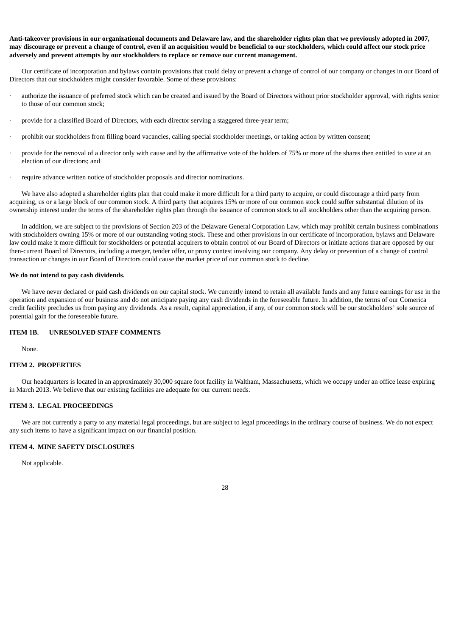## Anti-takeover provisions in our organizational documents and Delaware law, and the shareholder rights plan that we previously adopted in 2007, may discourage or prevent a change of control, even if an acquisition would be beneficial to our stockholders, which could affect our stock price **adversely and prevent attempts by our stockholders to replace or remove our current management.**

Our certificate of incorporation and bylaws contain provisions that could delay or prevent a change of control of our company or changes in our Board of Directors that our stockholders might consider favorable. Some of these provisions:

- authorize the issuance of preferred stock which can be created and issued by the Board of Directors without prior stockholder approval, with rights senior to those of our common stock;
- provide for a classified Board of Directors, with each director serving a staggered three-year term;
- · prohibit our stockholders from filling board vacancies, calling special stockholder meetings, or taking action by written consent;
- provide for the removal of a director only with cause and by the affirmative vote of the holders of 75% or more of the shares then entitled to vote at an election of our directors; and
- require advance written notice of stockholder proposals and director nominations.

We have also adopted a shareholder rights plan that could make it more difficult for a third party to acquire, or could discourage a third party from acquiring, us or a large block of our common stock. A third party that acquires 15% or more of our common stock could suffer substantial dilution of its ownership interest under the terms of the shareholder rights plan through the issuance of common stock to all stockholders other than the acquiring person.

In addition, we are subject to the provisions of Section 203 of the Delaware General Corporation Law, which may prohibit certain business combinations with stockholders owning 15% or more of our outstanding voting stock. These and other provisions in our certificate of incorporation, bylaws and Delaware law could make it more difficult for stockholders or potential acquirers to obtain control of our Board of Directors or initiate actions that are opposed by our then-current Board of Directors, including a merger, tender offer, or proxy contest involving our company. Any delay or prevention of a change of control transaction or changes in our Board of Directors could cause the market price of our common stock to decline.

#### **We do not intend to pay cash dividends.**

We have never declared or paid cash dividends on our capital stock. We currently intend to retain all available funds and any future earnings for use in the operation and expansion of our business and do not anticipate paying any cash dividends in the foreseeable future. In addition, the terms of our Comerica credit facility precludes us from paying any dividends. As a result, capital appreciation, if any, of our common stock will be our stockholders' sole source of potential gain for the foreseeable future.

#### **ITEM 1B. UNRESOLVED STAFF COMMENTS**

None.

#### **ITEM 2. PROPERTIES**

Our headquarters is located in an approximately 30,000 square foot facility in Waltham, Massachusetts, which we occupy under an office lease expiring in March 2013. We believe that our existing facilities are adequate for our current needs.

#### **ITEM 3. LEGAL PROCEEDINGS**

We are not currently a party to any material legal proceedings, but are subject to legal proceedings in the ordinary course of business. We do not expect any such items to have a significant impact on our financial position.

#### **ITEM 4. MINE SAFETY DISCLOSURES**

Not applicable.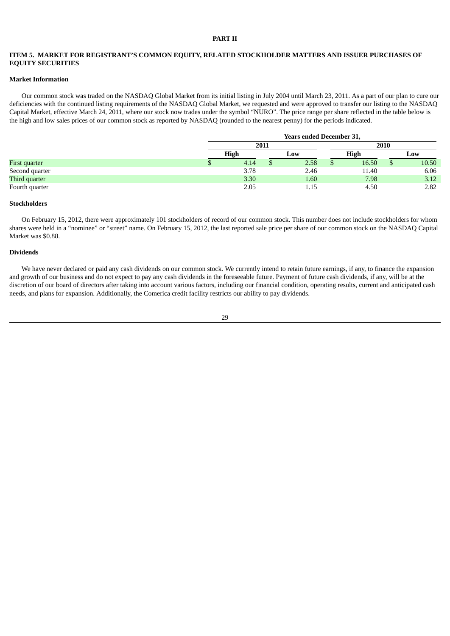## **PART II**

## **ITEM 5. MARKET FOR REGISTRANT'S COMMON EQUITY, RELATED STOCKHOLDER MATTERS AND ISSUER PURCHASES OF EQUITY SECURITIES**

#### **Market Information**

Our common stock was traded on the NASDAQ Global Market from its initial listing in July 2004 until March 23, 2011. As a part of our plan to cure our deficiencies with the continued listing requirements of the NASDAQ Global Market, we requested and were approved to transfer our listing to the NASDAQ Capital Market, effective March 24, 2011, where our stock now trades under the symbol "NURO". The price range per share reflected in the table below is the high and low sales prices of our common stock as reported by NASDAQ (rounded to the nearest penny) for the periods indicated.

|                | <b>Years ended December 31,</b> |  |      |      |             |  |       |  |
|----------------|---------------------------------|--|------|------|-------------|--|-------|--|
|                | 2011                            |  |      | 2010 |             |  |       |  |
|                | <b>High</b>                     |  | Low  |      | <b>High</b> |  | Low   |  |
| First quarter  | 4.14                            |  | 2.58 |      | 16.50       |  | 10.50 |  |
| Second quarter | 3.78                            |  | 2.46 |      | 11.40       |  | 6.06  |  |
| Third quarter  | 3.30                            |  | 1.60 |      | 7.98        |  | 3.12  |  |
| Fourth quarter | 2.05                            |  | 1.15 |      | 4.50        |  | 2.82  |  |

#### **Stockholders**

On February 15, 2012, there were approximately 101 stockholders of record of our common stock. This number does not include stockholders for whom shares were held in a "nominee" or "street" name. On February 15, 2012, the last reported sale price per share of our common stock on the NASDAQ Capital Market was \$0.88.

## **Dividends**

We have never declared or paid any cash dividends on our common stock. We currently intend to retain future earnings, if any, to finance the expansion and growth of our business and do not expect to pay any cash dividends in the foreseeable future. Payment of future cash dividends, if any, will be at the discretion of our board of directors after taking into account various factors, including our financial condition, operating results, current and anticipated cash needs, and plans for expansion. Additionally, the Comerica credit facility restricts our ability to pay dividends.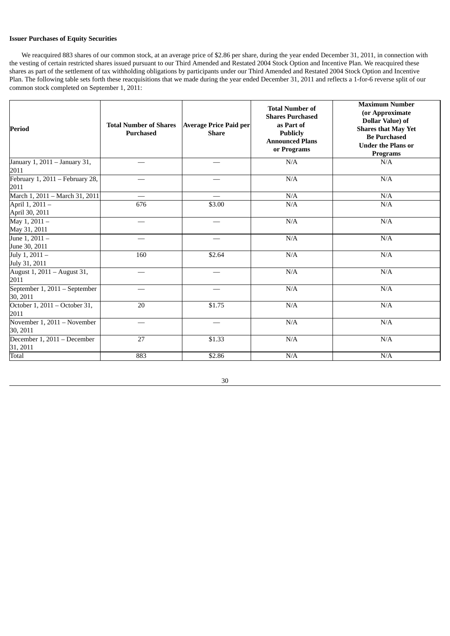## **Issuer Purchases of Equity Securities**

We reacquired 883 shares of our common stock, at an average price of \$2.86 per share, during the year ended December 31, 2011, in connection with the vesting of certain restricted shares issued pursuant to our Third Amended and Restated 2004 Stock Option and Incentive Plan. We reacquired these shares as part of the settlement of tax withholding obligations by participants under our Third Amended and Restated 2004 Stock Option and Incentive Plan. The following table sets forth these reacquisitions that we made during the year ended December 31, 2011 and reflects a 1-for-6 reverse split of our common stock completed on September 1, 2011:

| Period                                    | <b>Total Number of Shares</b><br><b>Purchased</b> | <b>Average Price Paid per</b><br><b>Share</b> | <b>Total Number of</b><br><b>Shares Purchased</b><br>as Part of<br><b>Publicly</b><br><b>Announced Plans</b><br>or Programs | <b>Maximum Number</b><br>(or Approximate<br><b>Dollar Value) of</b><br><b>Shares that May Yet</b><br><b>Be Purchased</b><br><b>Under the Plans or</b><br><b>Programs</b> |
|-------------------------------------------|---------------------------------------------------|-----------------------------------------------|-----------------------------------------------------------------------------------------------------------------------------|--------------------------------------------------------------------------------------------------------------------------------------------------------------------------|
| January 1, 2011 - January 31,<br>2011     |                                                   |                                               | N/A                                                                                                                         | N/A                                                                                                                                                                      |
| February 1, 2011 - February 28,<br>2011   |                                                   |                                               | N/A                                                                                                                         | N/A                                                                                                                                                                      |
| March 1, 2011 - March 31, 2011            |                                                   |                                               | N/A                                                                                                                         | N/A                                                                                                                                                                      |
| April 1, 2011-<br>April 30, 2011          | 676                                               | \$3.00                                        | N/A                                                                                                                         | N/A                                                                                                                                                                      |
| May 1, 2011 -<br>May 31, 2011             |                                                   |                                               | N/A                                                                                                                         | N/A                                                                                                                                                                      |
| June 1, 2011 -<br>June 30, 2011           |                                                   |                                               | N/A                                                                                                                         | N/A                                                                                                                                                                      |
| July 1, 2011 -<br>July 31, 2011           | 160                                               | \$2.64                                        | N/A                                                                                                                         | N/A                                                                                                                                                                      |
| August 1, 2011 - August 31,<br>2011       |                                                   |                                               | N/A                                                                                                                         | N/A                                                                                                                                                                      |
| September 1, 2011 - September<br>30, 2011 |                                                   |                                               | N/A                                                                                                                         | N/A                                                                                                                                                                      |
| October 1, 2011 - October 31,<br>2011     | 20                                                | \$1.75                                        | N/A                                                                                                                         | N/A                                                                                                                                                                      |
| November 1, 2011 - November<br>30, 2011   |                                                   |                                               | N/A                                                                                                                         | $\rm N/A$                                                                                                                                                                |
| December 1, 2011 - December<br>31, 2011   | 27                                                | \$1.33                                        | N/A                                                                                                                         | N/A                                                                                                                                                                      |
| <b>Total</b>                              | 883                                               | \$2.86                                        | N/A                                                                                                                         | N/A                                                                                                                                                                      |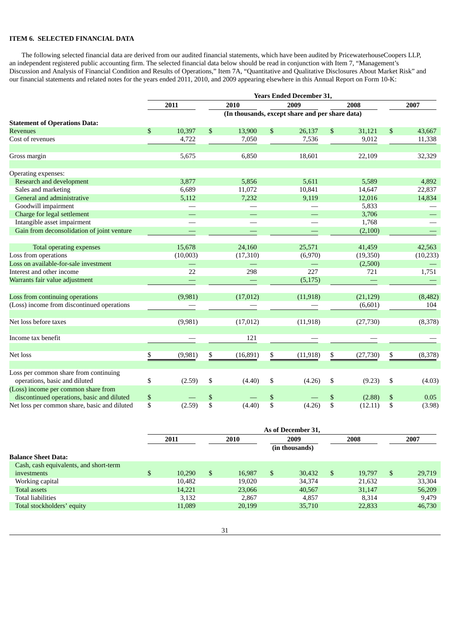## **ITEM 6. SELECTED FINANCIAL DATA**

The following selected financial data are derived from our audited financial statements, which have been audited by PricewaterhouseCoopers LLP, an independent registered public accounting firm. The selected financial data below should be read in conjunction with Item 7, "Management's Discussion and Analysis of Financial Condition and Results of Operations," Item 7A, "Quantitative and Qualitative Disclosures About Market Risk" and our financial statements and related notes for the years ended 2011, 2010, and 2009 appearing elsewhere in this Annual Report on Form 10-K:

|                                                                                   | <b>Years Ended December 31,</b> |          |    |                          |    |                                                 |    |           |    |           |
|-----------------------------------------------------------------------------------|---------------------------------|----------|----|--------------------------|----|-------------------------------------------------|----|-----------|----|-----------|
|                                                                                   |                                 | 2011     |    | 2010                     |    | 2009                                            |    | 2008      |    | 2007      |
|                                                                                   |                                 |          |    |                          |    | (In thousands, except share and per share data) |    |           |    |           |
| <b>Statement of Operations Data:</b>                                              |                                 |          |    |                          |    |                                                 |    |           |    |           |
| <b>Revenues</b>                                                                   | \$                              | 10,397   | \$ | 13,900                   | \$ | 26,137                                          | \$ | 31,121    | \$ | 43,667    |
| Cost of revenues                                                                  |                                 | 4,722    |    | 7,050                    |    | 7,536                                           |    | 9,012     |    | 11,338    |
| Gross margin                                                                      |                                 | 5,675    |    | 6,850                    |    | 18,601                                          |    | 22,109    |    | 32,329    |
| Operating expenses:                                                               |                                 |          |    |                          |    |                                                 |    |           |    |           |
| <b>Research and development</b>                                                   |                                 | 3,877    |    | 5,856                    |    | 5,611                                           |    | 5,589     |    | 4,892     |
| Sales and marketing                                                               |                                 | 6,689    |    | 11,072                   |    | 10,841                                          |    | 14,647    |    | 22,837    |
| General and administrative                                                        |                                 | 5,112    |    | 7,232                    |    | 9,119                                           |    | 12,016    |    | 14,834    |
| Goodwill impairment                                                               |                                 |          |    |                          |    |                                                 |    | 5,833     |    |           |
| Charge for legal settlement                                                       |                                 |          |    |                          |    |                                                 |    | 3,706     |    |           |
| Intangible asset impairment                                                       |                                 |          |    |                          |    |                                                 |    | 1,768     |    |           |
| Gain from deconsolidation of joint venture                                        |                                 |          |    |                          |    |                                                 |    | (2,100)   |    |           |
| Total operating expenses                                                          |                                 | 15,678   |    | 24,160                   |    | 25,571                                          |    | 41,459    |    | 42,563    |
| Loss from operations                                                              |                                 | (10,003) |    | (17,310)                 |    | (6,970)                                         |    | (19, 350) |    | (10, 233) |
| Loss on available-for-sale investment                                             |                                 |          |    | $\overline{\phantom{0}}$ |    |                                                 |    | (2,500)   |    |           |
| Interest and other income                                                         |                                 | 22       |    | 298                      |    | 227                                             |    | 721       |    | 1,751     |
| Warrants fair value adjustment                                                    |                                 |          |    |                          |    | (5, 175)                                        |    |           |    |           |
| Loss from continuing operations                                                   |                                 | (9,981)  |    | (17, 012)                |    | (11, 918)                                       |    | (21, 129) |    | (8,482)   |
| (Loss) income from discontinued operations                                        |                                 |          |    |                          |    |                                                 |    | (6, 601)  |    | 104       |
| Net loss before taxes                                                             |                                 | (9,981)  |    | (17, 012)                |    | (11, 918)                                       |    | (27, 730) |    | (8,378)   |
| Income tax benefit                                                                |                                 |          |    | 121                      |    |                                                 |    |           |    |           |
| Net loss                                                                          | \$                              | (9,981)  | \$ | (16, 891)                | \$ | (11, 918)                                       | \$ | (27, 730) | \$ | (8,378)   |
| Loss per common share from continuing                                             |                                 |          |    |                          |    |                                                 |    |           |    |           |
| operations, basic and diluted                                                     | \$                              | (2.59)   | \$ | (4.40)                   | \$ | (4.26)                                          | \$ | (9.23)    | \$ | (4.03)    |
| (Loss) income per common share from<br>discontinued operations, basic and diluted | \$                              |          | \$ |                          | \$ |                                                 | \$ | (2.88)    | \$ | 0.05      |
| Net loss per common share, basic and diluted                                      | \$                              | (2.59)   | \$ | (4.40)                   | \$ | (4.26)                                          | \$ | (12.11)   | \$ | (3.98)    |

|                                        | As of December 31, |        |    |        |                |        |               |        |    |        |
|----------------------------------------|--------------------|--------|----|--------|----------------|--------|---------------|--------|----|--------|
|                                        | 2011               |        |    | 2010   | 2009           |        | 2008          |        |    | 2007   |
|                                        |                    |        |    |        | (in thousands) |        |               |        |    |        |
| <b>Balance Sheet Data:</b>             |                    |        |    |        |                |        |               |        |    |        |
| Cash, cash equivalents, and short-term |                    |        |    |        |                |        |               |        |    |        |
| investments                            | \$                 | 10,290 | \$ | 16.987 | \$.            | 30,432 | <sup>\$</sup> | 19.797 | -S | 29,719 |
| Working capital                        |                    | 10,482 |    | 19,020 |                | 34,374 |               | 21,632 |    | 33,304 |
| Total assets                           |                    | 14,221 |    | 23,066 |                | 40,567 |               | 31,147 |    | 56,209 |
| Total liabilities                      |                    | 3,132  |    | 2.867  |                | 4.857  |               | 8.314  |    | 9,479  |
| Total stockholders' equity             |                    | 11,089 |    | 20,199 |                | 35,710 |               | 22,833 |    | 46,730 |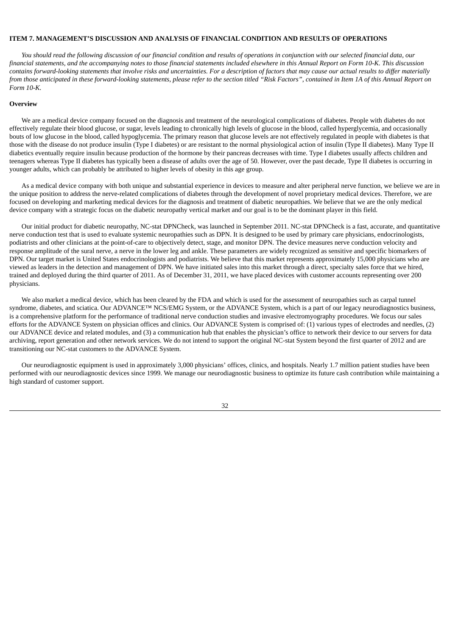## **ITEM 7. MANAGEMENT'S DISCUSSION AND ANALYSIS OF FINANCIAL CONDITION AND RESULTS OF OPERATIONS**

You should read the following discussion of our financial condition and results of operations in conjunction with our selected financial data, our financial statements, and the accompanying notes to those financial statements included elsewhere in this Annual Report on Form 10-K. This discussion contains forward-looking statements that involve risks and uncertainties. For a description of factors that may cause our actual results to differ materially from those anticipated in these forward-looking statements, please refer to the section titled "Risk Factors", contained in Item 1A of this Annual Report on *Form 10-K.*

#### **Overview**

We are a medical device company focused on the diagnosis and treatment of the neurological complications of diabetes. People with diabetes do not effectively regulate their blood glucose, or sugar, levels leading to chronically high levels of glucose in the blood, called hyperglycemia, and occasionally bouts of low glucose in the blood, called hypoglycemia. The primary reason that glucose levels are not effectively regulated in people with diabetes is that those with the disease do not produce insulin (Type I diabetes) or are resistant to the normal physiological action of insulin (Type II diabetes). Many Type II diabetics eventually require insulin because production of the hormone by their pancreas decreases with time. Type I diabetes usually affects children and teenagers whereas Type II diabetes has typically been a disease of adults over the age of 50. However, over the past decade, Type II diabetes is occurring in younger adults, which can probably be attributed to higher levels of obesity in this age group.

As a medical device company with both unique and substantial experience in devices to measure and alter peripheral nerve function, we believe we are in the unique position to address the nerve-related complications of diabetes through the development of novel proprietary medical devices. Therefore, we are focused on developing and marketing medical devices for the diagnosis and treatment of diabetic neuropathies. We believe that we are the only medical device company with a strategic focus on the diabetic neuropathy vertical market and our goal is to be the dominant player in this field.

Our initial product for diabetic neuropathy, NC-stat DPNCheck, was launched in September 2011. NC-stat DPNCheck is a fast, accurate, and quantitative nerve conduction test that is used to evaluate systemic neuropathies such as DPN. It is designed to be used by primary care physicians, endocrinologists, podiatrists and other clinicians at the point-of-care to objectively detect, stage, and monitor DPN. The device measures nerve conduction velocity and response amplitude of the sural nerve, a nerve in the lower leg and ankle. These parameters are widely recognized as sensitive and specific biomarkers of DPN. Our target market is United States endocrinologists and podiatrists. We believe that this market represents approximately 15,000 physicians who are viewed as leaders in the detection and management of DPN. We have initiated sales into this market through a direct, specialty sales force that we hired, trained and deployed during the third quarter of 2011. As of December 31, 2011, we have placed devices with customer accounts representing over 200 physicians.

We also market a medical device, which has been cleared by the FDA and which is used for the assessment of neuropathies such as carpal tunnel syndrome, diabetes, and sciatica. Our ADVANCE™ NCS/EMG System, or the ADVANCE System, which is a part of our legacy neurodiagnostics business, is a comprehensive platform for the performance of traditional nerve conduction studies and invasive electromyography procedures. We focus our sales efforts for the ADVANCE System on physician offices and clinics. Our ADVANCE System is comprised of: (1) various types of electrodes and needles, (2) our ADVANCE device and related modules, and (3) a communication hub that enables the physician's office to network their device to our servers for data archiving, report generation and other network services. We do not intend to support the original NC-stat System beyond the first quarter of 2012 and are transitioning our NC-stat customers to the ADVANCE System.

Our neurodiagnostic equipment is used in approximately 3,000 physicians' offices, clinics, and hospitals. Nearly 1.7 million patient studies have been performed with our neurodiagnostic devices since 1999. We manage our neurodiagnostic business to optimize its future cash contribution while maintaining a high standard of customer support.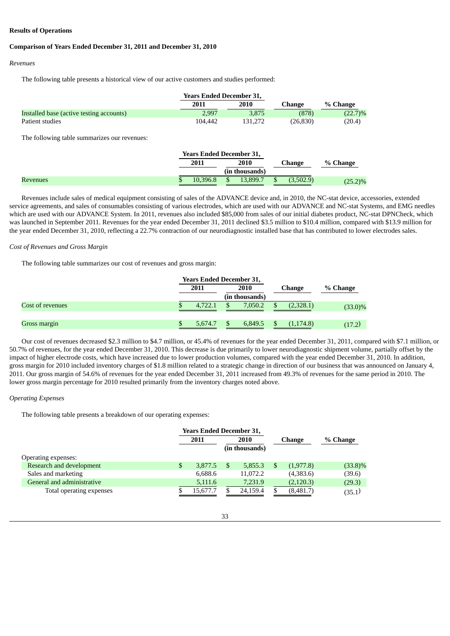## **Results of Operations**

## **Comparison of Years Ended December 31, 2011 and December 31, 2010**

#### *Revenues*

The following table presents a historical view of our active customers and studies performed:

|                                          | <b>Years Ended December 31.</b> |         |          |            |
|------------------------------------------|---------------------------------|---------|----------|------------|
|                                          | 2011                            | 2010    | Change   | % Change   |
| Installed base (active testing accounts) | 2.997                           | 3.875   | (878)    | $(22.7)\%$ |
| Patient studies                          | 104.442                         | 131.272 | (26,830) | (20.4)     |

The following table summarizes our revenues:

|          | <b>Years Ended December 31,</b> |   |                |  |           |            |
|----------|---------------------------------|---|----------------|--|-----------|------------|
|          | 2010<br>2011                    |   | <b>Change</b>  |  | % Change  |            |
|          |                                 |   | (in thousands) |  |           |            |
| Revenues | 10.396.8                        | æ | 13.899.7       |  | (3,502.9) | $(25.2)\%$ |

Revenues include sales of medical equipment consisting of sales of the ADVANCE device and, in 2010, the NC-stat device, accessories, extended service agreements, and sales of consumables consisting of various electrodes, which are used with our ADVANCE and NC-stat Systems, and EMG needles which are used with our ADVANCE System. In 2011, revenues also included \$85,000 from sales of our initial diabetes product, NC-stat DPNCheck, which was launched in September 2011. Revenues for the year ended December 31, 2011 declined \$3.5 million to \$10.4 million, compared with \$13.9 million for the year ended December 31, 2010, reflecting a 22.7% contraction of our neurodiagnostic installed base that has contributed to lower electrodes sales.

#### *Cost of Revenues and Gross Margin*

The following table summarizes our cost of revenues and gross margin:

|                  | <b>Years Ended December 31,</b> |   |                |  |            |            |  |
|------------------|---------------------------------|---|----------------|--|------------|------------|--|
|                  | 2011                            |   | 2010           |  | Change     | % Change   |  |
|                  |                                 |   | (in thousands) |  |            |            |  |
| Cost of revenues | \$<br>4.722.1                   | S | 7,050.2        |  | (2,328.1)  | $(33.0)\%$ |  |
|                  |                                 |   |                |  |            |            |  |
| Gross margin     | 5,674.7                         |   | 6,849.5        |  | (1, 174.8) | (17.2)     |  |

Our cost of revenues decreased \$2.3 million to \$4.7 million, or 45.4% of revenues for the year ended December 31, 2011, compared with \$7.1 million, or 50.7% of revenues, for the year ended December 31, 2010. This decrease is due primarily to lower neurodiagnostic shipment volume, partially offset by the impact of higher electrode costs, which have increased due to lower production volumes, compared with the year ended December 31, 2010. In addition, gross margin for 2010 included inventory charges of \$1.8 million related to a strategic change in direction of our business that was announced on January 4, 2011. Our gross margin of 54.6% of revenues for the year ended December 31, 2011 increased from 49.3% of revenues for the same period in 2010. The lower gross margin percentage for 2010 resulted primarily from the inventory charges noted above.

## *Operating Expenses*

The following table presents a breakdown of our operating expenses:

|                            | <b>Years Ended December 31,</b> |                        |               |           |            |
|----------------------------|---------------------------------|------------------------|---------------|-----------|------------|
|                            | 2011                            | 2010<br>(in thousands) | <b>Change</b> |           | % Change   |
| Operating expenses:        |                                 |                        |               |           |            |
| Research and development   | \$<br>3,877.5                   | 5,855.3                |               | (1,977.8) | $(33.8)\%$ |
| Sales and marketing        | 6,688.6                         | 11,072.2               |               | (4,383.6) | (39.6)     |
| General and administrative | 5,111.6                         | 7,231.9                |               | (2,120.3) | (29.3)     |
| Total operating expenses   | 15,677.7                        | 24,159.4               |               | (8,481.7) | (35.1)     |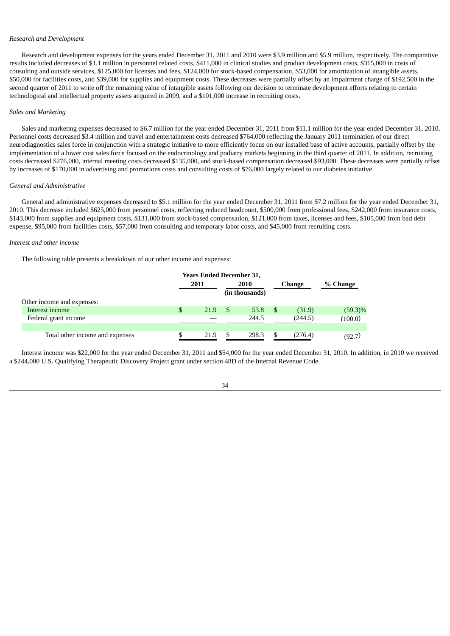#### *Research and Development*

Research and development expenses for the years ended December 31, 2011 and 2010 were \$3.9 million and \$5.9 million, respectively. The comparative results included decreases of \$1.1 million in personnel related costs, \$411,000 in clinical studies and product development costs, \$315,000 in costs of consulting and outside services, \$125,000 for licenses and fees, \$124,000 for stock-based compensation, \$53,000 for amortization of intangible assets, \$50,000 for facilities costs, and \$39,000 for supplies and equipment costs. These decreases were partially offset by an impairment charge of \$192,500 in the second quarter of 2011 to write off the remaining value of intangible assets following our decision to terminate development efforts relating to certain technological and intellectual property assets acquired in 2009, and a \$101,000 increase in recruiting costs.

#### *Sales and Marketing*

Sales and marketing expenses decreased to \$6.7 million for the year ended December 31, 2011 from \$11.1 million for the year ended December 31, 2010. Personnel costs decreased \$3.4 million and travel and entertainment costs decreased \$764,000 reflecting the January 2011 termination of our direct neurodiagnostics sales force in conjunction with a strategic initiative to more efficiently focus on our installed base of active accounts, partially offset by the implementation of a lower cost sales force focused on the endocrinology and podiatry markets beginning in the third quarter of 2011. In addition, recruiting costs decreased \$276,000, internal meeting costs decreased \$135,000, and stock-based compensation decreased \$93,000. These decreases were partially offset by increases of \$170,000 in advertising and promotions costs and consulting costs of \$76,000 largely related to our diabetes initiative.

#### *General and Administrative*

General and administrative expenses decreased to \$5.1 million for the year ended December 31, 2011 from \$7.2 million for the year ended December 31, 2010. This decrease included \$625,000 from personnel costs, reflecting reduced headcount, \$500,000 from professional fees, \$242,000 from insurance costs, \$143,000 from supplies and equipment costs, \$131,000 from stock-based compensation, \$121,000 from taxes, licenses and fees, \$105,000 from bad debt expense, \$95,000 from facilities costs, \$57,000 from consulting and temporary labor costs, and \$45,000 from recruiting costs.

#### *Interest and other income*

The following table presents a breakdown of our other income and expenses:

|                                 |              |      | <b>Years Ended December 31,</b> |       |               |         |            |
|---------------------------------|--------------|------|---------------------------------|-------|---------------|---------|------------|
|                                 | 2011         |      | 2010                            |       | <b>Change</b> |         | % Change   |
|                                 |              |      | (in thousands)                  |       |               |         |            |
| Other income and expenses:      |              |      |                                 |       |               |         |            |
| Interest income                 | $\mathbb{S}$ | 21.9 | -S                              | 53.8  |               | (31.9)  | $(59.3)\%$ |
| Federal grant income            |              |      |                                 | 244.5 |               | (244.5) | (100.0)    |
|                                 |              |      |                                 |       |               |         |            |
| Total other income and expenses |              | 21.9 | .S                              | 298.3 | S             | (276.4) | (92.7)     |

Interest income was \$22,000 for the year ended December 31, 2011 and \$54,000 for the year ended December 31, 2010. In addition, in 2010 we received a \$244,000 U.S. Qualifying Therapeutic Discovery Project grant under section 48D of the Internal Revenue Code.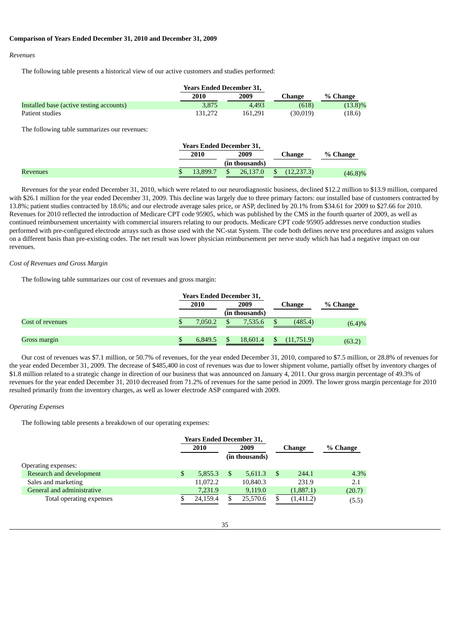## **Comparison of Years Ended December 31, 2010 and December 31, 2009**

## *Revenues*

The following table presents a historical view of our active customers and studies performed:

|                                              | <b>Years Ended December 31,</b> |         |          |            |
|----------------------------------------------|---------------------------------|---------|----------|------------|
|                                              | 2010                            | 2009    | Change   | % Change   |
| Installed base (active testing accounts)     | 3,875                           | 4.493   | (618)    | $(13.8)\%$ |
| Patient studies                              | 131,272                         | 161,291 | (30,019) | (18.6)     |
| The following table summarizes our revenues: |                                 |         |          |            |
|                                              | <b>Years Ended December 31,</b> |         |          |            |

|                 | . |          |               |                |                  |            |
|-----------------|---|----------|---------------|----------------|------------------|------------|
|                 |   | 2010     |               | 2009           | Change           | % Change   |
|                 |   |          |               | (in thousands) |                  |            |
| <b>Revenues</b> |   | 13.899.7 | <sup>\$</sup> | 26,137.0       | \$<br>(12.237.3) | $(46.8)\%$ |

Revenues for the year ended December 31, 2010, which were related to our neurodiagnostic business, declined \$12.2 million to \$13.9 million, compared with \$26.1 million for the year ended December 31, 2009. This decline was largely due to three primary factors: our installed base of customers contracted by 13.8%; patient studies contracted by 18.6%; and our electrode average sales price, or ASP, declined by 20.1% from \$34.61 for 2009 to \$27.66 for 2010. Revenues for 2010 reflected the introduction of Medicare CPT code 95905, which was published by the CMS in the fourth quarter of 2009, as well as continued reimbursement uncertainty with commercial insurers relating to our products. Medicare CPT code 95905 addresses nerve conduction studies performed with pre-configured electrode arrays such as those used with the NC-stat System. The code both defines nerve test procedures and assigns values on a different basis than pre-existing codes. The net result was lower physician reimbursement per nerve study which has had a negative impact on our revenues.

## *Cost of Revenues and Gross Margin*

The following table summarizes our cost of revenues and gross margin:

|                  |                | <b>Years Ended December 31,</b> |      |          |        |            |          |  |  |
|------------------|----------------|---------------------------------|------|----------|--------|------------|----------|--|--|
|                  | 2010           |                                 | 2009 |          | Change |            | % Change |  |  |
|                  | (in thousands) |                                 |      |          |        |            |          |  |  |
| Cost of revenues |                | 7.050.2                         | \$   | 7.535.6  |        | (485.4)    | (6.4)%   |  |  |
|                  |                |                                 |      |          |        |            |          |  |  |
| Gross margin     |                | 6,849.5                         |      | 18,601.4 |        | (11,751.9) | (63.2)   |  |  |

Our cost of revenues was \$7.1 million, or 50.7% of revenues, for the year ended December 31, 2010, compared to \$7.5 million, or 28.8% of revenues for the year ended December 31, 2009. The decrease of \$485,400 in cost of revenues was due to lower shipment volume, partially offset by inventory charges of \$1.8 million related to a strategic change in direction of our business that was announced on January 4, 2011. Our gross margin percentage of 49.3% of revenues for the year ended December 31, 2010 decreased from 71.2% of revenues for the same period in 2009. The lower gross margin percentage for 2010 resulted primarily from the inventory charges, as well as lower electrode ASP compared with 2009.

#### *Operating Expenses*

The following table presents a breakdown of our operating expenses:

|                            | <b>Years Ended December 31,</b> |          |      |                |               |           |          |
|----------------------------|---------------------------------|----------|------|----------------|---------------|-----------|----------|
|                            | 2010                            |          | 2009 |                | <b>Change</b> |           | % Change |
|                            |                                 |          |      | (in thousands) |               |           |          |
| Operating expenses:        |                                 |          |      |                |               |           |          |
| Research and development   | S                               | 5,855.3  |      | 5,611.3        |               | 244.1     | 4.3%     |
| Sales and marketing        |                                 | 11,072.2 |      | 10,840.3       |               | 231.9     | 2.1      |
| General and administrative |                                 | 7,231.9  |      | 9,119.0        |               | (1,887.1) | (20.7)   |
| Total operating expenses   |                                 | 24,159.4 |      | 25.570.6       |               | (1,411.2) | (5.5)    |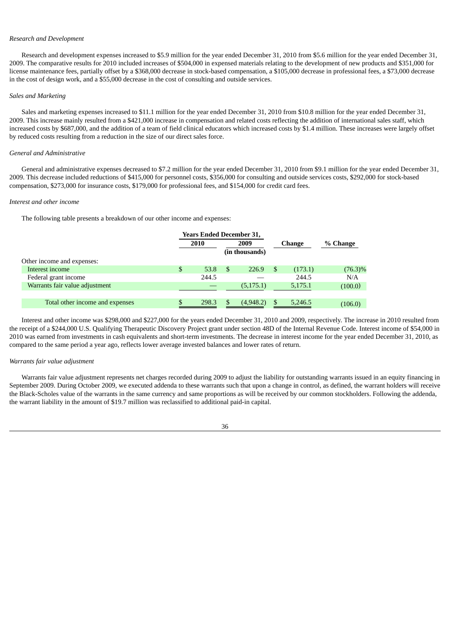## *Research and Development*

Research and development expenses increased to \$5.9 million for the year ended December 31, 2010 from \$5.6 million for the year ended December 31, 2009. The comparative results for 2010 included increases of \$504,000 in expensed materials relating to the development of new products and \$351,000 for license maintenance fees, partially offset by a \$368,000 decrease in stock-based compensation, a \$105,000 decrease in professional fees, a \$73,000 decrease in the cost of design work, and a \$55,000 decrease in the cost of consulting and outside services.

# *Sales and Marketing*

Sales and marketing expenses increased to \$11.1 million for the year ended December 31, 2010 from \$10.8 million for the year ended December 31, 2009. This increase mainly resulted from a \$421,000 increase in compensation and related costs reflecting the addition of international sales staff, which increased costs by \$687,000, and the addition of a team of field clinical educators which increased costs by \$1.4 million. These increases were largely offset by reduced costs resulting from a reduction in the size of our direct sales force.

### *General and Administrative*

General and administrative expenses decreased to \$7.2 million for the year ended December 31, 2010 from \$9.1 million for the year ended December 31, 2009. This decrease included reductions of \$415,000 for personnel costs, \$356,000 for consulting and outside services costs, \$292,000 for stock-based compensation, \$273,000 for insurance costs, \$179,000 for professional fees, and \$154,000 for credit card fees.

## *Interest and other income*

The following table presents a breakdown of our other income and expenses:

|                                 | <b>Years Ended December 31,</b> |               |                |   |         |            |
|---------------------------------|---------------------------------|---------------|----------------|---|---------|------------|
|                                 | 2010<br>2009                    |               |                |   | Change  | % Change   |
|                                 |                                 |               | (in thousands) |   |         |            |
| Other income and expenses:      |                                 |               |                |   |         |            |
| Interest income                 | \$<br>53.8                      | <sup>\$</sup> | 226.9          | S | (173.1) | $(76.3)\%$ |
| Federal grant income            | 244.5                           |               |                |   | 244.5   | N/A        |
| Warrants fair value adjustment  |                                 |               | (5, 175.1)     |   | 5,175.1 | (100.0)    |
|                                 |                                 |               |                |   |         |            |
| Total other income and expenses | 298.3                           | .S            | (4,948.2)      | S | 5,246.5 | (106.0)    |

Interest and other income was \$298,000 and \$227,000 for the years ended December 31, 2010 and 2009, respectively. The increase in 2010 resulted from the receipt of a \$244,000 U.S. Qualifying Therapeutic Discovery Project grant under section 48D of the Internal Revenue Code. Interest income of \$54,000 in 2010 was earned from investments in cash equivalents and short-term investments. The decrease in interest income for the year ended December 31, 2010, as compared to the same period a year ago, reflects lower average invested balances and lower rates of return.

#### *Warrants fair value adjustment*

Warrants fair value adjustment represents net charges recorded during 2009 to adjust the liability for outstanding warrants issued in an equity financing in September 2009. During October 2009, we executed addenda to these warrants such that upon a change in control, as defined, the warrant holders will receive the Black-Scholes value of the warrants in the same currency and same proportions as will be received by our common stockholders. Following the addenda, the warrant liability in the amount of \$19.7 million was reclassified to additional paid-in capital.

36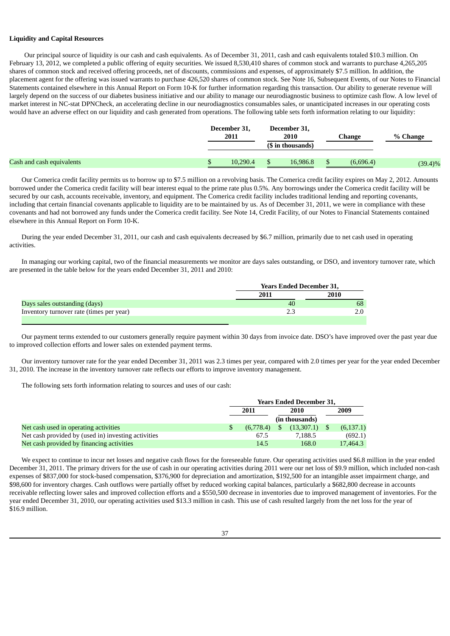## **Liquidity and Capital Resources**

Our principal source of liquidity is our cash and cash equivalents. As of December 31, 2011, cash and cash equivalents totaled \$10.3 million. On February 13, 2012, we completed a public offering of equity securities. We issued 8,530,410 shares of common stock and warrants to purchase 4,265,205 shares of common stock and received offering proceeds, net of discounts, commissions and expenses, of approximately \$7.5 million. In addition, the placement agent for the offering was issued warrants to purchase 426,520 shares of common stock. See Note 16, Subsequent Events, of our Notes to Financial Statements contained elsewhere in this Annual Report on Form 10-K for further information regarding this transaction. Our ability to generate revenue will largely depend on the success of our diabetes business initiative and our ability to manage our neurodiagnostic business to optimize cash flow. A low level of market interest in NC-stat DPNCheck, an accelerating decline in our neurodiagnostics consumables sales, or unanticipated increases in our operating costs would have an adverse effect on our liquidity and cash generated from operations. The following table sets forth information relating to our liquidity:

|                           | December 31,<br>2011 | December 31,<br>2010<br>(\$ in thousands) | <b>Change</b> |           | % Change   |
|---------------------------|----------------------|-------------------------------------------|---------------|-----------|------------|
| Cash and cash equivalents | 10.290.4             | 16,986.8                                  |               | (6,696.4) | $(39.4)\%$ |

Our Comerica credit facility permits us to borrow up to \$7.5 million on a revolving basis. The Comerica credit facility expires on May 2, 2012. Amounts borrowed under the Comerica credit facility will bear interest equal to the prime rate plus 0.5%. Any borrowings under the Comerica credit facility will be secured by our cash, accounts receivable, inventory, and equipment. The Comerica credit facility includes traditional lending and reporting covenants, including that certain financial covenants applicable to liquidity are to be maintained by us. As of December 31, 2011, we were in compliance with these covenants and had not borrowed any funds under the Comerica credit facility. See Note 14, Credit Facility, of our Notes to Financial Statements contained elsewhere in this Annual Report on Form 10-K.

During the year ended December 31, 2011, our cash and cash equivalents decreased by \$6.7 million, primarily due to net cash used in operating activities.

In managing our working capital, two of the financial measurements we monitor are days sales outstanding, or DSO, and inventory turnover rate, which are presented in the table below for the years ended December 31, 2011 and 2010:

|                                          | <b>Years Ended December 31,</b> |      |
|------------------------------------------|---------------------------------|------|
|                                          | 2011                            | 2010 |
| Days sales outstanding (days)            | 40                              | 68   |
| Inventory turnover rate (times per year) |                                 |      |
|                                          |                                 |      |

Our payment terms extended to our customers generally require payment within 30 days from invoice date. DSO's have improved over the past year due to improved collection efforts and lower sales on extended payment terms.

Our inventory turnover rate for the year ended December 31, 2011 was 2.3 times per year, compared with 2.0 times per year for the year ended December 31, 2010. The increase in the inventory turnover rate reflects our efforts to improve inventory management.

The following sets forth information relating to sources and uses of our cash:

|                                                     | <b>Years Ended December 31,</b> |           |              |                 |  |           |
|-----------------------------------------------------|---------------------------------|-----------|--------------|-----------------|--|-----------|
|                                                     |                                 | 2011      |              | 2010            |  | 2009      |
|                                                     |                                 |           |              | (in thousands)  |  |           |
| Net cash used in operating activities               |                                 | (6.778.4) | <sup>S</sup> | $(13,307.1)$ \$ |  | (6,137.1) |
| Net cash provided by (used in) investing activities |                                 | 67.5      |              | 7.188.5         |  | (692.1)   |
| Net cash provided by financing activities           |                                 | 14.5      |              | 168.0           |  | 17.464.3  |

We expect to continue to incur net losses and negative cash flows for the foreseeable future. Our operating activities used \$6.8 million in the year ended December 31, 2011. The primary drivers for the use of cash in our operating activities during 2011 were our net loss of \$9.9 million, which included non-cash expenses of \$837,000 for stock-based compensation, \$376,900 for depreciation and amortization, \$192,500 for an intangible asset impairment charge, and \$98,600 for inventory charges. Cash outflows were partially offset by reduced working capital balances, particularly a \$682,800 decrease in accounts receivable reflecting lower sales and improved collection efforts and a \$550,500 decrease in inventories due to improved management of inventories. For the year ended December 31, 2010, our operating activities used \$13.3 million in cash. This use of cash resulted largely from the net loss for the year of \$16.9 million.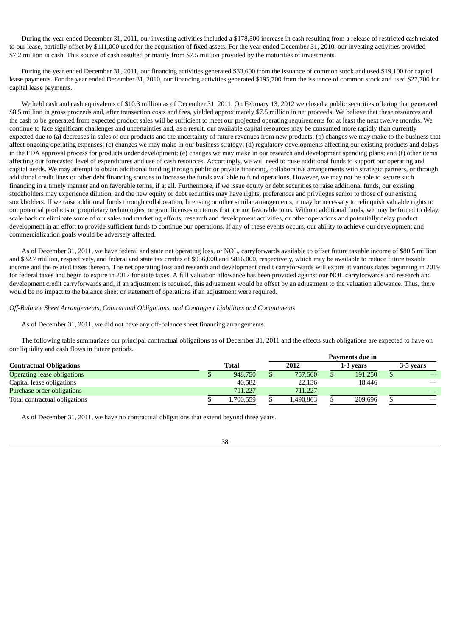During the year ended December 31, 2011, our investing activities included a \$178,500 increase in cash resulting from a release of restricted cash related to our lease, partially offset by \$111,000 used for the acquisition of fixed assets. For the year ended December 31, 2010, our investing activities provided \$7.2 million in cash. This source of cash resulted primarily from \$7.5 million provided by the maturities of investments.

During the year ended December 31, 2011, our financing activities generated \$33,600 from the issuance of common stock and used \$19,100 for capital lease payments. For the year ended December 31, 2010, our financing activities generated \$195,700 from the issuance of common stock and used \$27,700 for capital lease payments.

We held cash and cash equivalents of \$10.3 million as of December 31, 2011. On February 13, 2012 we closed a public securities offering that generated \$8.5 million in gross proceeds and, after transaction costs and fees, yielded approximately \$7.5 million in net proceeds. We believe that these resources and the cash to be generated from expected product sales will be sufficient to meet our projected operating requirements for at least the next twelve months. We continue to face significant challenges and uncertainties and, as a result, our available capital resources may be consumed more rapidly than currently expected due to (a) decreases in sales of our products and the uncertainty of future revenues from new products; (b) changes we may make to the business that affect ongoing operating expenses; (c) changes we may make in our business strategy; (d) regulatory developments affecting our existing products and delays in the FDA approval process for products under development; (e) changes we may make in our research and development spending plans; and (f) other items affecting our forecasted level of expenditures and use of cash resources. Accordingly, we will need to raise additional funds to support our operating and capital needs. We may attempt to obtain additional funding through public or private financing, collaborative arrangements with strategic partners, or through additional credit lines or other debt financing sources to increase the funds available to fund operations. However, we may not be able to secure such financing in a timely manner and on favorable terms, if at all. Furthermore, if we issue equity or debt securities to raise additional funds, our existing stockholders may experience dilution, and the new equity or debt securities may have rights, preferences and privileges senior to those of our existing stockholders. If we raise additional funds through collaboration, licensing or other similar arrangements, it may be necessary to relinquish valuable rights to our potential products or proprietary technologies, or grant licenses on terms that are not favorable to us. Without additional funds, we may be forced to delay, scale back or eliminate some of our sales and marketing efforts, research and development activities, or other operations and potentially delay product development in an effort to provide sufficient funds to continue our operations. If any of these events occurs, our ability to achieve our development and commercialization goals would be adversely affected.

As of December 31, 2011, we have federal and state net operating loss, or NOL, carryforwards available to offset future taxable income of \$80.5 million and \$32.7 million, respectively, and federal and state tax credits of \$956,000 and \$816,000, respectively, which may be available to reduce future taxable income and the related taxes thereon. The net operating loss and research and development credit carryforwards will expire at various dates beginning in 2019 for federal taxes and begin to expire in 2012 for state taxes. A full valuation allowance has been provided against our NOL carryforwards and research and development credit carryforwards and, if an adjustment is required, this adjustment would be offset by an adjustment to the valuation allowance. Thus, there would be no impact to the balance sheet or statement of operations if an adjustment were required.

*Off-Balance Sheet Arrangements, Contractual Obligations, and Contingent Liabilities and Commitments*

As of December 31, 2011, we did not have any off-balance sheet financing arrangements.

The following table summarizes our principal contractual obligations as of December 31, 2011 and the effects such obligations are expected to have on our liquidity and cash flows in future periods. **Payments due in**

|                                |           |           | Payments que m |           |
|--------------------------------|-----------|-----------|----------------|-----------|
| <b>Contractual Obligations</b> | Total     | 2012      | 1-3 years      | 3-5 years |
| Operating lease obligations    | 948,750   | 757,500   | 191.250        |           |
| Capital lease obligations      | 40.582    | 22.136    | 18.446         |           |
| Purchase order obligations     | 711,227   | 711.227   |                |           |
| Total contractual obligations  | 1,700,559 | 1,490,863 | 209,696        |           |

As of December 31, 2011, we have no contractual obligations that extend beyond three years.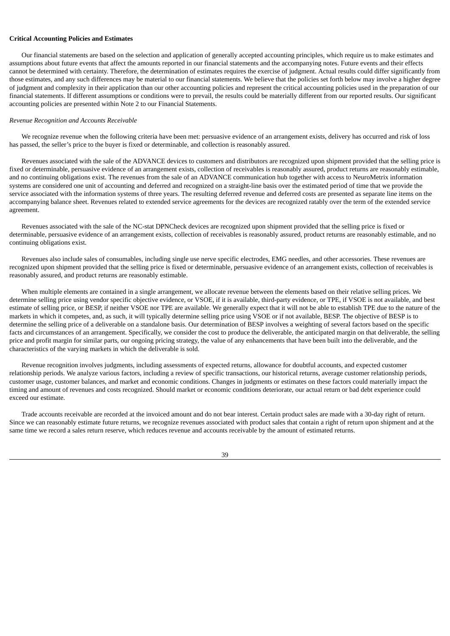## **Critical Accounting Policies and Estimates**

Our financial statements are based on the selection and application of generally accepted accounting principles, which require us to make estimates and assumptions about future events that affect the amounts reported in our financial statements and the accompanying notes. Future events and their effects cannot be determined with certainty. Therefore, the determination of estimates requires the exercise of judgment. Actual results could differ significantly from those estimates, and any such differences may be material to our financial statements. We believe that the policies set forth below may involve a higher degree of judgment and complexity in their application than our other accounting policies and represent the critical accounting policies used in the preparation of our financial statements. If different assumptions or conditions were to prevail, the results could be materially different from our reported results. Our significant accounting policies are presented within Note 2 to our Financial Statements.

## *Revenue Recognition and Accounts Receivable*

We recognize revenue when the following criteria have been met: persuasive evidence of an arrangement exists, delivery has occurred and risk of loss has passed, the seller's price to the buyer is fixed or determinable, and collection is reasonably assured.

Revenues associated with the sale of the ADVANCE devices to customers and distributors are recognized upon shipment provided that the selling price is fixed or determinable, persuasive evidence of an arrangement exists, collection of receivables is reasonably assured, product returns are reasonably estimable, and no continuing obligations exist. The revenues from the sale of an ADVANCE communication hub together with access to NeuroMetrix information systems are considered one unit of accounting and deferred and recognized on a straight-line basis over the estimated period of time that we provide the service associated with the information systems of three years. The resulting deferred revenue and deferred costs are presented as separate line items on the accompanying balance sheet. Revenues related to extended service agreements for the devices are recognized ratably over the term of the extended service agreement.

Revenues associated with the sale of the NC-stat DPNCheck devices are recognized upon shipment provided that the selling price is fixed or determinable, persuasive evidence of an arrangement exists, collection of receivables is reasonably assured, product returns are reasonably estimable, and no continuing obligations exist.

Revenues also include sales of consumables, including single use nerve specific electrodes, EMG needles, and other accessories. These revenues are recognized upon shipment provided that the selling price is fixed or determinable, persuasive evidence of an arrangement exists, collection of receivables is reasonably assured, and product returns are reasonably estimable.

When multiple elements are contained in a single arrangement, we allocate revenue between the elements based on their relative selling prices. We determine selling price using vendor specific objective evidence, or VSOE, if it is available, third-party evidence, or TPE, if VSOE is not available, and best estimate of selling price, or BESP, if neither VSOE nor TPE are available. We generally expect that it will not be able to establish TPE due to the nature of the markets in which it competes, and, as such, it will typically determine selling price using VSOE or if not available, BESP. The objective of BESP is to determine the selling price of a deliverable on a standalone basis. Our determination of BESP involves a weighting of several factors based on the specific facts and circumstances of an arrangement. Specifically, we consider the cost to produce the deliverable, the anticipated margin on that deliverable, the selling price and profit margin for similar parts, our ongoing pricing strategy, the value of any enhancements that have been built into the deliverable, and the characteristics of the varying markets in which the deliverable is sold.

Revenue recognition involves judgments, including assessments of expected returns, allowance for doubtful accounts, and expected customer relationship periods. We analyze various factors, including a review of specific transactions, our historical returns, average customer relationship periods, customer usage, customer balances, and market and economic conditions. Changes in judgments or estimates on these factors could materially impact the timing and amount of revenues and costs recognized. Should market or economic conditions deteriorate, our actual return or bad debt experience could exceed our estimate.

Trade accounts receivable are recorded at the invoiced amount and do not bear interest. Certain product sales are made with a 30-day right of return. Since we can reasonably estimate future returns, we recognize revenues associated with product sales that contain a right of return upon shipment and at the same time we record a sales return reserve, which reduces revenue and accounts receivable by the amount of estimated returns.

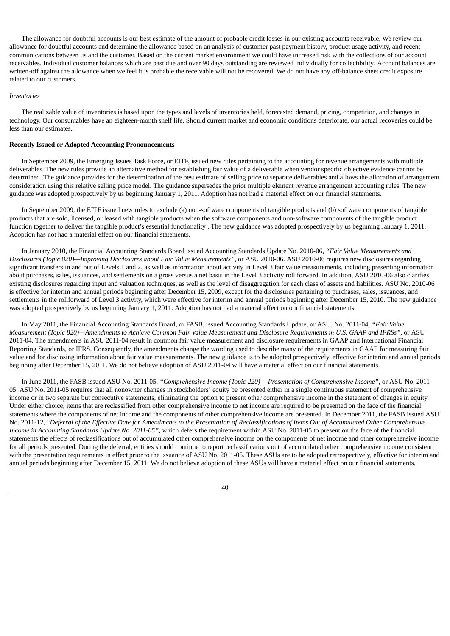The allowance for doubtful accounts is our best estimate of the amount of probable credit losses in our existing accounts receivable. We review our allowance for doubtful accounts and determine the allowance based on an analysis of customer past payment history, product usage activity, and recent communications between us and the customer. Based on the current market environment we could have increased risk with the collections of our account receivables. Individual customer balances which are past due and over 90 days outstanding are reviewed individually for collectibility. Account balances are written-off against the allowance when we feel it is probable the receivable will not be recovered. We do not have any off-balance sheet credit exposure related to our customers.

### *Inventories*

The realizable value of inventories is based upon the types and levels of inventories held, forecasted demand, pricing, competition, and changes in technology. Our consumables have an eighteen-month shelf life. Should current market and economic conditions deteriorate, our actual recoveries could be less than our estimates.

# **Recently Issued or Adopted Accounting Pronouncements**

In September 2009, the Emerging Issues Task Force, or EITF, issued new rules pertaining to the accounting for revenue arrangements with multiple deliverables. The new rules provide an alternative method for establishing fair value of a deliverable when vendor specific objective evidence cannot be determined. The guidance provides for the determination of the best estimate of selling price to separate deliverables and allows the allocation of arrangement consideration using this relative selling price model. The guidance supersedes the prior multiple element revenue arrangement accounting rules. The new guidance was adopted prospectively by us beginning January 1, 2011. Adoption has not had a material effect on our financial statements.

In September 2009, the EITF issued new rules to exclude (a) non-software components of tangible products and (b) software components of tangible products that are sold, licensed, or leased with tangible products when the software components and non-software components of the tangible product function together to deliver the tangible product's essential functionality . The new guidance was adopted prospectively by us beginning January 1, 2011. Adoption has not had a material effect on our financial statements.

In January 2010, the Financial Accounting Standards Board issued Accounting Standards Update No. 2010-06*, "Fair Value Measurements and Disclosures (Topic 820)—Improving Disclosures about Fair Value Measurements"*, or ASU 2010-06. ASU 2010-06 requires new disclosures regarding significant transfers in and out of Levels 1 and 2, as well as information about activity in Level 3 fair value measurements, including presenting information about purchases, sales, issuances, and settlements on a gross versus a net basis in the Level 3 activity roll forward. In addition, ASU 2010-06 also clarifies existing disclosures regarding input and valuation techniques, as well as the level of disaggregation for each class of assets and liabilities. ASU No. 2010-06 is effective for interim and annual periods beginning after December 15, 2009, except for the disclosures pertaining to purchases, sales, issuances, and settlements in the rollforward of Level 3 activity, which were effective for interim and annual periods beginning after December 15, 2010. The new guidance was adopted prospectively by us beginning January 1, 2011. Adoption has not had a material effect on our financial statements.

In May 2011, the Financial Accounting Standards Board, or FASB, issued Accounting Standards Update, or ASU, No. 2011-04*, "Fair Value* Measurement (Topic 820)—Amendments to Achieve Common Fair Value Measurement and Disclosure Requirements in U.S. GAAP and IFRSs", or ASU 2011-04. The amendments in ASU 2011-04 result in common fair value measurement and disclosure requirements in GAAP and International Financial Reporting Standards, or IFRS. Consequently, the amendments change the wording used to describe many of the requirements in GAAP for measuring fair value and for disclosing information about fair value measurements. The new guidance is to be adopted prospectively, effective for interim and annual periods beginning after December 15, 2011. We do not believe adoption of ASU 2011-04 will have a material effect on our financial statements.

In June 2011, the FASB issued ASU No. 2011-05, *"Comprehensive Income (Topic 220) —Presentation of Comprehensive Income"*, or ASU No. 2011- 05. ASU No. 2011-05 requires that all nonowner changes in stockholders' equity be presented either in a single continuous statement of comprehensive income or in two separate but consecutive statements, eliminating the option to present other comprehensive income in the statement of changes in equity. Under either choice, items that are reclassified from other comprehensive income to net income are required to be presented on the face of the financial statements where the components of net income and the components of other comprehensive income are presented. In December 2011, the FASB issued ASU No. 2011-12, "Deferral of the Effective Date for Amendments to the Presentation of Reclassifications of Items Out of Accumulated Other Comprehensive *Income in Accounting Standards Update No. 2011-05"*, which defers the requirement within ASU No. 2011-05 to present on the face of the financial statements the effects of reclassifications out of accumulated other comprehensive income on the components of net income and other comprehensive income for all periods presented. During the deferral, entities should continue to report reclassifications out of accumulated other comprehensive income consistent with the presentation requirements in effect prior to the issuance of ASU No. 2011-05. These ASUs are to be adopted retrospectively, effective for interim and annual periods beginning after December 15, 2011. We do not believe adoption of these ASUs will have a material effect on our financial statements.

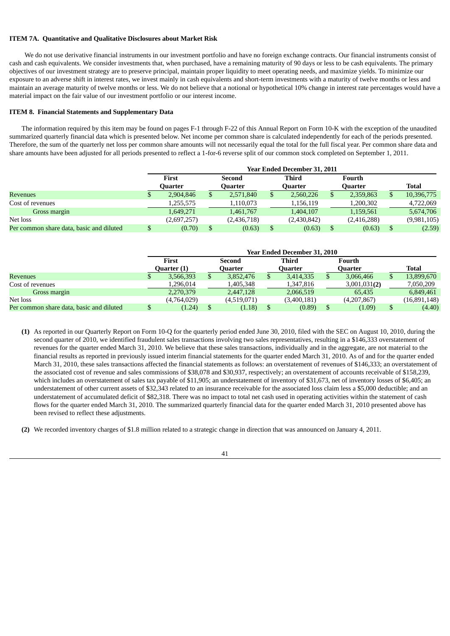## **ITEM 7A. Quantitative and Qualitative Disclosures about Market Risk**

We do not use derivative financial instruments in our investment portfolio and have no foreign exchange contracts. Our financial instruments consist of cash and cash equivalents. We consider investments that, when purchased, have a remaining maturity of 90 days or less to be cash equivalents. The primary objectives of our investment strategy are to preserve principal, maintain proper liquidity to meet operating needs, and maximize yields. To minimize our exposure to an adverse shift in interest rates, we invest mainly in cash equivalents and short-term investments with a maturity of twelve months or less and maintain an average maturity of twelve months or less. We do not believe that a notional or hypothetical 10% change in interest rate percentages would have a material impact on the fair value of our investment portfolio or our interest income.

## **ITEM 8. Financial Statements and Supplementary Data**

The information required by this item may be found on pages F-1 through F-22 of this Annual Report on Form 10-K with the exception of the unaudited summarized quarterly financial data which is presented below. Net income per common share is calculated independently for each of the periods presented. Therefore, the sum of the quarterly net loss per common share amounts will not necessarily equal the total for the full fiscal year. Per common share data and share amounts have been adjusted for all periods presented to reflect a 1-for-6 reverse split of our common stock completed on September 1, 2011.

|                                          | <b>Year Ended December 31, 2011</b> |  |             |  |             |  |             |  |              |  |
|------------------------------------------|-------------------------------------|--|-------------|--|-------------|--|-------------|--|--------------|--|
|                                          | First                               |  | Second      |  | Third       |  | Fourth      |  |              |  |
|                                          | Ouarter                             |  | Ouarter     |  | Ouarter     |  | Ouarter     |  | <b>Total</b> |  |
| Revenues                                 | 2.904.846                           |  | 2,571,840   |  | 2,560,226   |  | 2,359,863   |  | 10,396,775   |  |
| Cost of revenues                         | 1,255,575                           |  | 1,110,073   |  | 1,156,119   |  | 1,200,302   |  | 4,722,069    |  |
| Gross margin                             | 1,649,271                           |  | 1,461,767   |  | 1,404,107   |  | 1,159,561   |  | 5,674,706    |  |
| Net loss                                 | (2,697,257)                         |  | (2,436,718) |  | (2,430,842) |  | (2,416,288) |  | (9,981,105)  |  |
| Per common share data, basic and diluted | (0.70)                              |  | (0.63)      |  | (0.63)      |  | (0.63)      |  | (2.59)       |  |

|                                          |    | <b>Year Ended December 31, 2010</b> |  |             |  |             |  |                |    |              |  |
|------------------------------------------|----|-------------------------------------|--|-------------|--|-------------|--|----------------|----|--------------|--|
|                                          |    | First                               |  | Second      |  | Third       |  | Fourth         |    |              |  |
|                                          |    | Quarter (1)                         |  | Ouarter     |  | Ouarter     |  | <b>Quarter</b> |    | <b>Total</b> |  |
| Revenues                                 | ۰υ | 3,566,393                           |  | 3,852,476   |  | 3,414,335   |  | 3,066,466      |    | 13,899,670   |  |
| Cost of revenues                         |    | 1,296,014                           |  | 1,405,348   |  | 1,347,816   |  | 3,001,031(2)   |    | 7,050,209    |  |
| Gross margin                             |    | 2,270,379                           |  | 2.447.128   |  | 2,066,519   |  | 65.435         |    | 6.849.461    |  |
| Net loss                                 |    | (4,764,029)                         |  | (4,519,071) |  | (3,400,181) |  | (4,207,867)    |    | (16,891,148) |  |
| Per common share data, basic and diluted |    | (1.24)                              |  | (1.18)      |  | (0.89)      |  | (1.09)         | -S | (4.40)       |  |

**(1)** As reported in our Quarterly Report on Form 10-Q for the quarterly period ended June 30, 2010, filed with the SEC on August 10, 2010, during the second quarter of 2010, we identified fraudulent sales transactions involving two sales representatives, resulting in a \$146,333 overstatement of revenues for the quarter ended March 31, 2010. We believe that these sales transactions, individually and in the aggregate, are not material to the financial results as reported in previously issued interim financial statements for the quarter ended March 31, 2010. As of and for the quarter ended March 31, 2010, these sales transactions affected the financial statements as follows: an overstatement of revenues of \$146,333; an overstatement of the associated cost of revenue and sales commissions of \$38,078 and \$30,937, respectively; an overstatement of accounts receivable of \$158,239, which includes an overstatement of sales tax payable of \$11,905; an understatement of inventory of \$31,673, net of inventory losses of \$6,405; an understatement of other current assets of \$32,343 related to an insurance receivable for the associated loss claim less a \$5,000 deductible; and an understatement of accumulated deficit of \$82,318. There was no impact to total net cash used in operating activities within the statement of cash flows for the quarter ended March 31, 2010. The summarized quarterly financial data for the quarter ended March 31, 2010 presented above has been revised to reflect these adjustments.

**(2)** We recorded inventory charges of \$1.8 million related to a strategic change in direction that was announced on January 4, 2011.

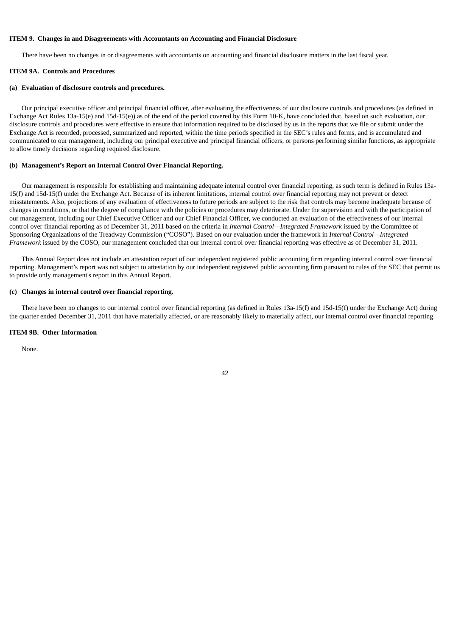### **ITEM 9. Changes in and Disagreements with Accountants on Accounting and Financial Disclosure**

There have been no changes in or disagreements with accountants on accounting and financial disclosure matters in the last fiscal year.

## **ITEM 9A. Controls and Procedures**

## **(a) Evaluation of disclosure controls and procedures.**

Our principal executive officer and principal financial officer, after evaluating the effectiveness of our disclosure controls and procedures (as defined in Exchange Act Rules 13a-15(e) and 15d-15(e)) as of the end of the period covered by this Form 10-K, have concluded that, based on such evaluation, our disclosure controls and procedures were effective to ensure that information required to be disclosed by us in the reports that we file or submit under the Exchange Act is recorded, processed, summarized and reported, within the time periods specified in the SEC's rules and forms, and is accumulated and communicated to our management, including our principal executive and principal financial officers, or persons performing similar functions, as appropriate to allow timely decisions regarding required disclosure.

# **(b) Management's Report on Internal Control Over Financial Reporting.**

Our management is responsible for establishing and maintaining adequate internal control over financial reporting, as such term is defined in Rules 13a-15(f) and 15d-15(f) under the Exchange Act. Because of its inherent limitations, internal control over financial reporting may not prevent or detect misstatements. Also, projections of any evaluation of effectiveness to future periods are subject to the risk that controls may become inadequate because of changes in conditions, or that the degree of compliance with the policies or procedures may deteriorate. Under the supervision and with the participation of our management, including our Chief Executive Officer and our Chief Financial Officer, we conducted an evaluation of the effectiveness of our internal control over financial reporting as of December 31, 2011 based on the criteria in *Internal Control—Integrated Framework* issued by the Committee of Sponsoring Organizations of the Treadway Commission ("COSO"). Based on our evaluation under the framework in *Internal Control—Integrated Framework* issued by the COSO, our management concluded that our internal control over financial reporting was effective as of December 31, 2011.

This Annual Report does not include an attestation report of our independent registered public accounting firm regarding internal control over financial reporting. Management's report was not subject to attestation by our independent registered public accounting firm pursuant to rules of the SEC that permit us to provide only management's report in this Annual Report.

### **(c) Changes in internal control over financial reporting.**

There have been no changes to our internal control over financial reporting (as defined in Rules 13a-15(f) and 15d-15(f) under the Exchange Act) during the quarter ended December 31, 2011 that have materially affected, or are reasonably likely to materially affect, our internal control over financial reporting.

### **ITEM 9B. Other Information**

None.

42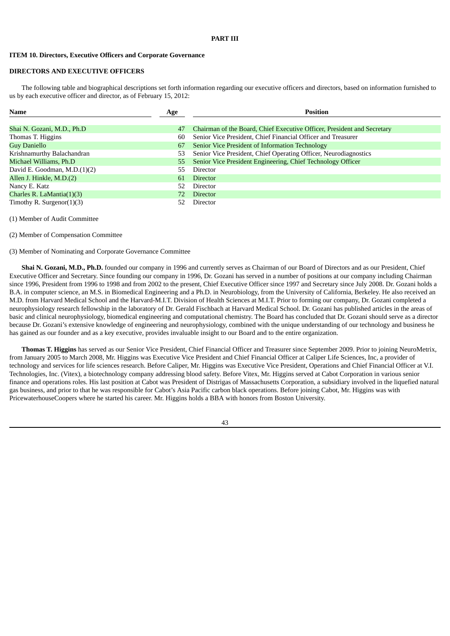### **PART III**

## **ITEM 10. Directors, Executive Officers and Corporate Governance**

## **DIRECTORS AND EXECUTIVE OFFICERS**

The following table and biographical descriptions set forth information regarding our executive officers and directors, based on information furnished to us by each executive officer and director, as of February 15, 2012:

| Name                            | Age  | <b>Position</b>                                                         |
|---------------------------------|------|-------------------------------------------------------------------------|
|                                 |      |                                                                         |
| Shai N. Gozani, M.D., Ph.D      | 47   | Chairman of the Board, Chief Executive Officer, President and Secretary |
| Thomas T. Higgins               | 60   | Senior Vice President, Chief Financial Officer and Treasurer            |
| <b>Guy Daniello</b>             | 67   | Senior Vice President of Information Technology                         |
| Krishnamurthy Balachandran      | 53   | Senior Vice President, Chief Operating Officer, Neurodiagnostics        |
| Michael Williams, Ph.D          | 55 - | Senior Vice President Engineering, Chief Technology Officer             |
| David E. Goodman, M.D. $(1)(2)$ | 55   | Director                                                                |
| Allen J. Hinkle, M.D.(2)        | 61   | Director                                                                |
| Nancy E. Katz                   | 52   | Director                                                                |
| Charles R. LaMantia $(1)(3)$    | 72   | <b>Director</b>                                                         |
| Timothy R. Surgenor $(1)(3)$    |      | Director                                                                |

(1) Member of Audit Committee

(2) Member of Compensation Committee

(3) Member of Nominating and Corporate Governance Committee

**Shai N. Gozani, M.D., Ph.D.** founded our company in 1996 and currently serves as Chairman of our Board of Directors and as our President, Chief Executive Officer and Secretary. Since founding our company in 1996, Dr. Gozani has served in a number of positions at our company including Chairman since 1996, President from 1996 to 1998 and from 2002 to the present, Chief Executive Officer since 1997 and Secretary since July 2008. Dr. Gozani holds a B.A. in computer science, an M.S. in Biomedical Engineering and a Ph.D. in Neurobiology, from the University of California, Berkeley. He also received an M.D. from Harvard Medical School and the Harvard-M.I.T. Division of Health Sciences at M.I.T. Prior to forming our company, Dr. Gozani completed a neurophysiology research fellowship in the laboratory of Dr. Gerald Fischbach at Harvard Medical School. Dr. Gozani has published articles in the areas of basic and clinical neurophysiology, biomedical engineering and computational chemistry. The Board has concluded that Dr. Gozani should serve as a director because Dr. Gozani's extensive knowledge of engineering and neurophysiology, combined with the unique understanding of our technology and business he has gained as our founder and as a key executive, provides invaluable insight to our Board and to the entire organization.

**Thomas T. Higgins** has served as our Senior Vice President, Chief Financial Officer and Treasurer since September 2009. Prior to joining NeuroMetrix, from January 2005 to March 2008, Mr. Higgins was Executive Vice President and Chief Financial Officer at Caliper Life Sciences, Inc, a provider of technology and services for life sciences research. Before Caliper, Mr. Higgins was Executive Vice President, Operations and Chief Financial Officer at V.I. Technologies, Inc. (Vitex), a biotechnology company addressing blood safety. Before Vitex, Mr. Higgins served at Cabot Corporation in various senior finance and operations roles. His last position at Cabot was President of Distrigas of Massachusetts Corporation, a subsidiary involved in the liquefied natural gas business, and prior to that he was responsible for Cabot's Asia Pacific carbon black operations. Before joining Cabot, Mr. Higgins was with PricewaterhouseCoopers where he started his career. Mr. Higgins holds a BBA with honors from Boston University.

43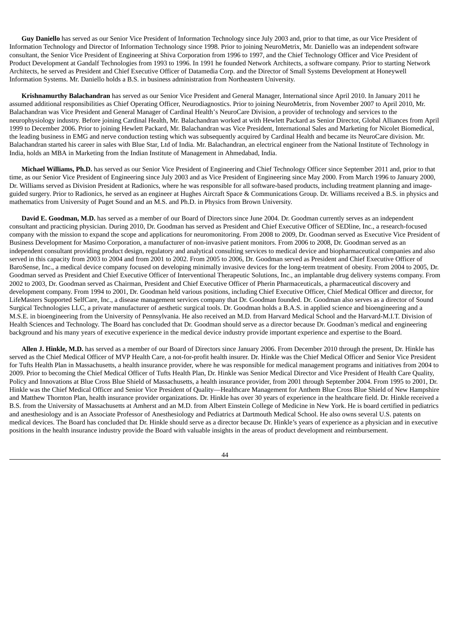**Guy Daniello** has served as our Senior Vice President of Information Technology since July 2003 and, prior to that time, as our Vice President of Information Technology and Director of Information Technology since 1998. Prior to joining NeuroMetrix, Mr. Daniello was an independent software consultant, the Senior Vice President of Engineering at Shiva Corporation from 1996 to 1997, and the Chief Technology Officer and Vice President of Product Development at Gandalf Technologies from 1993 to 1996. In 1991 he founded Network Architects, a software company. Prior to starting Network Architects, he served as President and Chief Executive Officer of Datamedia Corp. and the Director of Small Systems Development at Honeywell Information Systems. Mr. Daniello holds a B.S. in business administration from Northeastern University.

**Krishnamurthy Balachandran** has served as our Senior Vice President and General Manager, International since April 2010. In January 2011 he assumed additional responsibilities as Chief Operating Officer, Neurodiagnostics. Prior to joining NeuroMetrix, from November 2007 to April 2010, Mr. Balachandran was Vice President and General Manager of Cardinal Health's NeuroCare Division, a provider of technology and services to the neurophysiology industry. Before joining Cardinal Health, Mr. Balachandran worked at with Hewlett Packard as Senior Director, Global Alliances from April 1999 to December 2006. Prior to joining Hewlett Packard, Mr. Balachandran was Vice President, International Sales and Marketing for Nicolet Biomedical, the leading business in EMG and nerve conduction testing which was subsequently acquired by Cardinal Health and became its NeuroCare division. Mr. Balachandran started his career in sales with Blue Star, Ltd of India. Mr. Balachandran, an electrical engineer from the National Institute of Technology in India, holds an MBA in Marketing from the Indian Institute of Management in Ahmedabad, India.

**Michael Williams, Ph.D.** has served as our Senior Vice President of Engineering and Chief Technology Officer since September 2011 and, prior to that time, as our Senior Vice President of Engineering since July 2003 and as Vice President of Engineering since May 2000. From March 1996 to January 2000, Dr. Williams served as Division President at Radionics, where he was responsible for all software-based products, including treatment planning and imageguided surgery. Prior to Radionics, he served as an engineer at Hughes Aircraft Space & Communications Group. Dr. Williams received a B.S. in physics and mathematics from University of Puget Sound and an M.S. and Ph.D. in Physics from Brown University.

**David E. Goodman, M.D.** has served as a member of our Board of Directors since June 2004. Dr. Goodman currently serves as an independent consultant and practicing physician. During 2010, Dr. Goodman has served as President and Chief Executive Officer of SEDline, Inc., a research-focused company with the mission to expand the scope and applications for neuromonitoring. From 2008 to 2009, Dr. Goodman served as Executive Vice President of Business Development for Masimo Corporation, a manufacturer of non-invasive patient monitors. From 2006 to 2008, Dr. Goodman served as an independent consultant providing product design, regulatory and analytical consulting services to medical device and biopharmaceutical companies and also served in this capacity from 2003 to 2004 and from 2001 to 2002. From 2005 to 2006, Dr. Goodman served as President and Chief Executive Officer of BaroSense, Inc., a medical device company focused on developing minimally invasive devices for the long-term treatment of obesity. From 2004 to 2005, Dr. Goodman served as President and Chief Executive Officer of Interventional Therapeutic Solutions, Inc., an implantable drug delivery systems company. From 2002 to 2003, Dr. Goodman served as Chairman, President and Chief Executive Officer of Pherin Pharmaceuticals, a pharmaceutical discovery and development company. From 1994 to 2001, Dr. Goodman held various positions, including Chief Executive Officer, Chief Medical Officer and director, for LifeMasters Supported SelfCare, Inc., a disease management services company that Dr. Goodman founded. Dr. Goodman also serves as a director of Sound Surgical Technologies LLC, a private manufacturer of aesthetic surgical tools. Dr. Goodman holds a B.A.S. in applied science and bioengineering and a M.S.E. in bioengineering from the University of Pennsylvania. He also received an M.D. from Harvard Medical School and the Harvard-M.I.T. Division of Health Sciences and Technology. The Board has concluded that Dr. Goodman should serve as a director because Dr. Goodman's medical and engineering background and his many years of executive experience in the medical device industry provide important experience and expertise to the Board.

**Allen J. Hinkle, M.D.** has served as a member of our Board of Directors since January 2006. From December 2010 through the present, Dr. Hinkle has served as the Chief Medical Officer of MVP Health Care, a not-for-profit health insurer. Dr. Hinkle was the Chief Medical Officer and Senior Vice President for Tufts Health Plan in Massachusetts, a health insurance provider, where he was responsible for medical management programs and initiatives from 2004 to 2009. Prior to becoming the Chief Medical Officer of Tufts Health Plan, Dr. Hinkle was Senior Medical Director and Vice President of Health Care Quality, Policy and Innovations at Blue Cross Blue Shield of Massachusetts, a health insurance provider, from 2001 through September 2004. From 1995 to 2001, Dr. Hinkle was the Chief Medical Officer and Senior Vice President of Quality—Healthcare Management for Anthem Blue Cross Blue Shield of New Hampshire and Matthew Thornton Plan, health insurance provider organizations. Dr. Hinkle has over 30 years of experience in the healthcare field. Dr. Hinkle received a B.S. from the University of Massachusetts at Amherst and an M.D. from Albert Einstein College of Medicine in New York. He is board certified in pediatrics and anesthesiology and is an Associate Professor of Anesthesiology and Pediatrics at Dartmouth Medical School. He also owns several U.S. patents on medical devices. The Board has concluded that Dr. Hinkle should serve as a director because Dr. Hinkle's years of experience as a physician and in executive positions in the health insurance industry provide the Board with valuable insights in the areas of product development and reimbursement.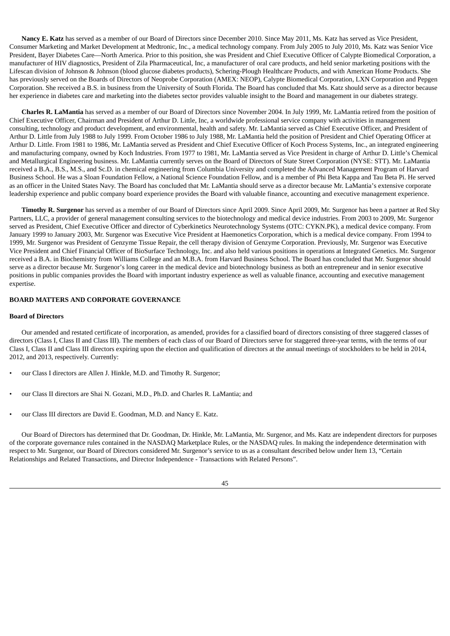**Nancy E. Katz** has served as a member of our Board of Directors since December 2010. Since May 2011, Ms. Katz has served as Vice President, Consumer Marketing and Market Development at Medtronic, Inc., a medical technology company. From July 2005 to July 2010, Ms. Katz was Senior Vice President, Bayer Diabetes Care—North America. Prior to this position, she was President and Chief Executive Officer of Calypte Biomedical Corporation, a manufacturer of HIV diagnostics, President of Zila Pharmaceutical, Inc, a manufacturer of oral care products, and held senior marketing positions with the Lifescan division of Johnson & Johnson (blood glucose diabetes products), Schering-Plough Healthcare Products, and with American Home Products. She has previously served on the Boards of Directors of Neoprobe Corporation (AMEX: NEOP), Calypte Biomedical Corporation, LXN Corporation and Pepgen Corporation. She received a B.S. in business from the University of South Florida. The Board has concluded that Ms. Katz should serve as a director because her experience in diabetes care and marketing into the diabetes sector provides valuable insight to the Board and management in our diabetes strategy.

**Charles R. LaMantia** has served as a member of our Board of Directors since November 2004. In July 1999, Mr. LaMantia retired from the position of Chief Executive Officer, Chairman and President of Arthur D. Little, Inc, a worldwide professional service company with activities in management consulting, technology and product development, and environmental, health and safety. Mr. LaMantia served as Chief Executive Officer, and President of Arthur D. Little from July 1988 to July 1999. From October 1986 to July 1988, Mr. LaMantia held the position of President and Chief Operating Officer at Arthur D. Little. From 1981 to 1986, Mr. LaMantia served as President and Chief Executive Officer of Koch Process Systems, Inc., an integrated engineering and manufacturing company, owned by Koch Industries. From 1977 to 1981, Mr. LaMantia served as Vice President in charge of Arthur D. Little's Chemical and Metallurgical Engineering business. Mr. LaMantia currently serves on the Board of Directors of State Street Corporation (NYSE: STT). Mr. LaMantia received a B.A., B.S., M.S., and Sc.D. in chemical engineering from Columbia University and completed the Advanced Management Program of Harvard Business School. He was a Sloan Foundation Fellow, a National Science Foundation Fellow, and is a member of Phi Beta Kappa and Tau Beta Pi. He served as an officer in the United States Navy. The Board has concluded that Mr. LaMantia should serve as a director because Mr. LaMantia's extensive corporate leadership experience and public company board experience provides the Board with valuable finance, accounting and executive management experience.

**Timothy R. Surgenor** has served as a member of our Board of Directors since April 2009. Since April 2009, Mr. Surgenor has been a partner at Red Sky Partners, LLC, a provider of general management consulting services to the biotechnology and medical device industries. From 2003 to 2009, Mr. Surgenor served as President, Chief Executive Officer and director of Cyberkinetics Neurotechnology Systems (OTC: CYKN.PK), a medical device company. From January 1999 to January 2003, Mr. Surgenor was Executive Vice President at Haemonetics Corporation, which is a medical device company. From 1994 to 1999, Mr. Surgenor was President of Genzyme Tissue Repair, the cell therapy division of Genzyme Corporation. Previously, Mr. Surgenor was Executive Vice President and Chief Financial Officer of BioSurface Technology, Inc. and also held various positions in operations at Integrated Genetics. Mr. Surgenor received a B.A. in Biochemistry from Williams College and an M.B.A. from Harvard Business School. The Board has concluded that Mr. Surgenor should serve as a director because Mr. Surgenor's long career in the medical device and biotechnology business as both an entrepreneur and in senior executive positions in public companies provides the Board with important industry experience as well as valuable finance, accounting and executive management expertise.

## **BOARD MATTERS AND CORPORATE GOVERNANCE**

#### **Board of Directors**

Our amended and restated certificate of incorporation, as amended, provides for a classified board of directors consisting of three staggered classes of directors (Class I, Class II and Class III). The members of each class of our Board of Directors serve for staggered three-year terms, with the terms of our Class I, Class II and Class III directors expiring upon the election and qualification of directors at the annual meetings of stockholders to be held in 2014, 2012, and 2013, respectively. Currently:

- *•* our Class I directors are Allen J. Hinkle, M.D. and Timothy R. Surgenor;
- *•* our Class II directors are Shai N. Gozani, M.D., Ph.D. and Charles R. LaMantia; and
- *•* our Class III directors are David E. Goodman, M.D. and Nancy E. Katz.

Our Board of Directors has determined that Dr. Goodman, Dr. Hinkle, Mr. LaMantia, Mr. Surgenor, and Ms. Katz are independent directors for purposes of the corporate governance rules contained in the NASDAQ Marketplace Rules, or the NASDAQ rules. In making the independence determination with respect to Mr. Surgenor, our Board of Directors considered Mr. Surgenor's service to us as a consultant described below under Item 13, "Certain Relationships and Related Transactions, and Director Independence - Transactions with Related Persons".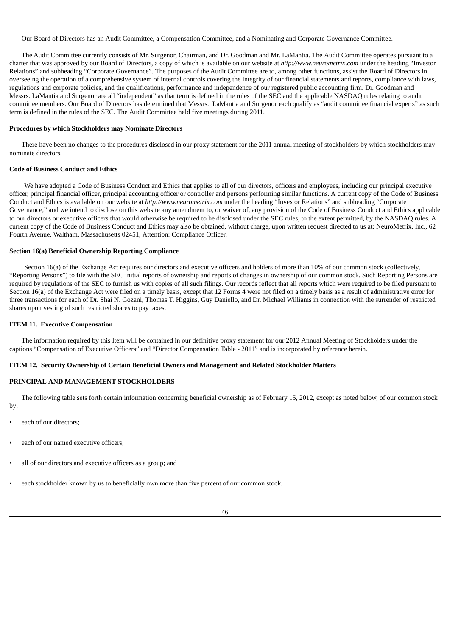Our Board of Directors has an Audit Committee, a Compensation Committee, and a Nominating and Corporate Governance Committee.

The Audit Committee currently consists of Mr. Surgenor, Chairman, and Dr. Goodman and Mr. LaMantia. The Audit Committee operates pursuant to a charter that was approved by our Board of Directors, a copy of which is available on our website at *http://www.neurometrix.com* under the heading "Investor Relations" and subheading "Corporate Governance". The purposes of the Audit Committee are to, among other functions, assist the Board of Directors in overseeing the operation of a comprehensive system of internal controls covering the integrity of our financial statements and reports, compliance with laws, regulations and corporate policies, and the qualifications, performance and independence of our registered public accounting firm. Dr. Goodman and Messrs. LaMantia and Surgenor are all "independent" as that term is defined in the rules of the SEC and the applicable NASDAQ rules relating to audit committee members. Our Board of Directors has determined that Messrs. LaMantia and Surgenor each qualify as "audit committee financial experts" as such term is defined in the rules of the SEC. The Audit Committee held five meetings during 2011.

### **Procedures by which Stockholders may Nominate Directors**

There have been no changes to the procedures disclosed in our proxy statement for the 2011 annual meeting of stockholders by which stockholders may nominate directors.

### **Code of Business Conduct and Ethics**

We have adopted a Code of Business Conduct and Ethics that applies to all of our directors, officers and employees, including our principal executive officer, principal financial officer, principal accounting officer or controller and persons performing similar functions. A current copy of the Code of Business Conduct and Ethics is available on our website at *http://www.neurometrix.com* under the heading "Investor Relations" and subheading "Corporate Governance," and we intend to disclose on this website any amendment to, or waiver of, any provision of the Code of Business Conduct and Ethics applicable to our directors or executive officers that would otherwise be required to be disclosed under the SEC rules, to the extent permitted, by the NASDAQ rules. A current copy of the Code of Business Conduct and Ethics may also be obtained, without charge, upon written request directed to us at: NeuroMetrix, Inc., 62 Fourth Avenue, Waltham, Massachusetts 02451, Attention: Compliance Officer.

# **Section 16(a) Beneficial Ownership Reporting Compliance**

Section 16(a) of the Exchange Act requires our directors and executive officers and holders of more than 10% of our common stock (collectively, "Reporting Persons") to file with the SEC initial reports of ownership and reports of changes in ownership of our common stock. Such Reporting Persons are required by regulations of the SEC to furnish us with copies of all such filings. Our records reflect that all reports which were required to be filed pursuant to Section 16(a) of the Exchange Act were filed on a timely basis, except that 12 Forms 4 were not filed on a timely basis as a result of administrative error for three transactions for each of Dr. Shai N. Gozani, Thomas T. Higgins, Guy Daniello, and Dr. Michael Williams in connection with the surrender of restricted shares upon vesting of such restricted shares to pay taxes.

#### **ITEM 11. Executive Compensation**

The information required by this Item will be contained in our definitive proxy statement for our 2012 Annual Meeting of Stockholders under the captions "Compensation of Executive Officers" and "Director Compensation Table - 2011" and is incorporated by reference herein.

## **ITEM 12. Security Ownership of Certain Beneficial Owners and Management and Related Stockholder Matters**

### **PRINCIPAL AND MANAGEMENT STOCKHOLDERS**

The following table sets forth certain information concerning beneficial ownership as of February 15, 2012, except as noted below, of our common stock by:

- *•* each of our directors;
- *•* each of our named executive officers;
- *•* all of our directors and executive officers as a group; and
- each stockholder known by us to beneficially own more than five percent of our common stock.
	- 46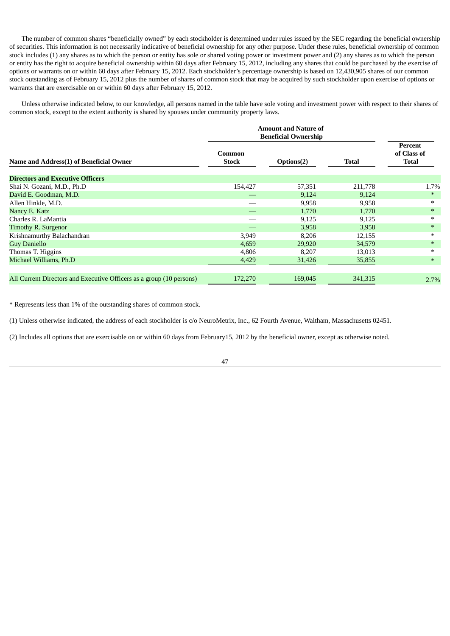The number of common shares "beneficially owned" by each stockholder is determined under rules issued by the SEC regarding the beneficial ownership of securities. This information is not necessarily indicative of beneficial ownership for any other purpose. Under these rules, beneficial ownership of common stock includes (1) any shares as to which the person or entity has sole or shared voting power or investment power and (2) any shares as to which the person or entity has the right to acquire beneficial ownership within 60 days after February 15, 2012, including any shares that could be purchased by the exercise of options or warrants on or within 60 days after February 15, 2012. Each stockholder's percentage ownership is based on 12,430,905 shares of our common stock outstanding as of February 15, 2012 plus the number of shares of common stock that may be acquired by such stockholder upon exercise of options or warrants that are exercisable on or within 60 days after February 15, 2012.

Unless otherwise indicated below, to our knowledge, all persons named in the table have sole voting and investment power with respect to their shares of common stock, except to the extent authority is shared by spouses under community property laws.

|                                                                      | <b>Amount and Nature of</b><br><b>Beneficial Ownership</b> |            |         |                                 |
|----------------------------------------------------------------------|------------------------------------------------------------|------------|---------|---------------------------------|
| Name and Address(1) of Beneficial Owner                              | Common<br><b>Stock</b>                                     | Options(2) | Total   | Percent<br>of Class of<br>Total |
| <b>Directors and Executive Officers</b>                              |                                                            |            |         |                                 |
| Shai N. Gozani, M.D., Ph.D                                           | 154,427                                                    | 57,351     | 211,778 | 1.7%                            |
| David E. Goodman, M.D.                                               |                                                            | 9,124      | 9,124   | $*$                             |
| Allen Hinkle, M.D.                                                   |                                                            | 9,958      | 9,958   | $\ast$                          |
| Nancy E. Katz                                                        |                                                            | 1,770      | 1,770   | $\ast$                          |
| Charles R. LaMantia                                                  |                                                            | 9,125      | 9,125   | $\ast$                          |
| Timothy R. Surgenor                                                  |                                                            | 3,958      | 3,958   | $\ast$                          |
| Krishnamurthy Balachandran                                           | 3,949                                                      | 8,206      | 12,155  | ∗                               |
| <b>Guy Daniello</b>                                                  | 4,659                                                      | 29,920     | 34,579  | $\ast$                          |
| Thomas T. Higgins                                                    | 4,806                                                      | 8,207      | 13,013  | $\ast$                          |
| Michael Williams, Ph.D                                               | 4,429                                                      | 31,426     | 35,855  | $\ast$                          |
| All Current Directors and Executive Officers as a group (10 persons) | 172,270                                                    | 169,045    | 341,315 | 2.7%                            |

\* Represents less than 1% of the outstanding shares of common stock.

(1) Unless otherwise indicated, the address of each stockholder is c/o NeuroMetrix, Inc., 62 Fourth Avenue, Waltham, Massachusetts 02451.

(2) Includes all options that are exercisable on or within 60 days from February15, 2012 by the beneficial owner, except as otherwise noted.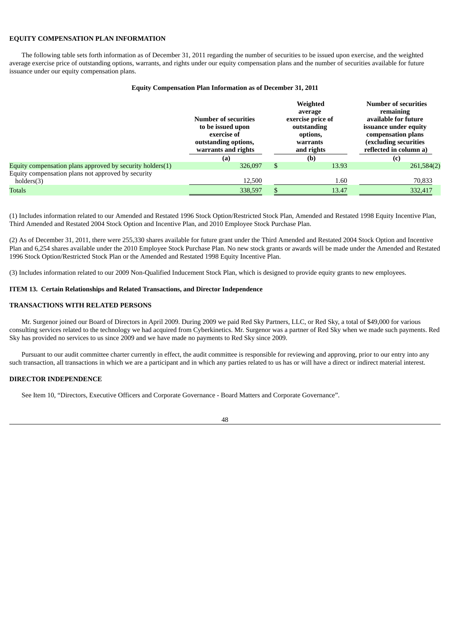# **EQUITY COMPENSATION PLAN INFORMATION**

The following table sets forth information as of December 31, 2011 regarding the number of securities to be issued upon exercise, and the weighted average exercise price of outstanding options, warrants, and rights under our equity compensation plans and the number of securities available for future issuance under our equity compensation plans.

## **Equity Compensation Plan Information as of December 31, 2011**

|                                                           | <b>Number of securities</b><br>to be issued upon<br>exercise of<br>outstanding options,<br>warrants and rights<br>(a) | Weighted<br>average<br>exercise price of<br>outstanding<br>options,<br>warrants<br>and rights<br>(b) | <b>Number of securities</b><br>remaining<br>available for future<br>issuance under equity<br>compensation plans<br>(excluding securities)<br>reflected in column a)<br>(c) |
|-----------------------------------------------------------|-----------------------------------------------------------------------------------------------------------------------|------------------------------------------------------------------------------------------------------|----------------------------------------------------------------------------------------------------------------------------------------------------------------------------|
| Equity compensation plans approved by security holders(1) | 326,097                                                                                                               | \$<br>13.93                                                                                          | 261,584(2)                                                                                                                                                                 |
| Equity compensation plans not approved by security        |                                                                                                                       |                                                                                                      |                                                                                                                                                                            |
| holders(3)                                                | 12,500                                                                                                                | 1.60                                                                                                 | 70,833                                                                                                                                                                     |
| Totals                                                    | 338,597                                                                                                               | 13.47                                                                                                | 332,417                                                                                                                                                                    |

(1) Includes information related to our Amended and Restated 1996 Stock Option/Restricted Stock Plan, Amended and Restated 1998 Equity Incentive Plan, Third Amended and Restated 2004 Stock Option and Incentive Plan, and 2010 Employee Stock Purchase Plan.

(2) As of December 31, 2011, there were 255,330 shares available for future grant under the Third Amended and Restated 2004 Stock Option and Incentive Plan and 6,254 shares available under the 2010 Employee Stock Purchase Plan. No new stock grants or awards will be made under the Amended and Restated 1996 Stock Option/Restricted Stock Plan or the Amended and Restated 1998 Equity Incentive Plan.

(3) Includes information related to our 2009 Non-Qualified Inducement Stock Plan, which is designed to provide equity grants to new employees.

### **ITEM 13. Certain Relationships and Related Transactions, and Director Independence**

# **TRANSACTIONS WITH RELATED PERSONS**

Mr. Surgenor joined our Board of Directors in April 2009. During 2009 we paid Red Sky Partners, LLC, or Red Sky, a total of \$49,000 for various consulting services related to the technology we had acquired from Cyberkinetics. Mr. Surgenor was a partner of Red Sky when we made such payments. Red Sky has provided no services to us since 2009 and we have made no payments to Red Sky since 2009.

Pursuant to our audit committee charter currently in effect, the audit committee is responsible for reviewing and approving, prior to our entry into any such transaction, all transactions in which we are a participant and in which any parties related to us has or will have a direct or indirect material interest.

# **DIRECTOR INDEPENDENCE**

See Item 10, "Directors, Executive Officers and Corporate Governance - Board Matters and Corporate Governance".

48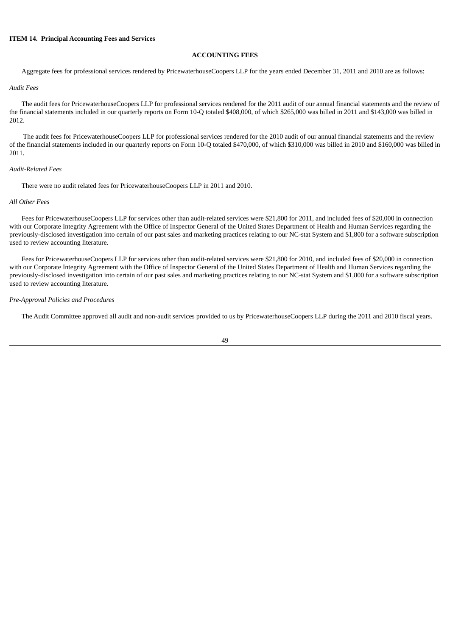# **ITEM 14. Principal Accounting Fees and Services**

## **ACCOUNTING FEES**

Aggregate fees for professional services rendered by PricewaterhouseCoopers LLP for the years ended December 31, 2011 and 2010 are as follows:

## *Audit Fees*

The audit fees for PricewaterhouseCoopers LLP for professional services rendered for the 2011 audit of our annual financial statements and the review of the financial statements included in our quarterly reports on Form 10-Q totaled \$408,000, of which \$265,000 was billed in 2011 and \$143,000 was billed in 2012.

The audit fees for PricewaterhouseCoopers LLP for professional services rendered for the 2010 audit of our annual financial statements and the review of the financial statements included in our quarterly reports on Form 10-Q totaled \$470,000, of which \$310,000 was billed in 2010 and \$160,000 was billed in 2011.

## *Audit-Related Fees*

There were no audit related fees for PricewaterhouseCoopers LLP in 2011 and 2010.

# *All Other Fees*

Fees for PricewaterhouseCoopers LLP for services other than audit-related services were \$21,800 for 2011, and included fees of \$20,000 in connection with our Corporate Integrity Agreement with the Office of Inspector General of the United States Department of Health and Human Services regarding the previously-disclosed investigation into certain of our past sales and marketing practices relating to our NC-stat System and \$1,800 for a software subscription used to review accounting literature.

Fees for PricewaterhouseCoopers LLP for services other than audit-related services were \$21,800 for 2010, and included fees of \$20,000 in connection with our Corporate Integrity Agreement with the Office of Inspector General of the United States Department of Health and Human Services regarding the previously-disclosed investigation into certain of our past sales and marketing practices relating to our NC-stat System and \$1,800 for a software subscription used to review accounting literature.

#### *Pre-Approval Policies and Procedures*

The Audit Committee approved all audit and non-audit services provided to us by PricewaterhouseCoopers LLP during the 2011 and 2010 fiscal years.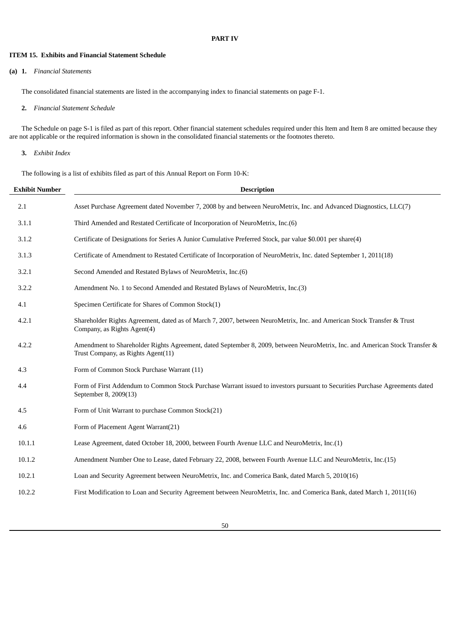# **PART IV**

## **ITEM 15. Exhibits and Financial Statement Schedule**

## **(a) 1.** *Financial Statements*

The consolidated financial statements are listed in the accompanying index to financial statements on page F-1.

### **2.** *Financial Statement Schedule*

The Schedule on page S-1 is filed as part of this report. Other financial statement schedules required under this Item and Item 8 are omitted because they are not applicable or the required information is shown in the consolidated financial statements or the footnotes thereto.

**3.** *Exhibit Index*

The following is a list of exhibits filed as part of this Annual Report on Form 10-K:

| <b>Exhibit Number</b> | <b>Description</b>                                                                                                                                                |
|-----------------------|-------------------------------------------------------------------------------------------------------------------------------------------------------------------|
| 2.1                   | Asset Purchase Agreement dated November 7, 2008 by and between NeuroMetrix, Inc. and Advanced Diagnostics, LLC(7)                                                 |
| 3.1.1                 | Third Amended and Restated Certificate of Incorporation of NeuroMetrix, Inc.(6)                                                                                   |
| 3.1.2                 | Certificate of Designations for Series A Junior Cumulative Preferred Stock, par value \$0.001 per share(4)                                                        |
| 3.1.3                 | Certificate of Amendment to Restated Certificate of Incorporation of NeuroMetrix, Inc. dated September 1, 2011(18)                                                |
| 3.2.1                 | Second Amended and Restated Bylaws of NeuroMetrix, Inc.(6)                                                                                                        |
| 3.2.2                 | Amendment No. 1 to Second Amended and Restated Bylaws of NeuroMetrix, Inc.(3)                                                                                     |
| 4.1                   | Specimen Certificate for Shares of Common Stock(1)                                                                                                                |
| 4.2.1                 | Shareholder Rights Agreement, dated as of March 7, 2007, between NeuroMetrix, Inc. and American Stock Transfer & Trust<br>Company, as Rights Agent(4)             |
| 4.2.2                 | Amendment to Shareholder Rights Agreement, dated September 8, 2009, between NeuroMetrix, Inc. and American Stock Transfer &<br>Trust Company, as Rights Agent(11) |
| 4.3                   | Form of Common Stock Purchase Warrant (11)                                                                                                                        |
| 4.4                   | Form of First Addendum to Common Stock Purchase Warrant issued to investors pursuant to Securities Purchase Agreements dated<br>September 8, 2009(13)             |
| 4.5                   | Form of Unit Warrant to purchase Common Stock(21)                                                                                                                 |
| 4.6                   | Form of Placement Agent Warrant(21)                                                                                                                               |
| 10.1.1                | Lease Agreement, dated October 18, 2000, between Fourth Avenue LLC and NeuroMetrix, Inc.(1)                                                                       |
| 10.1.2                | Amendment Number One to Lease, dated February 22, 2008, between Fourth Avenue LLC and NeuroMetrix, Inc.(15)                                                       |
| 10.2.1                | Loan and Security Agreement between NeuroMetrix, Inc. and Comerica Bank, dated March 5, 2010(16)                                                                  |
| 10.2.2                | First Modification to Loan and Security Agreement between NeuroMetrix, Inc. and Comerica Bank, dated March 1, 2011(16)                                            |
|                       |                                                                                                                                                                   |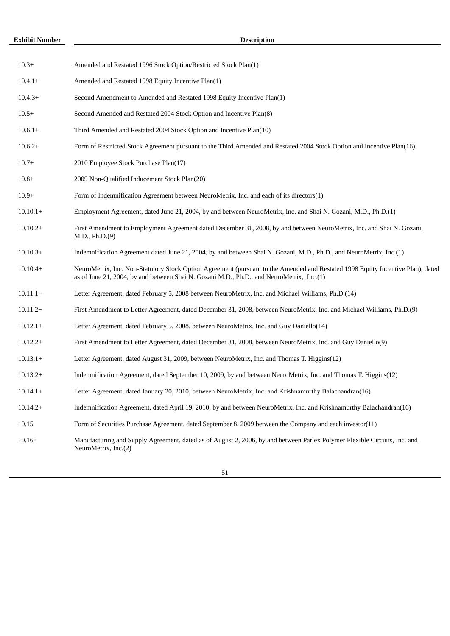**Exhibit Number Description**

| $10.3+$    | Amended and Restated 1996 Stock Option/Restricted Stock Plan(1)                                                                                                                                                             |
|------------|-----------------------------------------------------------------------------------------------------------------------------------------------------------------------------------------------------------------------------|
| $10.4.1+$  | Amended and Restated 1998 Equity Incentive Plan(1)                                                                                                                                                                          |
| $10.4.3+$  | Second Amendment to Amended and Restated 1998 Equity Incentive Plan(1)                                                                                                                                                      |
| $10.5+$    | Second Amended and Restated 2004 Stock Option and Incentive Plan(8)                                                                                                                                                         |
| $10.6.1+$  | Third Amended and Restated 2004 Stock Option and Incentive Plan(10)                                                                                                                                                         |
| $10.6.2+$  | Form of Restricted Stock Agreement pursuant to the Third Amended and Restated 2004 Stock Option and Incentive Plan(16)                                                                                                      |
| $10.7+$    | 2010 Employee Stock Purchase Plan(17)                                                                                                                                                                                       |
| $10.8+$    | 2009 Non-Qualified Inducement Stock Plan(20)                                                                                                                                                                                |
| $10.9+$    | Form of Indemnification Agreement between NeuroMetrix, Inc. and each of its directors(1)                                                                                                                                    |
| $10.10.1+$ | Employment Agreement, dated June 21, 2004, by and between NeuroMetrix, Inc. and Shai N. Gozani, M.D., Ph.D.(1)                                                                                                              |
| $10.10.2+$ | First Amendment to Employment Agreement dated December 31, 2008, by and between NeuroMetrix, Inc. and Shai N. Gozani,<br>M.D., Ph.D.(9)                                                                                     |
| $10.10.3+$ | Indemnification Agreement dated June 21, 2004, by and between Shai N. Gozani, M.D., Ph.D., and NeuroMetrix, Inc.(1)                                                                                                         |
| $10.10.4+$ | NeuroMetrix, Inc. Non-Statutory Stock Option Agreement (pursuant to the Amended and Restated 1998 Equity Incentive Plan), dated<br>as of June 21, 2004, by and between Shai N. Gozani M.D., Ph.D., and NeuroMetrix, Inc.(1) |
| $10.11.1+$ | Letter Agreement, dated February 5, 2008 between NeuroMetrix, Inc. and Michael Williams, Ph.D.(14)                                                                                                                          |
| $10.11.2+$ | First Amendment to Letter Agreement, dated December 31, 2008, between NeuroMetrix, Inc. and Michael Williams, Ph.D.(9)                                                                                                      |
| $10.12.1+$ | Letter Agreement, dated February 5, 2008, between NeuroMetrix, Inc. and Guy Daniello(14)                                                                                                                                    |
| $10.12.2+$ | First Amendment to Letter Agreement, dated December 31, 2008, between NeuroMetrix, Inc. and Guy Daniello(9)                                                                                                                 |
| $10.13.1+$ | Letter Agreement, dated August 31, 2009, between NeuroMetrix, Inc. and Thomas T. Higgins(12)                                                                                                                                |
| $10.13.2+$ | Indemnification Agreement, dated September 10, 2009, by and between NeuroMetrix, Inc. and Thomas T. Higgins(12)                                                                                                             |
| $10.14.1+$ | Letter Agreement, dated January 20, 2010, between NeuroMetrix, Inc. and Krishnamurthy Balachandran(16)                                                                                                                      |
| $10.14.2+$ | Indemnification Agreement, dated April 19, 2010, by and between NeuroMetrix, Inc. and Krishnamurthy Balachandran(16)                                                                                                        |
| 10.15      | Form of Securities Purchase Agreement, dated September 8, 2009 between the Company and each investor(11)                                                                                                                    |
| 10.16†     | Manufacturing and Supply Agreement, dated as of August 2, 2006, by and between Parlex Polymer Flexible Circuits, Inc. and<br>NeuroMetrix, Inc.(2)                                                                           |

51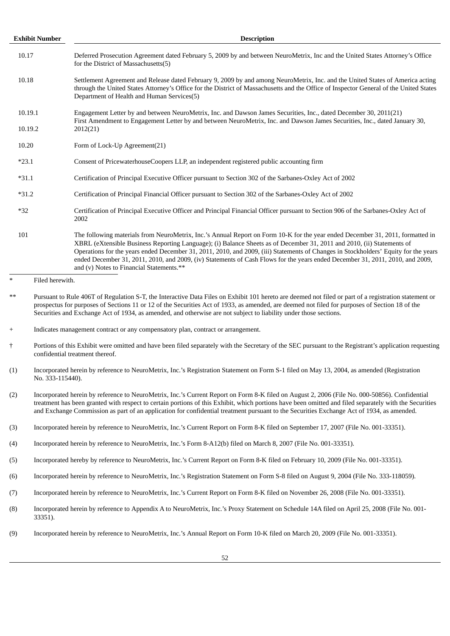|                    | <b>Exhibit Number</b> | <b>Description</b>                                                                                                                                                                                                                                                                                                                                                                                                                                                                                                                                                           |
|--------------------|-----------------------|------------------------------------------------------------------------------------------------------------------------------------------------------------------------------------------------------------------------------------------------------------------------------------------------------------------------------------------------------------------------------------------------------------------------------------------------------------------------------------------------------------------------------------------------------------------------------|
| 10.17              |                       | Deferred Prosecution Agreement dated February 5, 2009 by and between NeuroMetrix, Inc and the United States Attorney's Office<br>for the District of Massachusetts(5)                                                                                                                                                                                                                                                                                                                                                                                                        |
| 10.18              |                       | Settlement Agreement and Release dated February 9, 2009 by and among NeuroMetrix, Inc. and the United States of America acting<br>through the United States Attorney's Office for the District of Massachusetts and the Office of Inspector General of the United States<br>Department of Health and Human Services(5)                                                                                                                                                                                                                                                       |
| 10.19.1<br>10.19.2 |                       | Engagement Letter by and between NeuroMetrix, Inc. and Dawson James Securities, Inc., dated December 30, 2011(21)<br>First Amendment to Engagement Letter by and between NeuroMetrix, Inc. and Dawson James Securities, Inc., dated January 30,<br>2012(21)                                                                                                                                                                                                                                                                                                                  |
| 10.20              |                       | Form of Lock-Up Agreement(21)                                                                                                                                                                                                                                                                                                                                                                                                                                                                                                                                                |
| $*23.1$            |                       | Consent of PricewaterhouseCoopers LLP, an independent registered public accounting firm                                                                                                                                                                                                                                                                                                                                                                                                                                                                                      |
| $*31.1$            |                       | Certification of Principal Executive Officer pursuant to Section 302 of the Sarbanes-Oxley Act of 2002                                                                                                                                                                                                                                                                                                                                                                                                                                                                       |
| $*31.2$            |                       | Certification of Principal Financial Officer pursuant to Section 302 of the Sarbanes-Oxley Act of 2002                                                                                                                                                                                                                                                                                                                                                                                                                                                                       |
| *32                |                       | Certification of Principal Executive Officer and Principal Financial Officer pursuant to Section 906 of the Sarbanes-Oxley Act of<br>2002                                                                                                                                                                                                                                                                                                                                                                                                                                    |
| 101                |                       | The following materials from NeuroMetrix, Inc.'s Annual Report on Form 10-K for the year ended December 31, 2011, formatted in<br>XBRL (eXtensible Business Reporting Language); (i) Balance Sheets as of December 31, 2011 and 2010, (ii) Statements of<br>Operations for the years ended December 31, 2011, 2010, and 2009, (iii) Statements of Changes in Stockholders' Equity for the years<br>ended December 31, 2011, 2010, and 2009, (iv) Statements of Cash Flows for the years ended December 31, 2011, 2010, and 2009,<br>and (v) Notes to Financial Statements.** |
| $\ast$             | Filed herewith.       |                                                                                                                                                                                                                                                                                                                                                                                                                                                                                                                                                                              |
| **                 |                       | Pursuant to Rule 406T of Regulation S-T, the Interactive Data Files on Exhibit 101 hereto are deemed not filed or part of a registration statement or<br>prospectus for purposes of Sections 11 or 12 of the Securities Act of 1933, as amended, are deemed not filed for purposes of Section 18 of the<br>Securities and Exchange Act of 1934, as amended, and otherwise are not subject to liability under those sections.                                                                                                                                                 |
| $^{+}$             |                       | Indicates management contract or any compensatory plan, contract or arrangement.                                                                                                                                                                                                                                                                                                                                                                                                                                                                                             |
| $^\dagger$         |                       | Portions of this Exhibit were omitted and have been filed separately with the Secretary of the SEC pursuant to the Registrant's application requesting<br>confidential treatment thereof.                                                                                                                                                                                                                                                                                                                                                                                    |
| (1)                | No. 333-115440).      | Incorporated herein by reference to NeuroMetrix, Inc.'s Registration Statement on Form S-1 filed on May 13, 2004, as amended (Registration                                                                                                                                                                                                                                                                                                                                                                                                                                   |
| (2)                |                       | $\mathbf{L}$ . The set of the set of the set of $\mathbf{L}$ , $\mathbf{L}$ , $\mathbf{L}$ , $\mathbf{L}$ , $\mathbf{L}$ , $\mathbf{L}$ , $\mathbf{L}$ , $\mathbf{L}$ , $\mathbf{L}$ , $\mathbf{L}$ , $\mathbf{L}$ , $\mathbf{L}$ , $\mathbf{L}$ , $\mathbf{L}$ , $\mathbf{L}$ , $\mathbf{L}$ ,                                                                                                                                                                                                                                                                              |

- (2) Incorporated herein by reference to NeuroMetrix, Inc.'s Current Report on Form 8-K filed on August 2, 2006 (File No. 000-50856). Confidential treatment has been granted with respect to certain portions of this Exhibit, which portions have been omitted and filed separately with the Securities and Exchange Commission as part of an application for confidential treatment pursuant to the Securities Exchange Act of 1934, as amended.
- (3) Incorporated herein by reference to NeuroMetrix, Inc.'s Current Report on Form 8-K filed on September 17, 2007 (File No. 001-33351).
- (4) Incorporated herein by reference to NeuroMetrix, Inc.'s Form 8-A12(b) filed on March 8, 2007 (File No. 001-33351).
- (5) Incorporated hereby by reference to NeuroMetrix, Inc.'s Current Report on Form 8-K filed on February 10, 2009 (File No. 001-33351).
- (6) Incorporated herein by reference to NeuroMetrix, Inc.'s Registration Statement on Form S-8 filed on August 9, 2004 (File No. 333-118059).
- (7) Incorporated herein by reference to NeuroMetrix, Inc.'s Current Report on Form 8-K filed on November 26, 2008 (File No. 001-33351).
- (8) Incorporated herein by reference to Appendix A to NeuroMetrix, Inc.'s Proxy Statement on Schedule 14A filed on April 25, 2008 (File No. 001- 33351).
- (9) Incorporated herein by reference to NeuroMetrix, Inc.'s Annual Report on Form 10-K filed on March 20, 2009 (File No. 001-33351).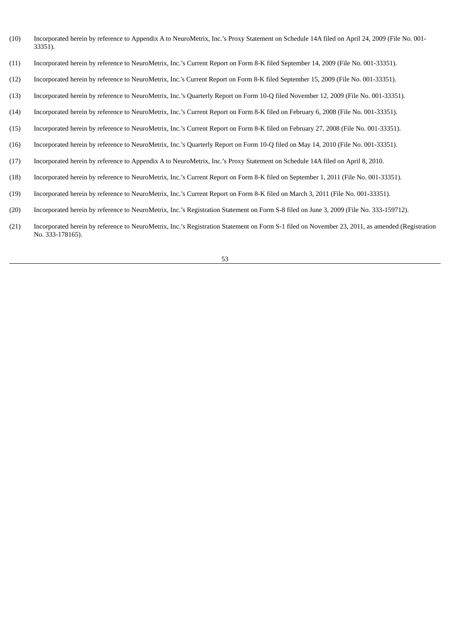- (10) Incorporated herein by reference to Appendix A to NeuroMetrix, Inc.'s Proxy Statement on Schedule 14A filed on April 24, 2009 (File No. 001- 33351).
- (11) Incorporated herein by reference to NeuroMetrix, Inc.'s Current Report on Form 8-K filed September 14, 2009 (File No. 001-33351).
- (12) Incorporated herein by reference to NeuroMetrix, Inc.'s Current Report on Form 8-K filed September 15, 2009 (File No. 001-33351).
- (13) Incorporated herein by reference to NeuroMetrix, Inc.'s Quarterly Report on Form 10-Q filed November 12, 2009 (File No. 001-33351).
- (14) Incorporated herein by reference to NeuroMetrix, Inc.'s Current Report on Form 8-K filed on February 6, 2008 (File No. 001-33351).
- (15) Incorporated herein by reference to NeuroMetrix, Inc.'s Current Report on Form 8-K filed on February 27, 2008 (File No. 001-33351).
- (16) Incorporated herein by reference to NeuroMetrix, Inc.'s Quarterly Report on Form 10-Q filed on May 14, 2010 (File No. 001-33351).
- (17) Incorporated herein by reference to Appendix A to NeuroMetrix, Inc.'s Proxy Statement on Schedule 14A filed on April 8, 2010.
- (18) Incorporated herein by reference to NeuroMetrix, Inc.'s Current Report on Form 8-K filed on September 1, 2011 (File No. 001-33351).
- (19) Incorporated herein by reference to NeuroMetrix, Inc.'s Current Report on Form 8-K filed on March 3, 2011 (File No. 001-33351).
- (20) Incorporated herein by reference to NeuroMetrix, Inc.'s Registration Statement on Form S-8 filed on June 3, 2009 (File No. 333-159712).
- (21) Incorporated herein by reference to NeuroMetrix, Inc.'s Registration Statement on Form S-1 filed on November 23, 2011, as amended (Registration No. 333-178165).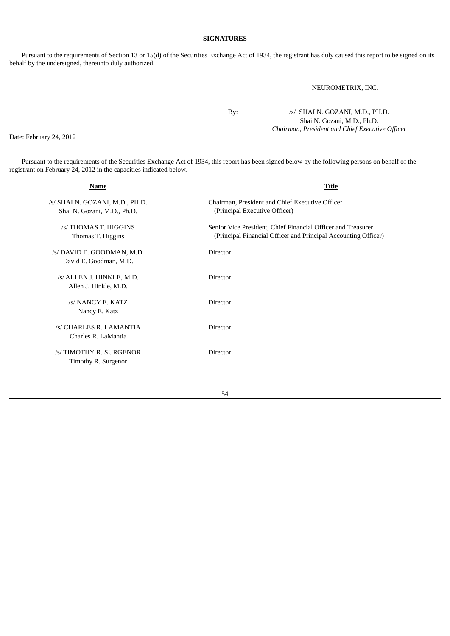# **SIGNATURES**

Pursuant to the requirements of Section 13 or 15(d) of the Securities Exchange Act of 1934, the registrant has duly caused this report to be signed on its behalf by the undersigned, thereunto duly authorized.

NEUROMETRIX, INC.

By: /s/ SHAI N. GOZANI, M.D., PH.D. Shai N. Gozani, M.D., Ph.D. *Chairman, President and Chief Executive Officer*

Date: February 24, 2012

Pursuant to the requirements of the Securities Exchange Act of 1934, this report has been signed below by the following persons on behalf of the registrant on February 24, 2012 in the capacities indicated below.

| Name                            | Title                                                          |
|---------------------------------|----------------------------------------------------------------|
| /s/ SHAI N. GOZANI, M.D., PH.D. | Chairman, President and Chief Executive Officer                |
| Shai N. Gozani, M.D., Ph.D.     | (Principal Executive Officer)                                  |
| /s/ THOMAS T. HIGGINS           | Senior Vice President, Chief Financial Officer and Treasurer   |
| Thomas T. Higgins               | (Principal Financial Officer and Principal Accounting Officer) |
| /s/ DAVID E. GOODMAN, M.D.      | <b>Director</b>                                                |
| David E. Goodman, M.D.          |                                                                |
| /s/ ALLEN J. HINKLE, M.D.       | <b>Director</b>                                                |
| Allen J. Hinkle, M.D.           |                                                                |
| /s/ NANCY E. KATZ               | Director                                                       |
| Nancy E. Katz                   |                                                                |
| /s/ CHARLES R. LAMANTIA         | <b>Director</b>                                                |
| Charles R. LaMantia             |                                                                |
| /s/ TIMOTHY R. SURGENOR         | Director                                                       |
| Timothy R. Surgenor             |                                                                |
|                                 |                                                                |

# 54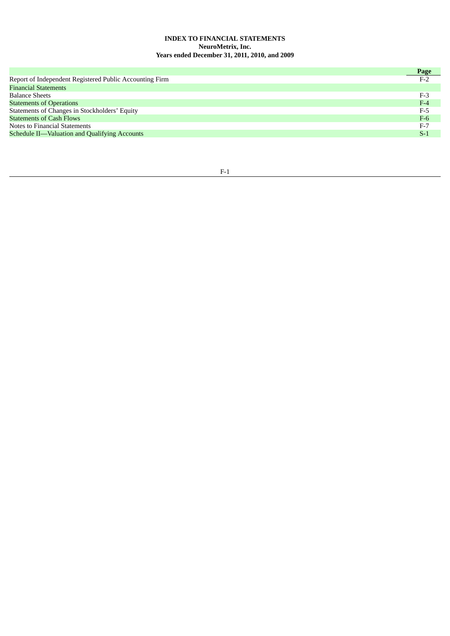# **INDEX TO FINANCIAL STATEMENTS NeuroMetrix, Inc. Years ended December 31, 2011, 2010, and 2009**

|                                                         | Page  |
|---------------------------------------------------------|-------|
| Report of Independent Registered Public Accounting Firm | $F-2$ |
| <b>Financial Statements</b>                             |       |
| <b>Balance Sheets</b>                                   | $F-3$ |
| <b>Statements of Operations</b>                         | $F-4$ |
| Statements of Changes in Stockholders' Equity           | $F-5$ |
| <b>Statements of Cash Flows</b>                         | $F-6$ |
| Notes to Financial Statements                           | $F-7$ |
| Schedule II—Valuation and Qualifying Accounts           | $S-1$ |
|                                                         |       |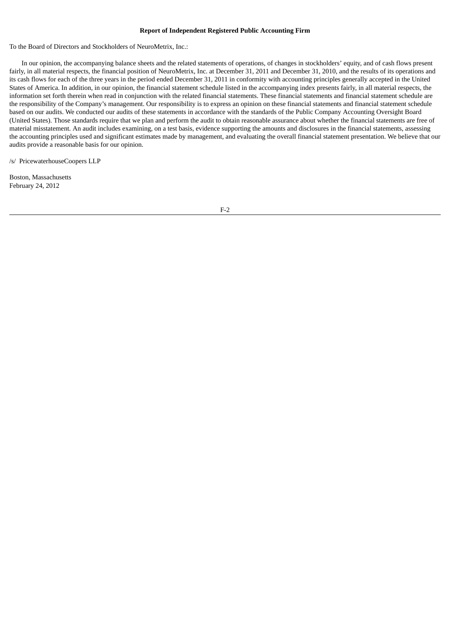# **Report of Independent Registered Public Accounting Firm**

To the Board of Directors and Stockholders of NeuroMetrix, Inc.:

In our opinion, the accompanying balance sheets and the related statements of operations, of changes in stockholders' equity, and of cash flows present fairly, in all material respects, the financial position of NeuroMetrix, Inc. at December 31, 2011 and December 31, 2010, and the results of its operations and its cash flows for each of the three years in the period ended December 31, 2011 in conformity with accounting principles generally accepted in the United States of America. In addition, in our opinion, the financial statement schedule listed in the accompanying index presents fairly, in all material respects, the information set forth therein when read in conjunction with the related financial statements. These financial statements and financial statement schedule are the responsibility of the Company's management. Our responsibility is to express an opinion on these financial statements and financial statement schedule based on our audits. We conducted our audits of these statements in accordance with the standards of the Public Company Accounting Oversight Board (United States). Those standards require that we plan and perform the audit to obtain reasonable assurance about whether the financial statements are free of material misstatement. An audit includes examining, on a test basis, evidence supporting the amounts and disclosures in the financial statements, assessing the accounting principles used and significant estimates made by management, and evaluating the overall financial statement presentation. We believe that our audits provide a reasonable basis for our opinion.

/s/ PricewaterhouseCoopers LLP

Boston, Massachusetts February 24, 2012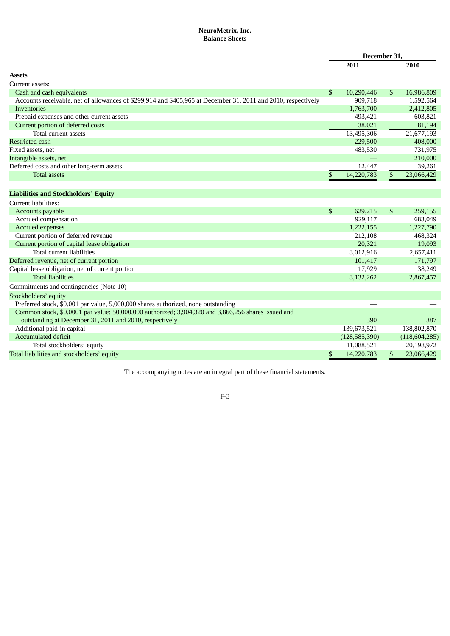# **NeuroMetrix, Inc. Balance Sheets**

|                                                                                                               |              | December 31,    |                 |                 |
|---------------------------------------------------------------------------------------------------------------|--------------|-----------------|-----------------|-----------------|
|                                                                                                               |              | 2011            |                 | 2010            |
| Assets                                                                                                        |              |                 |                 |                 |
| Current assets:                                                                                               |              |                 |                 |                 |
| Cash and cash equivalents                                                                                     | \$           | 10,290,446      | \$              | 16,986,809      |
| Accounts receivable, net of allowances of \$299,914 and \$405,965 at December 31, 2011 and 2010, respectively |              | 909,718         |                 | 1,592,564       |
| <b>Inventories</b>                                                                                            |              | 1,763,700       |                 | 2,412,805       |
| Prepaid expenses and other current assets                                                                     |              | 493,421         |                 | 603,821         |
| Current portion of deferred costs                                                                             |              | 38,021          |                 | 81,194          |
| Total current assets                                                                                          |              | 13,495,306      |                 | 21,677,193      |
| Restricted cash                                                                                               |              | 229,500         |                 | 408,000         |
| Fixed assets, net                                                                                             |              | 483,530         |                 | 731,975         |
| Intangible assets, net                                                                                        |              |                 |                 | 210,000         |
| Deferred costs and other long-term assets                                                                     |              | 12,447          |                 | 39,261          |
| <b>Total assets</b>                                                                                           | \$           | 14,220,783      | \$              | 23,066,429      |
|                                                                                                               |              |                 |                 |                 |
| <b>Liabilities and Stockholders' Equity</b>                                                                   |              |                 |                 |                 |
| Current liabilities:                                                                                          |              |                 |                 |                 |
| Accounts payable                                                                                              | $\mathbb{S}$ | 629,215         | \$              | 259,155         |
| Accrued compensation                                                                                          |              | 929,117         |                 | 683,049         |
| <b>Accrued expenses</b>                                                                                       |              | 1,222,155       |                 | 1,227,790       |
| Current portion of deferred revenue                                                                           |              | 212,108         |                 | 468,324         |
| Current portion of capital lease obligation                                                                   |              | 20,321          |                 | 19,093          |
| Total current liabilities                                                                                     |              | 3,012,916       |                 | 2,657,411       |
| Deferred revenue, net of current portion                                                                      |              | 101,417         |                 | 171,797         |
| Capital lease obligation, net of current portion                                                              |              | 17,929          |                 | 38,249          |
| <b>Total liabilities</b>                                                                                      |              | 3,132,262       |                 | 2,867,457       |
| Commitments and contingencies (Note 10)                                                                       |              |                 |                 |                 |
| Stockholders' equity                                                                                          |              |                 |                 |                 |
| Preferred stock, \$0.001 par value, 5,000,000 shares authorized, none outstanding                             |              |                 |                 |                 |
| Common stock, \$0.0001 par value; 50,000,000 authorized; 3,904,320 and 3,866,256 shares issued and            |              |                 |                 |                 |
| outstanding at December 31, 2011 and 2010, respectively                                                       |              | 390             |                 | 387             |
| Additional paid-in capital                                                                                    |              | 139,673,521     |                 | 138,802,870     |
| <b>Accumulated deficit</b>                                                                                    |              | (128, 585, 390) |                 | (118, 604, 285) |
| Total stockholders' equity                                                                                    |              | 11,088,521      |                 | 20,198,972      |
| Total liabilities and stockholders' equity                                                                    | \$           | 14,220,783      | $\overline{\$}$ | 23,066,429      |

The accompanying notes are an integral part of these financial statements.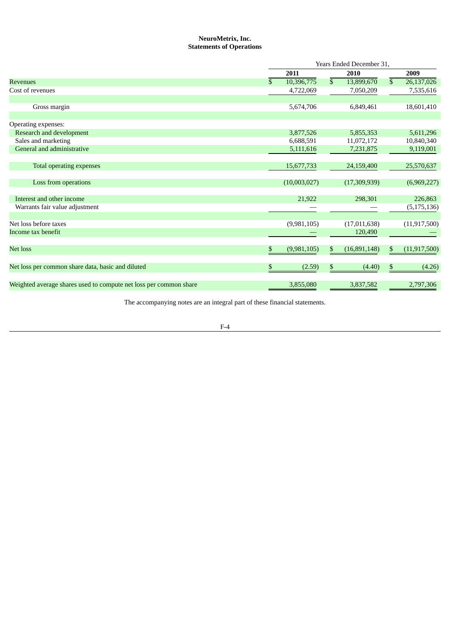# **NeuroMetrix, Inc. Statements of Operations**

|                                                                   | Years Ended December 31, |    |              |      |                |
|-------------------------------------------------------------------|--------------------------|----|--------------|------|----------------|
|                                                                   | 2011                     |    | 2010         | 2009 |                |
| <b>Revenues</b>                                                   | \$<br>10,396,775         | \$ | 13,899,670   | \$   | 26,137,026     |
| Cost of revenues                                                  | 4,722,069                |    | 7,050,209    |      | 7,535,616      |
| Gross margin                                                      | 5,674,706                |    | 6,849,461    |      | 18,601,410     |
| Operating expenses:                                               |                          |    |              |      |                |
| <b>Research and development</b>                                   | 3,877,526                |    | 5,855,353    |      | 5,611,296      |
| Sales and marketing                                               | 6,688,591                |    | 11,072,172   |      | 10,840,340     |
| General and administrative                                        | 5,111,616                |    | 7,231,875    |      | 9,119,001      |
| <b>Total operating expenses</b>                                   | 15,677,733               |    | 24,159,400   |      | 25,570,637     |
| Loss from operations                                              | (10,003,027)             |    | (17,309,939) |      | (6,969,227)    |
| Interest and other income                                         | 21,922                   |    | 298,301      |      | 226,863        |
| Warrants fair value adjustment                                    |                          |    |              |      | (5, 175, 136)  |
| Net loss before taxes                                             | (9,981,105)              |    | (17,011,638) |      | (11, 917, 500) |
| Income tax benefit                                                |                          |    | 120,490      |      |                |
|                                                                   |                          |    |              |      |                |
| Net loss                                                          | \$<br>(9,981,105)        | \$ | (16,891,148) | \$   | (11, 917, 500) |
| Net loss per common share data, basic and diluted                 | \$<br>(2.59)             | \$ | (4.40)       | \$   | (4.26)         |
| Weighted average shares used to compute net loss per common share | 3,855,080                |    | 3,837,582    |      | 2,797,306      |

The accompanying notes are an integral part of these financial statements.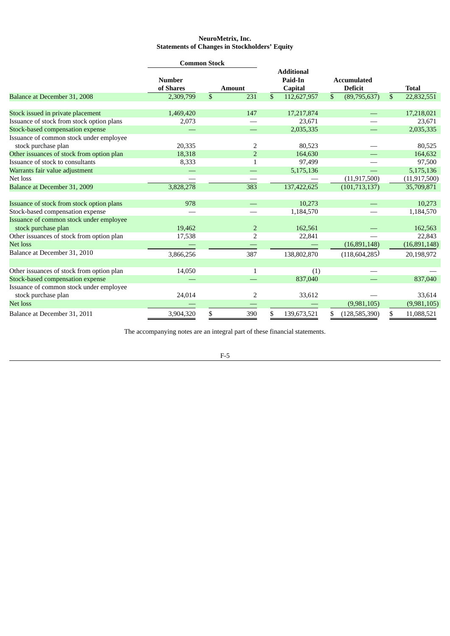# **NeuroMetrix, Inc. Statements of Changes in Stockholders' Equity**

|                                           | <b>Common Stock</b>        |              |                |              |                                                |              |                                      |                  |
|-------------------------------------------|----------------------------|--------------|----------------|--------------|------------------------------------------------|--------------|--------------------------------------|------------------|
|                                           | <b>Number</b><br>of Shares |              | <b>Amount</b>  |              | <b>Additional</b><br>Paid-In<br><b>Capital</b> |              | <b>Accumulated</b><br><b>Deficit</b> | <b>Total</b>     |
| Balance at December 31, 2008              | 2,309,799                  | $\mathbb{S}$ | 231            | $\mathbb{S}$ | 112,627,957                                    | $\mathbb{S}$ | (89,795,637)                         | \$<br>22,832,551 |
| Stock issued in private placement         | 1,469,420                  |              | 147            |              | 17,217,874                                     |              |                                      | 17,218,021       |
| Issuance of stock from stock option plans | 2,073                      |              |                |              | 23,671                                         |              |                                      | 23,671           |
| Stock-based compensation expense          |                            |              |                |              | 2,035,335                                      |              |                                      | 2,035,335        |
| Issuance of common stock under employee   |                            |              |                |              |                                                |              |                                      |                  |
| stock purchase plan                       | 20,335                     |              | 2              |              | 80,523                                         |              |                                      | 80,525           |
| Other issuances of stock from option plan | 18,318                     |              | $\overline{2}$ |              | 164,630                                        |              |                                      | 164,632          |
| Issuance of stock to consultants          | 8,333                      |              | 1              |              | 97,499                                         |              |                                      | 97,500           |
| Warrants fair value adjustment            |                            |              |                |              | 5,175,136                                      |              |                                      | 5,175,136        |
| Net loss                                  |                            |              |                |              |                                                |              | (11, 917, 500)                       | (11, 917, 500)   |
| Balance at December 31, 2009              | 3,828,278                  |              | 383            |              | 137,422,625                                    |              | (101, 713, 137)                      | 35,709,871       |
| Issuance of stock from stock option plans | 978                        |              |                |              | 10,273                                         |              |                                      | 10,273           |
| Stock-based compensation expense          |                            |              |                |              | 1,184,570                                      |              |                                      | 1,184,570        |
| Issuance of common stock under employee   |                            |              |                |              |                                                |              |                                      |                  |
| stock purchase plan                       | 19,462                     |              | 2              |              | 162,561                                        |              |                                      | 162,563          |
| Other issuances of stock from option plan | 17,538                     |              | $\overline{2}$ |              | 22,841                                         |              |                                      | 22,843           |
| <b>Net loss</b>                           |                            |              |                |              |                                                |              | (16,891,148)                         | (16,891,148)     |
| Balance at December 31, 2010              | 3,866,256                  |              | 387            |              | 138,802,870                                    |              | (118, 604, 285)                      | 20,198,972       |
| Other issuances of stock from option plan | 14,050                     |              | 1              |              | (1)                                            |              |                                      |                  |
| Stock-based compensation expense          |                            |              |                |              | 837,040                                        |              |                                      | 837,040          |
| Issuance of common stock under employee   |                            |              |                |              |                                                |              |                                      |                  |
| stock purchase plan                       | 24,014                     |              | 2              |              | 33,612                                         |              |                                      | 33,614           |
| Net loss                                  |                            |              |                |              |                                                |              | (9,981,105)                          | (9,981,105)      |
| Balance at December 31, 2011              | 3,904,320                  | \$           | 390            | \$           | 139,673,521                                    | \$           | (128, 585, 390)                      | \$<br>11,088,521 |

The accompanying notes are an integral part of these financial statements.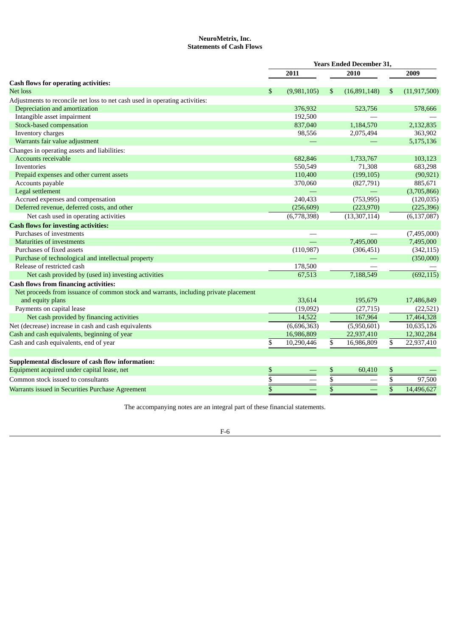# **NeuroMetrix, Inc. Statements of Cash Flows**

|                                                                                      | <b>Years Ended December 31,</b> |             |               |                |                 |                |
|--------------------------------------------------------------------------------------|---------------------------------|-------------|---------------|----------------|-----------------|----------------|
|                                                                                      |                                 | 2011        |               | 2010           |                 | 2009           |
| <b>Cash flows for operating activities:</b>                                          |                                 |             |               |                |                 |                |
| <b>Net loss</b>                                                                      | \$                              | (9,981,105) | \$            | (16,891,148)   | \$              | (11, 917, 500) |
| Adjustments to reconcile net loss to net cash used in operating activities:          |                                 |             |               |                |                 |                |
| Depreciation and amortization                                                        |                                 | 376,932     |               | 523,756        |                 | 578,666        |
| Intangible asset impairment                                                          |                                 | 192,500     |               |                |                 |                |
| Stock-based compensation                                                             |                                 | 837,040     |               | 1,184,570      |                 | 2,132,835      |
| Inventory charges                                                                    |                                 | 98,556      |               | 2,075,494      |                 | 363,902        |
| Warrants fair value adjustment                                                       |                                 |             |               |                |                 | 5,175,136      |
| Changes in operating assets and liabilities:                                         |                                 |             |               |                |                 |                |
| Accounts receivable                                                                  |                                 | 682,846     |               | 1,733,767      |                 | 103,123        |
| <b>Inventories</b>                                                                   |                                 | 550,549     |               | 71,308         |                 | 683,298        |
| Prepaid expenses and other current assets                                            |                                 | 110,400     |               | (199, 105)     |                 | (90, 921)      |
| Accounts payable                                                                     |                                 | 370,060     |               | (827,791)      |                 | 885,671        |
| Legal settlement                                                                     |                                 |             |               |                |                 | (3,705,866)    |
| Accrued expenses and compensation                                                    |                                 | 240,433     |               | (753, 995)     |                 | (120, 035)     |
| Deferred revenue, deferred costs, and other                                          |                                 | (256, 609)  |               | (223, 970)     |                 | (225, 396)     |
| Net cash used in operating activities                                                |                                 | (6,778,398) |               | (13, 307, 114) |                 | (6, 137, 087)  |
| <b>Cash flows for investing activities:</b>                                          |                                 |             |               |                |                 |                |
| Purchases of investments                                                             |                                 |             |               |                |                 | (7,495,000)    |
| Maturities of investments                                                            |                                 |             |               | 7,495,000      |                 | 7,495,000      |
| Purchases of fixed assets                                                            |                                 | (110, 987)  |               | (306, 451)     |                 | (342, 115)     |
| Purchase of technological and intellectual property                                  |                                 |             |               |                |                 | (350,000)      |
| Release of restricted cash                                                           |                                 | 178,500     |               |                |                 |                |
| Net cash provided by (used in) investing activities                                  |                                 | 67,513      |               | 7,188,549      |                 | (692, 115)     |
| <b>Cash flows from financing activities:</b>                                         |                                 |             |               |                |                 |                |
| Net proceeds from issuance of common stock and warrants, including private placement |                                 |             |               |                |                 |                |
| and equity plans                                                                     |                                 | 33,614      |               | 195,679        |                 | 17,486,849     |
| Payments on capital lease                                                            |                                 | (19,092)    |               | (27, 715)      |                 | (22, 521)      |
| Net cash provided by financing activities                                            |                                 | 14,522      |               | 167,964        |                 | 17,464,328     |
| Net (decrease) increase in cash and cash equivalents                                 |                                 | (6,696,363) |               | (5,950,601)    |                 | 10,635,126     |
| Cash and cash equivalents, beginning of year                                         |                                 | 16,986,809  |               | 22,937,410     |                 | 12,302,284     |
| Cash and cash equivalents, end of year                                               | \$                              | 10,290,446  | \$            | 16,986,809     | \$              | 22,937,410     |
| Supplemental disclosure of cash flow information:                                    |                                 |             |               |                |                 |                |
| Equipment acquired under capital lease, net                                          | \$                              |             | \$            | 60,410         | \$              |                |
| Common stock issued to consultants                                                   | \$                              |             |               |                | $\overline{\$}$ | 97,500         |
| Warrants issued in Securities Purchase Agreement                                     | 5                               |             | $\frac{1}{3}$ |                | \$              | 14,496,627     |
|                                                                                      |                                 |             |               |                |                 |                |

The accompanying notes are an integral part of these financial statements.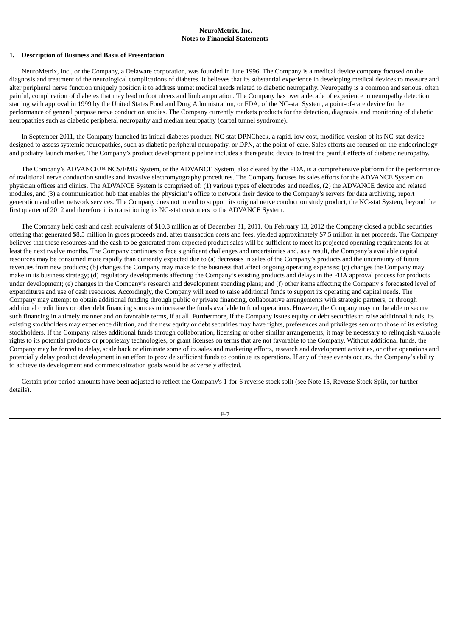### **NeuroMetrix, Inc. Notes to Financial Statements**

# **1. Description of Business and Basis of Presentation**

NeuroMetrix, Inc., or the Company, a Delaware corporation, was founded in June 1996. The Company is a medical device company focused on the diagnosis and treatment of the neurological complications of diabetes. It believes that its substantial experience in developing medical devices to measure and alter peripheral nerve function uniquely position it to address unmet medical needs related to diabetic neuropathy. Neuropathy is a common and serious, often painful, complication of diabetes that may lead to foot ulcers and limb amputation. The Company has over a decade of experience in neuropathy detection starting with approval in 1999 by the United States Food and Drug Administration, or FDA, of the NC-stat System, a point-of-care device for the performance of general purpose nerve conduction studies. The Company currently markets products for the detection, diagnosis, and monitoring of diabetic neuropathies such as diabetic peripheral neuropathy and median neuropathy (carpal tunnel syndrome).

In September 2011, the Company launched its initial diabetes product, NC-stat DPNCheck, a rapid, low cost, modified version of its NC-stat device designed to assess systemic neuropathies, such as diabetic peripheral neuropathy, or DPN, at the point-of-care. Sales efforts are focused on the endocrinology and podiatry launch market. The Company's product development pipeline includes a therapeutic device to treat the painful effects of diabetic neuropathy.

The Company's ADVANCE™ NCS/EMG System, or the ADVANCE System, also cleared by the FDA, is a comprehensive platform for the performance of traditional nerve conduction studies and invasive electromyography procedures. The Company focuses its sales efforts for the ADVANCE System on physician offices and clinics. The ADVANCE System is comprised of: (1) various types of electrodes and needles, (2) the ADVANCE device and related modules, and (3) a communication hub that enables the physician's office to network their device to the Company's servers for data archiving, report generation and other network services. The Company does not intend to support its original nerve conduction study product, the NC-stat System, beyond the first quarter of 2012 and therefore it is transitioning its NC-stat customers to the ADVANCE System.

The Company held cash and cash equivalents of \$10.3 million as of December 31, 2011. On February 13, 2012 the Company closed a public securities offering that generated \$8.5 million in gross proceeds and, after transaction costs and fees, yielded approximately \$7.5 million in net proceeds. The Company believes that these resources and the cash to be generated from expected product sales will be sufficient to meet its projected operating requirements for at least the next twelve months. The Company continues to face significant challenges and uncertainties and, as a result, the Company's available capital resources may be consumed more rapidly than currently expected due to (a) decreases in sales of the Company's products and the uncertainty of future revenues from new products; (b) changes the Company may make to the business that affect ongoing operating expenses; (c) changes the Company may make in its business strategy; (d) regulatory developments affecting the Company's existing products and delays in the FDA approval process for products under development; (e) changes in the Company's research and development spending plans; and (f) other items affecting the Company's forecasted level of expenditures and use of cash resources. Accordingly, the Company will need to raise additional funds to support its operating and capital needs. The Company may attempt to obtain additional funding through public or private financing, collaborative arrangements with strategic partners, or through additional credit lines or other debt financing sources to increase the funds available to fund operations. However, the Company may not be able to secure such financing in a timely manner and on favorable terms, if at all. Furthermore, if the Company issues equity or debt securities to raise additional funds, its existing stockholders may experience dilution, and the new equity or debt securities may have rights, preferences and privileges senior to those of its existing stockholders. If the Company raises additional funds through collaboration, licensing or other similar arrangements, it may be necessary to relinquish valuable rights to its potential products or proprietary technologies, or grant licenses on terms that are not favorable to the Company. Without additional funds, the Company may be forced to delay, scale back or eliminate some of its sales and marketing efforts, research and development activities, or other operations and potentially delay product development in an effort to provide sufficient funds to continue its operations. If any of these events occurs, the Company's ability to achieve its development and commercialization goals would be adversely affected.

Certain prior period amounts have been adjusted to reflect the Company's 1-for-6 reverse stock split (see Note 15, Reverse Stock Split, for further details).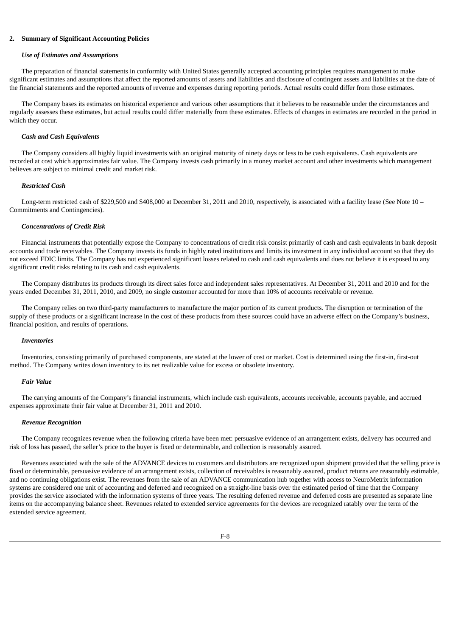## **2. Summary of Significant Accounting Policies**

# *Use of Estimates and Assumptions*

The preparation of financial statements in conformity with United States generally accepted accounting principles requires management to make significant estimates and assumptions that affect the reported amounts of assets and liabilities and disclosure of contingent assets and liabilities at the date of the financial statements and the reported amounts of revenue and expenses during reporting periods. Actual results could differ from those estimates.

The Company bases its estimates on historical experience and various other assumptions that it believes to be reasonable under the circumstances and regularly assesses these estimates, but actual results could differ materially from these estimates. Effects of changes in estimates are recorded in the period in which they occur.

## *Cash and Cash Equivalents*

The Company considers all highly liquid investments with an original maturity of ninety days or less to be cash equivalents. Cash equivalents are recorded at cost which approximates fair value. The Company invests cash primarily in a money market account and other investments which management believes are subject to minimal credit and market risk.

### *Restricted Cash*

Long-term restricted cash of \$229,500 and \$408,000 at December 31, 2011 and 2010, respectively, is associated with a facility lease (See Note 10 – Commitments and Contingencies).

### *Concentrations of Credit Risk*

Financial instruments that potentially expose the Company to concentrations of credit risk consist primarily of cash and cash equivalents in bank deposit accounts and trade receivables. The Company invests its funds in highly rated institutions and limits its investment in any individual account so that they do not exceed FDIC limits. The Company has not experienced significant losses related to cash and cash equivalents and does not believe it is exposed to any significant credit risks relating to its cash and cash equivalents.

The Company distributes its products through its direct sales force and independent sales representatives. At December 31, 2011 and 2010 and for the years ended December 31, 2011, 2010, and 2009, no single customer accounted for more than 10% of accounts receivable or revenue.

The Company relies on two third-party manufacturers to manufacture the major portion of its current products. The disruption or termination of the supply of these products or a significant increase in the cost of these products from these sources could have an adverse effect on the Company's business, financial position, and results of operations.

### *Inventories*

Inventories, consisting primarily of purchased components, are stated at the lower of cost or market. Cost is determined using the first-in, first-out method. The Company writes down inventory to its net realizable value for excess or obsolete inventory.

#### *Fair Value*

The carrying amounts of the Company's financial instruments, which include cash equivalents, accounts receivable, accounts payable, and accrued expenses approximate their fair value at December 31, 2011 and 2010.

#### *Revenue Recognition*

The Company recognizes revenue when the following criteria have been met: persuasive evidence of an arrangement exists, delivery has occurred and risk of loss has passed, the seller's price to the buyer is fixed or determinable, and collection is reasonably assured.

Revenues associated with the sale of the ADVANCE devices to customers and distributors are recognized upon shipment provided that the selling price is fixed or determinable, persuasive evidence of an arrangement exists, collection of receivables is reasonably assured, product returns are reasonably estimable, and no continuing obligations exist. The revenues from the sale of an ADVANCE communication hub together with access to NeuroMetrix information systems are considered one unit of accounting and deferred and recognized on a straight-line basis over the estimated period of time that the Company provides the service associated with the information systems of three years. The resulting deferred revenue and deferred costs are presented as separate line items on the accompanying balance sheet. Revenues related to extended service agreements for the devices are recognized ratably over the term of the extended service agreement.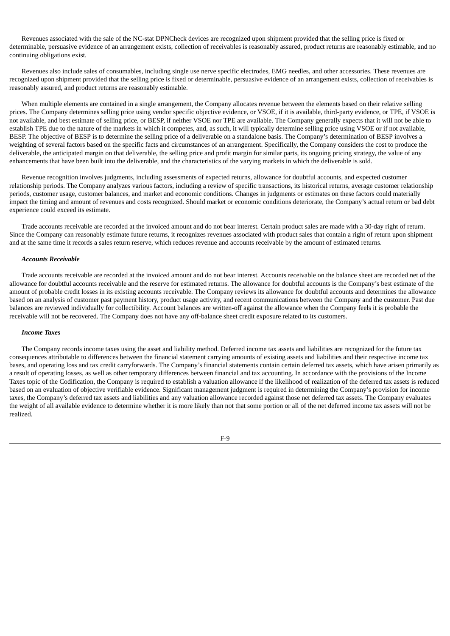Revenues associated with the sale of the NC-stat DPNCheck devices are recognized upon shipment provided that the selling price is fixed or determinable, persuasive evidence of an arrangement exists, collection of receivables is reasonably assured, product returns are reasonably estimable, and no continuing obligations exist.

Revenues also include sales of consumables, including single use nerve specific electrodes, EMG needles, and other accessories. These revenues are recognized upon shipment provided that the selling price is fixed or determinable, persuasive evidence of an arrangement exists, collection of receivables is reasonably assured, and product returns are reasonably estimable.

When multiple elements are contained in a single arrangement, the Company allocates revenue between the elements based on their relative selling prices. The Company determines selling price using vendor specific objective evidence, or VSOE, if it is available, third-party evidence, or TPE, if VSOE is not available, and best estimate of selling price, or BESP, if neither VSOE nor TPE are available. The Company generally expects that it will not be able to establish TPE due to the nature of the markets in which it competes, and, as such, it will typically determine selling price using VSOE or if not available, BESP. The objective of BESP is to determine the selling price of a deliverable on a standalone basis. The Company's determination of BESP involves a weighting of several factors based on the specific facts and circumstances of an arrangement. Specifically, the Company considers the cost to produce the deliverable, the anticipated margin on that deliverable, the selling price and profit margin for similar parts, its ongoing pricing strategy, the value of any enhancements that have been built into the deliverable, and the characteristics of the varying markets in which the deliverable is sold.

Revenue recognition involves judgments, including assessments of expected returns, allowance for doubtful accounts, and expected customer relationship periods. The Company analyzes various factors, including a review of specific transactions, its historical returns, average customer relationship periods, customer usage, customer balances, and market and economic conditions. Changes in judgments or estimates on these factors could materially impact the timing and amount of revenues and costs recognized. Should market or economic conditions deteriorate, the Company's actual return or bad debt experience could exceed its estimate.

Trade accounts receivable are recorded at the invoiced amount and do not bear interest. Certain product sales are made with a 30-day right of return. Since the Company can reasonably estimate future returns, it recognizes revenues associated with product sales that contain a right of return upon shipment and at the same time it records a sales return reserve, which reduces revenue and accounts receivable by the amount of estimated returns.

### *Accounts Receivable*

Trade accounts receivable are recorded at the invoiced amount and do not bear interest. Accounts receivable on the balance sheet are recorded net of the allowance for doubtful accounts receivable and the reserve for estimated returns. The allowance for doubtful accounts is the Company's best estimate of the amount of probable credit losses in its existing accounts receivable. The Company reviews its allowance for doubtful accounts and determines the allowance based on an analysis of customer past payment history, product usage activity, and recent communications between the Company and the customer. Past due balances are reviewed individually for collectibility. Account balances are written-off against the allowance when the Company feels it is probable the receivable will not be recovered. The Company does not have any off-balance sheet credit exposure related to its customers.

#### *Income Taxes*

The Company records income taxes using the asset and liability method. Deferred income tax assets and liabilities are recognized for the future tax consequences attributable to differences between the financial statement carrying amounts of existing assets and liabilities and their respective income tax bases, and operating loss and tax credit carryforwards. The Company's financial statements contain certain deferred tax assets, which have arisen primarily as a result of operating losses, as well as other temporary differences between financial and tax accounting. In accordance with the provisions of the Income Taxes topic of the Codification, the Company is required to establish a valuation allowance if the likelihood of realization of the deferred tax assets is reduced based on an evaluation of objective verifiable evidence. Significant management judgment is required in determining the Company's provision for income taxes, the Company's deferred tax assets and liabilities and any valuation allowance recorded against those net deferred tax assets. The Company evaluates the weight of all available evidence to determine whether it is more likely than not that some portion or all of the net deferred income tax assets will not be realized.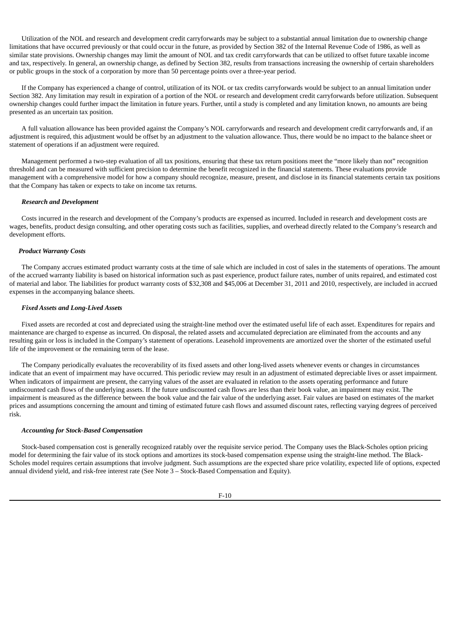Utilization of the NOL and research and development credit carryforwards may be subject to a substantial annual limitation due to ownership change limitations that have occurred previously or that could occur in the future, as provided by Section 382 of the Internal Revenue Code of 1986, as well as similar state provisions. Ownership changes may limit the amount of NOL and tax credit carryforwards that can be utilized to offset future taxable income and tax, respectively. In general, an ownership change, as defined by Section 382, results from transactions increasing the ownership of certain shareholders or public groups in the stock of a corporation by more than 50 percentage points over a three-year period.

If the Company has experienced a change of control, utilization of its NOL or tax credits carryforwards would be subject to an annual limitation under Section 382. Any limitation may result in expiration of a portion of the NOL or research and development credit carryforwards before utilization. Subsequent ownership changes could further impact the limitation in future years. Further, until a study is completed and any limitation known, no amounts are being presented as an uncertain tax position.

A full valuation allowance has been provided against the Company's NOL carryforwards and research and development credit carryforwards and, if an adjustment is required, this adjustment would be offset by an adjustment to the valuation allowance. Thus, there would be no impact to the balance sheet or statement of operations if an adjustment were required.

Management performed a two-step evaluation of all tax positions, ensuring that these tax return positions meet the "more likely than not" recognition threshold and can be measured with sufficient precision to determine the benefit recognized in the financial statements. These evaluations provide management with a comprehensive model for how a company should recognize, measure, present, and disclose in its financial statements certain tax positions that the Company has taken or expects to take on income tax returns.

## *Research and Development*

Costs incurred in the research and development of the Company's products are expensed as incurred. Included in research and development costs are wages, benefits, product design consulting, and other operating costs such as facilities, supplies, and overhead directly related to the Company's research and development efforts.

# *Product Warranty Costs*

The Company accrues estimated product warranty costs at the time of sale which are included in cost of sales in the statements of operations. The amount of the accrued warranty liability is based on historical information such as past experience, product failure rates, number of units repaired, and estimated cost of material and labor. The liabilities for product warranty costs of \$32,308 and \$45,006 at December 31, 2011 and 2010, respectively, are included in accrued expenses in the accompanying balance sheets.

### *Fixed Assets and Long-Lived Assets*

Fixed assets are recorded at cost and depreciated using the straight-line method over the estimated useful life of each asset. Expenditures for repairs and maintenance are charged to expense as incurred. On disposal, the related assets and accumulated depreciation are eliminated from the accounts and any resulting gain or loss is included in the Company's statement of operations. Leasehold improvements are amortized over the shorter of the estimated useful life of the improvement or the remaining term of the lease.

The Company periodically evaluates the recoverability of its fixed assets and other long-lived assets whenever events or changes in circumstances indicate that an event of impairment may have occurred. This periodic review may result in an adjustment of estimated depreciable lives or asset impairment. When indicators of impairment are present, the carrying values of the asset are evaluated in relation to the assets operating performance and future undiscounted cash flows of the underlying assets. If the future undiscounted cash flows are less than their book value, an impairment may exist. The impairment is measured as the difference between the book value and the fair value of the underlying asset. Fair values are based on estimates of the market prices and assumptions concerning the amount and timing of estimated future cash flows and assumed discount rates, reflecting varying degrees of perceived risk.

### *Accounting for Stock-Based Compensation*

Stock-based compensation cost is generally recognized ratably over the requisite service period. The Company uses the Black-Scholes option pricing model for determining the fair value of its stock options and amortizes its stock-based compensation expense using the straight-line method. The Black-Scholes model requires certain assumptions that involve judgment. Such assumptions are the expected share price volatility, expected life of options, expected annual dividend yield, and risk-free interest rate (See Note 3 – Stock-Based Compensation and Equity).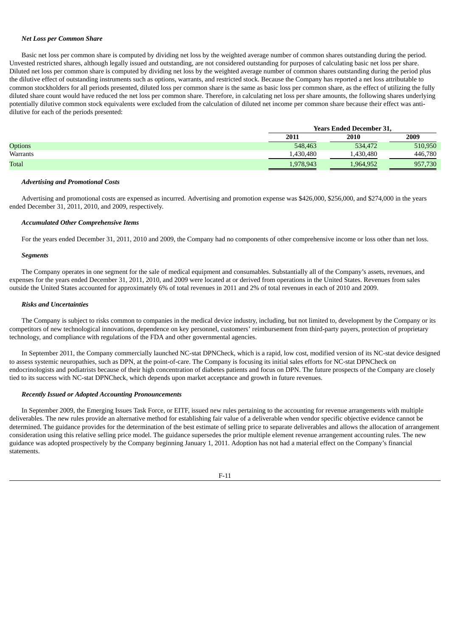# *Net Loss per Common Share*

Basic net loss per common share is computed by dividing net loss by the weighted average number of common shares outstanding during the period. Unvested restricted shares, although legally issued and outstanding, are not considered outstanding for purposes of calculating basic net loss per share. Diluted net loss per common share is computed by dividing net loss by the weighted average number of common shares outstanding during the period plus the dilutive effect of outstanding instruments such as options, warrants, and restricted stock. Because the Company has reported a net loss attributable to common stockholders for all periods presented, diluted loss per common share is the same as basic loss per common share, as the effect of utilizing the fully diluted share count would have reduced the net loss per common share. Therefore, in calculating net loss per share amounts, the following shares underlying potentially dilutive common stock equivalents were excluded from the calculation of diluted net income per common share because their effect was antidilutive for each of the periods presented:

|              |           | <b>Years Ended December 31,</b> |         |  |  |  |
|--------------|-----------|---------------------------------|---------|--|--|--|
|              | 2011      | 2010                            | 2009    |  |  |  |
| Options      | 548,463   | 534,472                         | 510,950 |  |  |  |
| Warrants     | 1,430,480 | ,430,480                        | 446.780 |  |  |  |
| <b>Total</b> | 1,978,943 | 1,964,952                       | 957,730 |  |  |  |

### *Advertising and Promotional Costs*

Advertising and promotional costs are expensed as incurred. Advertising and promotion expense was \$426,000, \$256,000, and \$274,000 in the years ended December 31, 2011, 2010, and 2009, respectively.

### *Accumulated Other Comprehensive Items*

For the years ended December 31, 2011, 2010 and 2009, the Company had no components of other comprehensive income or loss other than net loss.

### *Segments*

The Company operates in one segment for the sale of medical equipment and consumables. Substantially all of the Company's assets, revenues, and expenses for the years ended December 31, 2011, 2010, and 2009 were located at or derived from operations in the United States. Revenues from sales outside the United States accounted for approximately 6% of total revenues in 2011 and 2% of total revenues in each of 2010 and 2009.

### *Risks and Uncertainties*

The Company is subject to risks common to companies in the medical device industry, including, but not limited to, development by the Company or its competitors of new technological innovations, dependence on key personnel, customers' reimbursement from third-party payers, protection of proprietary technology, and compliance with regulations of the FDA and other governmental agencies.

In September 2011, the Company commercially launched NC-stat DPNCheck, which is a rapid, low cost, modified version of its NC-stat device designed to assess systemic neuropathies, such as DPN, at the point-of-care. The Company is focusing its initial sales efforts for NC-stat DPNCheck on endocrinologists and podiatrists because of their high concentration of diabetes patients and focus on DPN. The future prospects of the Company are closely tied to its success with NC-stat DPNCheck, which depends upon market acceptance and growth in future revenues.

## *Recently Issued or Adopted Accounting Pronouncements*

In September 2009, the Emerging Issues Task Force, or EITF, issued new rules pertaining to the accounting for revenue arrangements with multiple deliverables. The new rules provide an alternative method for establishing fair value of a deliverable when vendor specific objective evidence cannot be determined. The guidance provides for the determination of the best estimate of selling price to separate deliverables and allows the allocation of arrangement consideration using this relative selling price model. The guidance supersedes the prior multiple element revenue arrangement accounting rules. The new guidance was adopted prospectively by the Company beginning January 1, 2011. Adoption has not had a material effect on the Company's financial statements.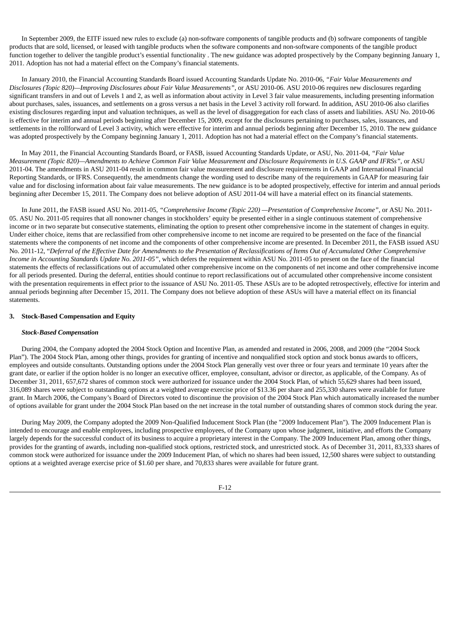In September 2009, the EITF issued new rules to exclude (a) non-software components of tangible products and (b) software components of tangible products that are sold, licensed, or leased with tangible products when the software components and non-software components of the tangible product function together to deliver the tangible product's essential functionality . The new guidance was adopted prospectively by the Company beginning January 1, 2011. Adoption has not had a material effect on the Company's financial statements.

In January 2010, the Financial Accounting Standards Board issued Accounting Standards Update No. 2010-06*, "Fair Value Measurements and Disclosures (Topic 820)—Improving Disclosures about Fair Value Measurements"*, or ASU 2010-06. ASU 2010-06 requires new disclosures regarding significant transfers in and out of Levels 1 and 2, as well as information about activity in Level 3 fair value measurements, including presenting information about purchases, sales, issuances, and settlements on a gross versus a net basis in the Level 3 activity roll forward. In addition, ASU 2010-06 also clarifies existing disclosures regarding input and valuation techniques, as well as the level of disaggregation for each class of assets and liabilities. ASU No. 2010-06 is effective for interim and annual periods beginning after December 15, 2009, except for the disclosures pertaining to purchases, sales, issuances, and settlements in the rollforward of Level 3 activity, which were effective for interim and annual periods beginning after December 15, 2010. The new guidance was adopted prospectively by the Company beginning January 1, 2011. Adoption has not had a material effect on the Company's financial statements.

In May 2011, the Financial Accounting Standards Board, or FASB, issued Accounting Standards Update, or ASU, No. 2011-04*, "Fair Value* Measurement (Topic 820)—Amendments to Achieve Common Fair Value Measurement and Disclosure Requirements in U.S. GAAP and IFRSs", or ASU 2011-04. The amendments in ASU 2011-04 result in common fair value measurement and disclosure requirements in GAAP and International Financial Reporting Standards, or IFRS. Consequently, the amendments change the wording used to describe many of the requirements in GAAP for measuring fair value and for disclosing information about fair value measurements. The new guidance is to be adopted prospectively, effective for interim and annual periods beginning after December 15, 2011. The Company does not believe adoption of ASU 2011-04 will have a material effect on its financial statements.

In June 2011, the FASB issued ASU No. 2011-05, *"Comprehensive Income (Topic 220) —Presentation of Comprehensive Income"*, or ASU No. 2011- 05. ASU No. 2011-05 requires that all nonowner changes in stockholders' equity be presented either in a single continuous statement of comprehensive income or in two separate but consecutive statements, eliminating the option to present other comprehensive income in the statement of changes in equity. Under either choice, items that are reclassified from other comprehensive income to net income are required to be presented on the face of the financial statements where the components of net income and the components of other comprehensive income are presented. In December 2011, the FASB issued ASU No. 2011-12, "Deferral of the Effective Date for Amendments to the Presentation of Reclassifications of Items Out of Accumulated Other Comprehensive *Income in Accounting Standards Update No. 2011-05"*, which defers the requirement within ASU No. 2011-05 to present on the face of the financial statements the effects of reclassifications out of accumulated other comprehensive income on the components of net income and other comprehensive income for all periods presented. During the deferral, entities should continue to report reclassifications out of accumulated other comprehensive income consistent with the presentation requirements in effect prior to the issuance of ASU No. 2011-05. These ASUs are to be adopted retrospectively, effective for interim and annual periods beginning after December 15, 2011. The Company does not believe adoption of these ASUs will have a material effect on its financial statements.

## **3. Stock-Based Compensation and Equity**

### *Stock-Based Compensation*

During 2004, the Company adopted the 2004 Stock Option and Incentive Plan, as amended and restated in 2006, 2008, and 2009 (the "2004 Stock Plan"). The 2004 Stock Plan, among other things, provides for granting of incentive and nonqualified stock option and stock bonus awards to officers, employees and outside consultants. Outstanding options under the 2004 Stock Plan generally vest over three or four years and terminate 10 years after the grant date, or earlier if the option holder is no longer an executive officer, employee, consultant, advisor or director, as applicable, of the Company. As of December 31, 2011, 657,672 shares of common stock were authorized for issuance under the 2004 Stock Plan, of which 55,629 shares had been issued, 316,089 shares were subject to outstanding options at a weighted average exercise price of \$13.36 per share and 255,330 shares were available for future grant. In March 2006, the Company's Board of Directors voted to discontinue the provision of the 2004 Stock Plan which automatically increased the number of options available for grant under the 2004 Stock Plan based on the net increase in the total number of outstanding shares of common stock during the year.

During May 2009, the Company adopted the 2009 Non-Qualified Inducement Stock Plan (the "2009 Inducement Plan"). The 2009 Inducement Plan is intended to encourage and enable employees, including prospective employees, of the Company upon whose judgment, initiative, and efforts the Company largely depends for the successful conduct of its business to acquire a proprietary interest in the Company. The 2009 Inducement Plan, among other things, provides for the granting of awards, including non-qualified stock options, restricted stock, and unrestricted stock. As of December 31, 2011, 83,333 shares of common stock were authorized for issuance under the 2009 Inducement Plan, of which no shares had been issued, 12,500 shares were subject to outstanding options at a weighted average exercise price of \$1.60 per share, and 70,833 shares were available for future grant.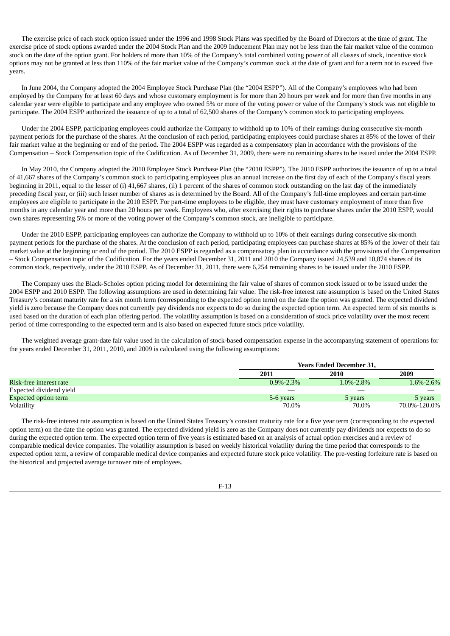The exercise price of each stock option issued under the 1996 and 1998 Stock Plans was specified by the Board of Directors at the time of grant. The exercise price of stock options awarded under the 2004 Stock Plan and the 2009 Inducement Plan may not be less than the fair market value of the common stock on the date of the option grant. For holders of more than 10% of the Company's total combined voting power of all classes of stock, incentive stock options may not be granted at less than 110% of the fair market value of the Company's common stock at the date of grant and for a term not to exceed five years.

In June 2004, the Company adopted the 2004 Employee Stock Purchase Plan (the "2004 ESPP"). All of the Company's employees who had been employed by the Company for at least 60 days and whose customary employment is for more than 20 hours per week and for more than five months in any calendar year were eligible to participate and any employee who owned 5% or more of the voting power or value of the Company's stock was not eligible to participate. The 2004 ESPP authorized the issuance of up to a total of 62,500 shares of the Company's common stock to participating employees.

Under the 2004 ESPP, participating employees could authorize the Company to withhold up to 10% of their earnings during consecutive six-month payment periods for the purchase of the shares. At the conclusion of each period, participating employees could purchase shares at 85% of the lower of their fair market value at the beginning or end of the period. The 2004 ESPP was regarded as a compensatory plan in accordance with the provisions of the Compensation – Stock Compensation topic of the Codification. As of December 31, 2009, there were no remaining shares to be issued under the 2004 ESPP.

In May 2010, the Company adopted the 2010 Employee Stock Purchase Plan (the "2010 ESPP"). The 2010 ESPP authorizes the issuance of up to a total of 41,667 shares of the Company's common stock to participating employees plus an annual increase on the first day of each of the Company's fiscal years beginning in 2011, equal to the lesser of (i) 41,667 shares, (ii) 1 percent of the shares of common stock outstanding on the last day of the immediately preceding fiscal year, or (iii) such lesser number of shares as is determined by the Board. All of the Company's full-time employees and certain part-time employees are eligible to participate in the 2010 ESPP. For part-time employees to be eligible, they must have customary employment of more than five months in any calendar year and more than 20 hours per week. Employees who, after exercising their rights to purchase shares under the 2010 ESPP, would own shares representing 5% or more of the voting power of the Company's common stock, are ineligible to participate.

Under the 2010 ESPP, participating employees can authorize the Company to withhold up to 10% of their earnings during consecutive six-month payment periods for the purchase of the shares. At the conclusion of each period, participating employees can purchase shares at 85% of the lower of their fair market value at the beginning or end of the period. The 2010 ESPP is regarded as a compensatory plan in accordance with the provisions of the Compensation – Stock Compensation topic of the Codification. For the years ended December 31, 2011 and 2010 the Company issued 24,539 and 10,874 shares of its common stock, respectively, under the 2010 ESPP. As of December 31, 2011, there were 6,254 remaining shares to be issued under the 2010 ESPP.

The Company uses the Black-Scholes option pricing model for determining the fair value of shares of common stock issued or to be issued under the 2004 ESPP and 2010 ESPP. The following assumptions are used in determining fair value: The risk-free interest rate assumption is based on the United States Treasury's constant maturity rate for a six month term (corresponding to the expected option term) on the date the option was granted. The expected dividend yield is zero because the Company does not currently pay dividends nor expects to do so during the expected option term. An expected term of six months is used based on the duration of each plan offering period. The volatility assumption is based on a consideration of stock price volatility over the most recent period of time corresponding to the expected term and is also based on expected future stock price volatility.

The weighted average grant-date fair value used in the calculation of stock-based compensation expense in the accompanying statement of operations for the years ended December 31, 2011, 2010, and 2009 is calculated using the following assumptions:

|                             |                 | <b>Years Ended December 31,</b> |                 |  |  |  |  |
|-----------------------------|-----------------|---------------------------------|-----------------|--|--|--|--|
|                             | 2011            | 2010                            | 2009            |  |  |  |  |
| Risk-free interest rate     | $0.9\% - 2.3\%$ | $1.0\% - 2.8\%$                 | $1.6\% - 2.6\%$ |  |  |  |  |
| Expected dividend yield     |                 |                                 |                 |  |  |  |  |
| <b>Expected option term</b> | 5-6 years       | 5 years                         | 5 years         |  |  |  |  |
| Volatility                  | 70.0%           | 70.0%                           | 70.0%-120.0%    |  |  |  |  |

The risk-free interest rate assumption is based on the United States Treasury's constant maturity rate for a five year term (corresponding to the expected option term) on the date the option was granted. The expected dividend yield is zero as the Company does not currently pay dividends nor expects to do so during the expected option term. The expected option term of five years is estimated based on an analysis of actual option exercises and a review of comparable medical device companies. The volatility assumption is based on weekly historical volatility during the time period that corresponds to the expected option term, a review of comparable medical device companies and expected future stock price volatility. The pre-vesting forfeiture rate is based on the historical and projected average turnover rate of employees.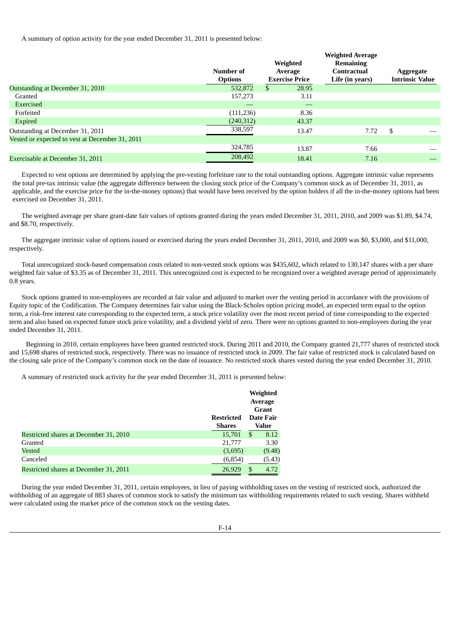A summary of option activity for the year ended December 31, 2011 is presented below:

|                                                 | Number of<br><b>Options</b> | Weighted<br>Average<br><b>Exercise Price</b> |       | <b>Weighted Average</b><br><b>Remaining</b><br>Contractual<br>Life (in years) |   | Aggregate<br><b>Intrinsic Value</b> |
|-------------------------------------------------|-----------------------------|----------------------------------------------|-------|-------------------------------------------------------------------------------|---|-------------------------------------|
| Outstanding at December 31, 2010                | 532,872                     | \$.                                          | 28.95 |                                                                               |   |                                     |
| Granted                                         | 157,273                     |                                              | 3.11  |                                                                               |   |                                     |
| Exercised                                       |                             |                                              |       |                                                                               |   |                                     |
| Forfeited                                       | (111, 236)                  |                                              | 8.36  |                                                                               |   |                                     |
| Expired                                         | (240, 312)                  |                                              | 43.37 |                                                                               |   |                                     |
| Outstanding at December 31, 2011                | 338,597                     |                                              | 13.47 | 7.72                                                                          | S |                                     |
| Vested or expected to vest at December 31, 2011 |                             |                                              |       |                                                                               |   |                                     |
|                                                 | 324,785                     |                                              | 13.87 | 7.66                                                                          |   |                                     |
| Exercisable at December 31, 2011                | 208,492                     |                                              | 18.41 | 7.16                                                                          |   |                                     |

Expected to vest options are determined by applying the pre-vesting forfeiture rate to the total outstanding options. Aggregate intrinsic value represents the total pre-tax intrinsic value (the aggregate difference between the closing stock price of the Company's common stock as of December 31, 2011, as applicable, and the exercise price for the in-the-money options) that would have been received by the option holders if all the in-the-money options had been exercised on December 31, 2011.

The weighted average per share grant-date fair values of options granted during the years ended December 31, 2011, 2010, and 2009 was \$1.89, \$4.74, and \$8.70, respectively.

The aggregate intrinsic value of options issued or exercised during the years ended December 31, 2011, 2010, and 2009 was \$0, \$3,000, and \$11,000, respectively.

Total unrecognized stock-based compensation costs related to non-vested stock options was \$435,602, which related to 130,147 shares with a per share weighted fair value of \$3.35 as of December 31, 2011. This unrecognized cost is expected to be recognized over a weighted average period of approximately 0.8 years.

Stock options granted to non-employees are recorded at fair value and adjusted to market over the vesting period in accordance with the provisions of Equity topic of the Codification. The Company determines fair value using the Black-Scholes option pricing model, an expected term equal to the option term, a risk-free interest rate corresponding to the expected term, a stock price volatility over the most recent period of time corresponding to the expected term and also based on expected future stock price volatility, and a dividend yield of zero. There were no options granted to non-employees during the year ended December 31, 2011.

Beginning in 2010, certain employees have been granted restricted stock. During 2011 and 2010, the Company granted 21,777 shares of restricted stock and 15,698 shares of restricted stock, respectively. There was no issuance of restricted stock in 2009. The fair value of restricted stock is calculated based on the closing sale price of the Company's common stock on the date of issuance. No restricted stock shares vested during the year ended December 31, 2010.

A summary of restricted stock activity for the year ended December 31, 2011 is presented below:

|                                        | <b>Restricted</b><br><b>Shares</b> |    | Weighted<br>Average<br>Grant<br><b>Date Fair</b><br>Value |
|----------------------------------------|------------------------------------|----|-----------------------------------------------------------|
| Restricted shares at December 31, 2010 | 15,701                             | -S | 8.12                                                      |
| Granted                                | 21,777                             |    | 3.30                                                      |
| <b>Vested</b>                          | (3,695)                            |    | (9.48)                                                    |
| Canceled                               | (6,854)                            |    | (5.43)                                                    |
| Restricted shares at December 31, 2011 | 26.929                             | S  | 4.72                                                      |

During the year ended December 31, 2011, certain employees, in lieu of paying withholding taxes on the vesting of restricted stock, authorized the withholding of an aggregate of 883 shares of common stock to satisfy the minimum tax withholding requirements related to such vesting. Shares withheld were calculated using the market price of the common stock on the vesting dates.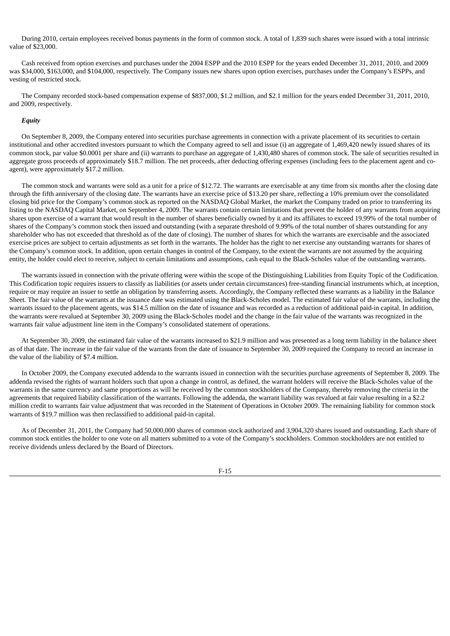During 2010, certain employees received bonus payments in the form of common stock. A total of 1,839 such shares were issued with a total intrinsic value of \$23,000.

Cash received from option exercises and purchases under the 2004 ESPP and the 2010 ESPP for the years ended December 31, 2011, 2010, and 2009 was \$34,000, \$163,000, and \$104,000, respectively. The Company issues new shares upon option exercises, purchases under the Company's ESPPs, and vesting of restricted stock.

The Company recorded stock-based compensation expense of \$837,000, \$1.2 million, and \$2.1 million for the years ended December 31, 2011, 2010, and 2009, respectively.

### *Equity*

On September 8, 2009, the Company entered into securities purchase agreements in connection with a private placement of its securities to certain institutional and other accredited investors pursuant to which the Company agreed to sell and issue (i) an aggregate of 1,469,420 newly issued shares of its common stock, par value \$0.0001 per share and (ii) warrants to purchase an aggregate of 1,430,480 shares of common stock. The sale of securities resulted in aggregate gross proceeds of approximately \$18.7 million. The net proceeds, after deducting offering expenses (including fees to the placement agent and coagent), were approximately \$17.2 million.

The common stock and warrants were sold as a unit for a price of \$12.72. The warrants are exercisable at any time from six months after the closing date through the fifth anniversary of the closing date. The warrants have an exercise price of \$13.20 per share, reflecting a 10% premium over the consolidated closing bid price for the Company's common stock as reported on the NASDAQ Global Market, the market the Company traded on prior to transferring its listing to the NASDAQ Capital Market, on September 4, 2009. The warrants contain certain limitations that prevent the holder of any warrants from acquiring shares upon exercise of a warrant that would result in the number of shares beneficially owned by it and its affiliates to exceed 19.99% of the total number of shares of the Company's common stock then issued and outstanding (with a separate threshold of 9.99% of the total number of shares outstanding for any shareholder who has not exceeded that threshold as of the date of closing). The number of shares for which the warrants are exercisable and the associated exercise prices are subject to certain adjustments as set forth in the warrants. The holder has the right to net exercise any outstanding warrants for shares of the Company's common stock. In addition, upon certain changes in control of the Company, to the extent the warrants are not assumed by the acquiring entity, the holder could elect to receive, subject to certain limitations and assumptions, cash equal to the Black-Scholes value of the outstanding warrants.

The warrants issued in connection with the private offering were within the scope of the Distinguishing Liabilities from Equity Topic of the Codification. This Codification topic requires issuers to classify as liabilities (or assets under certain circumstances) free-standing financial instruments which, at inception, require or may require an issuer to settle an obligation by transferring assets. Accordingly, the Company reflected these warrants as a liability in the Balance Sheet. The fair value of the warrants at the issuance date was estimated using the Black-Scholes model. The estimated fair value of the warrants, including the warrants issued to the placement agents, was \$14.5 million on the date of issuance and was recorded as a reduction of additional paid-in capital. In addition, the warrants were revalued at September 30, 2009 using the Black-Scholes model and the change in the fair value of the warrants was recognized in the warrants fair value adjustment line item in the Company's consolidated statement of operations.

At September 30, 2009, the estimated fair value of the warrants increased to \$21.9 million and was presented as a long term liability in the balance sheet as of that date. The increase in the fair value of the warrants from the date of issuance to September 30, 2009 required the Company to record an increase in the value of the liability of \$7.4 million.

In October 2009, the Company executed addenda to the warrants issued in connection with the securities purchase agreements of September 8, 2009. The addenda revised the rights of warrant holders such that upon a change in control, as defined, the warrant holders will receive the Black-Scholes value of the warrants in the same currency and same proportions as will be received by the common stockholders of the Company, thereby removing the criteria in the agreements that required liability classification of the warrants. Following the addenda, the warrant liability was revalued at fair value resulting in a \$2.2 million credit to warrants fair value adjustment that was recorded in the Statement of Operations in October 2009. The remaining liability for common stock warrants of \$19.7 million was then reclassified to additional paid-in capital.

As of December 31, 2011, the Company had 50,000,000 shares of common stock authorized and 3,904,320 shares issued and outstanding. Each share of common stock entitles the holder to one vote on all matters submitted to a vote of the Company's stockholders. Common stockholders are not entitled to receive dividends unless declared by the Board of Directors.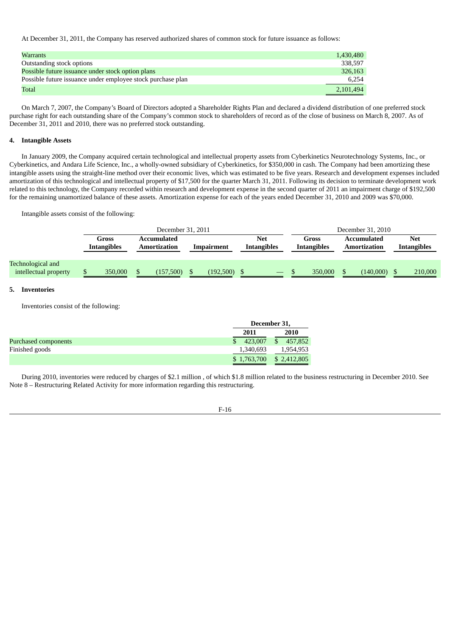At December 31, 2011, the Company has reserved authorized shares of common stock for future issuance as follows:

| <b>Warrants</b>                                             | 1,430,480 |
|-------------------------------------------------------------|-----------|
| Outstanding stock options                                   | 338.597   |
| Possible future issuance under stock option plans           | 326.163   |
| Possible future issuance under employee stock purchase plan | 6.254     |
| Total                                                       | 2,101,494 |

On March 7, 2007, the Company's Board of Directors adopted a Shareholder Rights Plan and declared a dividend distribution of one preferred stock purchase right for each outstanding share of the Company's common stock to shareholders of record as of the close of business on March 8, 2007. As of December 31, 2011 and 2010, there was no preferred stock outstanding.

# **4. Intangible Assets**

In January 2009, the Company acquired certain technological and intellectual property assets from Cyberkinetics Neurotechnology Systems, Inc., or Cyberkinetics, and Andara Life Science, Inc., a wholly-owned subsidiary of Cyberkinetics, for \$350,000 in cash. The Company had been amortizing these intangible assets using the straight-line method over their economic lives, which was estimated to be five years. Research and development expenses included amortization of this technological and intellectual property of \$17,500 for the quarter March 31, 2011. Following its decision to terminate development work related to this technology, the Company recorded within research and development expense in the second quarter of 2011 an impairment charge of \$192,500 for the remaining unamortized balance of these assets. Amortization expense for each of the years ended December 31, 2010 and 2009 was \$70,000.

Intangible assets consist of the following:

|                                            | December 31, 2011           |                             |                |                                  | December 31, 2010           |                                    |                                  |  |  |
|--------------------------------------------|-----------------------------|-----------------------------|----------------|----------------------------------|-----------------------------|------------------------------------|----------------------------------|--|--|
|                                            | Gross<br><b>Intangibles</b> | Accumulated<br>Amortization | Impairment     | <b>Net</b><br><b>Intangibles</b> | Gross<br><b>Intangibles</b> | Accumulated<br><b>Amortization</b> | <b>Net</b><br><b>Intangibles</b> |  |  |
| Technological and<br>intellectual property | 350,000                     | (157,500)                   | $(192,500)$ \$ | $\hspace{0.1mm}-\hspace{0.1mm}$  | 350,000                     | (140,000)                          | 210,000                          |  |  |

## **5. Inventories**

Inventories consist of the following:

|                             |                               | December 31,            |  |  |
|-----------------------------|-------------------------------|-------------------------|--|--|
|                             | 2011                          | 2010                    |  |  |
| <b>Purchased components</b> | 423,007                       | $\mathbb{S}$<br>457.852 |  |  |
| Finished goods              | 1,340,693                     | 1,954,953               |  |  |
|                             | $$1,763,700 \quad $2,412,805$ |                         |  |  |

During 2010, inventories were reduced by charges of \$2.1 million , of which \$1.8 million related to the business restructuring in December 2010. See Note 8 – Restructuring Related Activity for more information regarding this restructuring.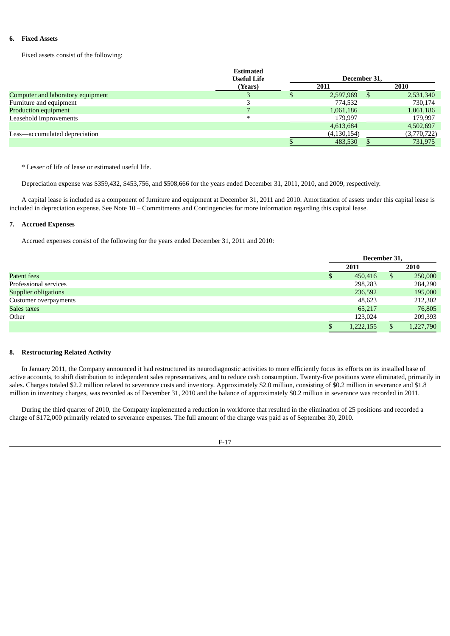# **6. Fixed Assets**

Fixed assets consist of the following:

|                                   | <b>Estimated</b><br><b>Useful Life</b> |      | December 31.  |      |             |
|-----------------------------------|----------------------------------------|------|---------------|------|-------------|
|                                   | (Years)                                | 2011 |               | 2010 |             |
| Computer and laboratory equipment |                                        |      | 2,597,969     |      | 2,531,340   |
| Furniture and equipment           |                                        |      | 774,532       |      | 730,174     |
| <b>Production equipment</b>       |                                        |      | 1,061,186     |      | 1,061,186   |
| Leasehold improvements            | $\ast$                                 |      | 179,997       |      | 179,997     |
|                                   |                                        |      | 4.613.684     |      | 4,502,697   |
| Less—accumulated depreciation     |                                        |      | (4, 130, 154) |      | (3,770,722) |
|                                   |                                        |      | 483,530       |      | 731,975     |

\* Lesser of life of lease or estimated useful life.

Depreciation expense was \$359,432, \$453,756, and \$508,666 for the years ended December 31, 2011, 2010, and 2009, respectively.

A capital lease is included as a component of furniture and equipment at December 31, 2011 and 2010. Amortization of assets under this capital lease is included in depreciation expense. See Note 10 – Commitments and Contingencies for more information regarding this capital lease.

## **7. Accrued Expenses**

Accrued expenses consist of the following for the years ended December 31, 2011 and 2010:

|                       | December 31, |    |           |  |
|-----------------------|--------------|----|-----------|--|
|                       | 2011         |    | 2010      |  |
| Patent fees           | 450,416      | \$ | 250,000   |  |
| Professional services | 298,283      |    | 284,290   |  |
| Supplier obligations  | 236,592      |    | 195,000   |  |
| Customer overpayments | 48,623       |    | 212,302   |  |
| Sales taxes           | 65,217       |    | 76,805    |  |
| Other                 | 123,024      |    | 209,393   |  |
|                       | 1,222,155    |    | 1,227,790 |  |

## **8. Restructuring Related Activity**

In January 2011, the Company announced it had restructured its neurodiagnostic activities to more efficiently focus its efforts on its installed base of active accounts, to shift distribution to independent sales representatives, and to reduce cash consumption. Twenty-five positions were eliminated, primarily in sales. Charges totaled \$2.2 million related to severance costs and inventory. Approximately \$2.0 million, consisting of \$0.2 million in severance and \$1.8 million in inventory charges, was recorded as of December 31, 2010 and the balance of approximately \$0.2 million in severance was recorded in 2011.

During the third quarter of 2010, the Company implemented a reduction in workforce that resulted in the elimination of 25 positions and recorded a charge of \$172,000 primarily related to severance expenses. The full amount of the charge was paid as of September 30, 2010.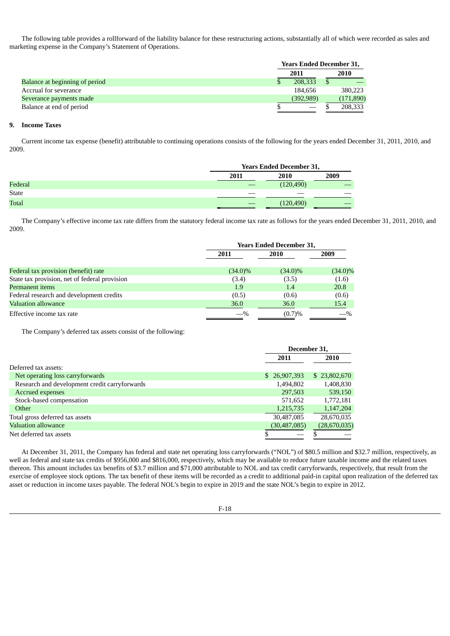The following table provides a rollforward of the liability balance for these restructuring actions, substantially all of which were recorded as sales and marketing expense in the Company's Statement of Operations.

|                                | <b>Years Ended December 31,</b> |  |           |
|--------------------------------|---------------------------------|--|-----------|
|                                | 2011                            |  | 2010      |
| Balance at beginning of period | 208,333                         |  |           |
| Accrual for severance          | 184.656                         |  | 380,223   |
| Severance payments made        | (392, 989)                      |  | (171,890) |
| Balance at end of period       |                                 |  | 208,333   |

# **9. Income Taxes**

Current income tax expense (benefit) attributable to continuing operations consists of the following for the years ended December 31, 2011, 2010, and 2009.

|              |      | <b>Years Ended December 31,</b> |      |  |  |
|--------------|------|---------------------------------|------|--|--|
|              | 2011 | 2010                            | 2009 |  |  |
| Federal      |      | (120, 490)                      |      |  |  |
| <b>State</b> |      |                                 |      |  |  |
| <b>Total</b> |      | (120, 490)                      |      |  |  |

The Company's effective income tax rate differs from the statutory federal income tax rate as follows for the years ended December 31, 2011, 2010, and 2009.

|                                               | <b>Years Ended December 31,</b> |            |            |  |
|-----------------------------------------------|---------------------------------|------------|------------|--|
|                                               | 2011                            | 2010       | 2009       |  |
| Federal tax provision (benefit) rate          | $(34.0)\%$                      | $(34.0)\%$ | $(34.0)\%$ |  |
| State tax provision, net of federal provision | (3.4)                           | (3.5)      | (1.6)      |  |
| Permanent items                               | 1.9                             | 1.4        | 20.8       |  |
| Federal research and development credits      | (0.5)                           | (0.6)      | (0.6)      |  |
| Valuation allowance                           | 36.0                            | 36.0       | 15.4       |  |
| Effective income tax rate                     | $-$ %                           | (0.7)%     | $-$ %      |  |

The Company's deferred tax assets consist of the following:

|                                               | December 31,   |              |  |
|-----------------------------------------------|----------------|--------------|--|
|                                               | 2011           | 2010         |  |
| Deferred tax assets:                          |                |              |  |
| Net operating loss carryforwards              | \$26,907,393   | \$23,802,670 |  |
| Research and development credit carryforwards | 1,494,802      | 1,408,830    |  |
| <b>Accrued expenses</b>                       | 297,503        | 539,150      |  |
| Stock-based compensation                      | 571,652        | 1,772,181    |  |
| Other                                         | 1,215,735      | 1,147,204    |  |
| Total gross deferred tax assets               | 30,487,085     | 28,670,035   |  |
| <b>Valuation allowance</b>                    | (30, 487, 085) | (28,670,035) |  |
| Net deferred tax assets                       |                |              |  |

At December 31, 2011, the Company has federal and state net operating loss carryforwards ("NOL") of \$80.5 million and \$32.7 million, respectively, as well as federal and state tax credits of \$956,000 and \$816,000, respectively, which may be available to reduce future taxable income and the related taxes thereon. This amount includes tax benefits of \$3.7 million and \$71,000 attributable to NOL and tax credit carryforwards, respectively, that result from the exercise of employee stock options. The tax benefit of these items will be recorded as a credit to additional paid-in capital upon realization of the deferred tax asset or reduction in income taxes payable. The federal NOL's begin to expire in 2019 and the state NOL's begin to expire in 2012.

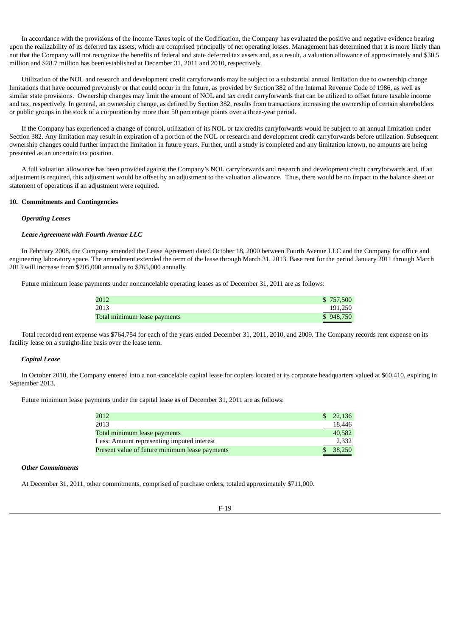In accordance with the provisions of the Income Taxes topic of the Codification, the Company has evaluated the positive and negative evidence bearing upon the realizability of its deferred tax assets, which are comprised principally of net operating losses. Management has determined that it is more likely than not that the Company will not recognize the benefits of federal and state deferred tax assets and, as a result, a valuation allowance of approximately and \$30.5 million and \$28.7 million has been established at December 31, 2011 and 2010, respectively.

Utilization of the NOL and research and development credit carryforwards may be subject to a substantial annual limitation due to ownership change limitations that have occurred previously or that could occur in the future, as provided by Section 382 of the Internal Revenue Code of 1986, as well as similar state provisions. Ownership changes may limit the amount of NOL and tax credit carryforwards that can be utilized to offset future taxable income and tax, respectively. In general, an ownership change, as defined by Section 382, results from transactions increasing the ownership of certain shareholders or public groups in the stock of a corporation by more than 50 percentage points over a three-year period.

If the Company has experienced a change of control, utilization of its NOL or tax credits carryforwards would be subject to an annual limitation under Section 382. Any limitation may result in expiration of a portion of the NOL or research and development credit carryforwards before utilization. Subsequent ownership changes could further impact the limitation in future years. Further, until a study is completed and any limitation known, no amounts are being presented as an uncertain tax position.

A full valuation allowance has been provided against the Company's NOL carryforwards and research and development credit carryforwards and, if an adjustment is required, this adjustment would be offset by an adjustment to the valuation allowance. Thus, there would be no impact to the balance sheet or statement of operations if an adjustment were required.

# **10. Commitments and Contingencies**

#### *Operating Leases*

## *Lease Agreement with Fourth Avenue LLC*

In February 2008, the Company amended the Lease Agreement dated October 18, 2000 between Fourth Avenue LLC and the Company for office and engineering laboratory space. The amendment extended the term of the lease through March 31, 2013. Base rent for the period January 2011 through March 2013 will increase from \$705,000 annually to \$765,000 annually.

Future minimum lease payments under noncancelable operating leases as of December 31, 2011 are as follows:

| 2012                         | \$757,500 |
|------------------------------|-----------|
| 2013                         | 191.250   |
| Total minimum lease payments | \$948,750 |

Total recorded rent expense was \$764,754 for each of the years ended December 31, 2011, 2010, and 2009. The Company records rent expense on its facility lease on a straight-line basis over the lease term.

# *Capital Lease*

In October 2010, the Company entered into a non-cancelable capital lease for copiers located at its corporate headquarters valued at \$60,410, expiring in September 2013.

Future minimum lease payments under the capital lease as of December 31, 2011 are as follows:

| 2012                                           | S | 22,136 |
|------------------------------------------------|---|--------|
| 2013                                           |   | 18,446 |
| Total minimum lease payments                   |   | 40,582 |
| Less: Amount representing imputed interest     |   | 2,332  |
| Present value of future minimum lease payments |   | 38,250 |

#### *Other Commitments*

At December 31, 2011, other commitments, comprised of purchase orders, totaled approximately \$711,000.

F-19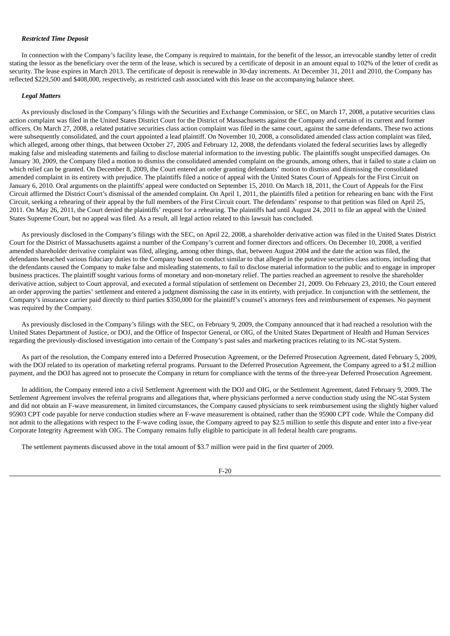# *Restricted Time Deposit*

In connection with the Company's facility lease, the Company is required to maintain, for the benefit of the lessor, an irrevocable standby letter of credit stating the lessor as the beneficiary over the term of the lease, which is secured by a certificate of deposit in an amount equal to 102% of the letter of credit as security. The lease expires in March 2013. The certificate of deposit is renewable in 30-day increments. At December 31, 2011 and 2010, the Company has reflected \$229,500 and \$408,000, respectively, as restricted cash associated with this lease on the accompanying balance sheet.

#### *Legal Matters*

As previously disclosed in the Company's filings with the Securities and Exchange Commission, or SEC, on March 17, 2008, a putative securities class action complaint was filed in the United States District Court for the District of Massachusetts against the Company and certain of its current and former officers. On March 27, 2008, a related putative securities class action complaint was filed in the same court, against the same defendants. These two actions were subsequently consolidated, and the court appointed a lead plaintiff. On November 10, 2008, a consolidated amended class action complaint was filed, which alleged, among other things, that between October 27, 2005 and February 12, 2008, the defendants violated the federal securities laws by allegedly making false and misleading statements and failing to disclose material information to the investing public. The plaintiffs sought unspecified damages. On January 30, 2009, the Company filed a motion to dismiss the consolidated amended complaint on the grounds, among others, that it failed to state a claim on which relief can be granted. On December 8, 2009, the Court entered an order granting defendants' motion to dismiss and dismissing the consolidated amended complaint in its entirety with prejudice. The plaintiffs filed a notice of appeal with the United States Court of Appeals for the First Circuit on January 6, 2010. Oral arguments on the plaintiffs' appeal were conducted on September 15, 2010. On March 18, 2011, the Court of Appeals for the First Circuit affirmed the District Court's dismissal of the amended complaint. On April 1, 2011, the plaintiffs filed a petition for rehearing en banc with the First Circuit, seeking a rehearing of their appeal by the full members of the First Circuit court. The defendants' response to that petition was filed on April 25, 2011. On May 26, 2011, the Court denied the plaintiffs' request for a rehearing. The plaintiffs had until August 24, 2011 to file an appeal with the United States Supreme Court, but no appeal was filed. As a result, all legal action related to this lawsuit has concluded.

As previously disclosed in the Company's filings with the SEC, on April 22, 2008, a shareholder derivative action was filed in the United States District Court for the District of Massachusetts against a number of the Company's current and former directors and officers. On December 10, 2008, a verified amended shareholder derivative complaint was filed, alleging, among other things, that, between August 2004 and the date the action was filed, the defendants breached various fiduciary duties to the Company based on conduct similar to that alleged in the putative securities class actions, including that the defendants caused the Company to make false and misleading statements, to fail to disclose material information to the public and to engage in improper business practices. The plaintiff sought various forms of monetary and non-monetary relief. The parties reached an agreement to resolve the shareholder derivative action, subject to Court approval, and executed a formal stipulation of settlement on December 21, 2009. On February 23, 2010, the Court entered an order approving the parties' settlement and entered a judgment dismissing the case in its entirety, with prejudice. In conjunction with the settlement, the Company's insurance carrier paid directly to third parties \$350,000 for the plaintiff's counsel's attorneys fees and reimbursement of expenses. No payment was required by the Company.

As previously disclosed in the Company's filings with the SEC, on February 9, 2009, the Company announced that it had reached a resolution with the United States Department of Justice, or DOJ, and the Office of Inspector General, or OIG, of the United States Department of Health and Human Services regarding the previously-disclosed investigation into certain of the Company's past sales and marketing practices relating to its NC-stat System.

As part of the resolution, the Company entered into a Deferred Prosecution Agreement, or the Deferred Prosecution Agreement, dated February 5, 2009, with the DOJ related to its operation of marketing referral programs. Pursuant to the Deferred Prosecution Agreement, the Company agreed to a \$1.2 million payment, and the DOJ has agreed not to prosecute the Company in return for compliance with the terms of the three-year Deferred Prosecution Agreement.

In addition, the Company entered into a civil Settlement Agreement with the DOJ and OIG, or the Settlement Agreement, dated February 9, 2009. The Settlement Agreement involves the referral programs and allegations that, where physicians performed a nerve conduction study using the NC-stat System and did not obtain an F-wave measurement, in limited circumstances, the Company caused physicians to seek reimbursement using the slightly higher valued 95903 CPT code payable for nerve conduction studies where an F-wave measurement is obtained, rather than the 95900 CPT code. While the Company did not admit to the allegations with respect to the F-wave coding issue, the Company agreed to pay \$2.5 million to settle this dispute and enter into a five-year Corporate Integrity Agreement with OIG. The Company remains fully eligible to participate in all federal health care programs.

The settlement payments discussed above in the total amount of \$3.7 million were paid in the first quarter of 2009.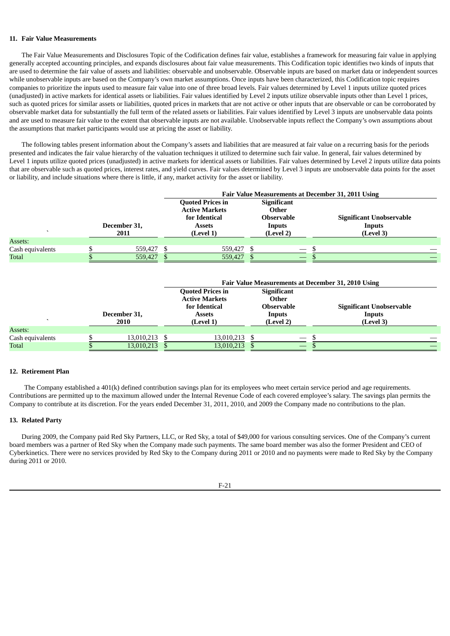### **11. Fair Value Measurements**

The Fair Value Measurements and Disclosures Topic of the Codification defines fair value, establishes a framework for measuring fair value in applying generally accepted accounting principles, and expands disclosures about fair value measurements. This Codification topic identifies two kinds of inputs that are used to determine the fair value of assets and liabilities: observable and unobservable. Observable inputs are based on market data or independent sources while unobservable inputs are based on the Company's own market assumptions. Once inputs have been characterized, this Codification topic requires companies to prioritize the inputs used to measure fair value into one of three broad levels. Fair values determined by Level 1 inputs utilize quoted prices (unadjusted) in active markets for identical assets or liabilities. Fair values identified by Level 2 inputs utilize observable inputs other than Level 1 prices, such as quoted prices for similar assets or liabilities, quoted prices in markets that are not active or other inputs that are observable or can be corroborated by observable market data for substantially the full term of the related assets or liabilities. Fair values identified by Level 3 inputs are unobservable data points and are used to measure fair value to the extent that observable inputs are not available. Unobservable inputs reflect the Company's own assumptions about the assumptions that market participants would use at pricing the asset or liability.

The following tables present information about the Company's assets and liabilities that are measured at fair value on a recurring basis for the periods presented and indicates the fair value hierarchy of the valuation techniques it utilized to determine such fair value. In general, fair values determined by Level 1 inputs utilize quoted prices (unadjusted) in active markets for identical assets or liabilities. Fair values determined by Level 2 inputs utilize data points that are observable such as quoted prices, interest rates, and yield curves. Fair values determined by Level 3 inputs are unobservable data points for the asset or liability, and include situations where there is little, if any, market activity for the asset or liability.

|                  |              | Fair Value Measurements at December 31, 2011 Using |  |                               |  |                                 |
|------------------|--------------|----------------------------------------------------|--|-------------------------------|--|---------------------------------|
|                  |              | <b>Quoted Prices in</b>                            |  | <b>Significant</b>            |  |                                 |
|                  |              | <b>Active Markets</b>                              |  | Other                         |  |                                 |
|                  |              | for Identical                                      |  | <b>Observable</b>             |  | <b>Significant Unobservable</b> |
|                  | December 31, | <b>Assets</b>                                      |  | Inputs                        |  | Inputs                          |
|                  | 2011         | (Level 1)                                          |  | (Level 2)                     |  | (Level 3)                       |
| Assets:          |              |                                                    |  |                               |  |                                 |
| Cash equivalents | 559,427      | 559,427                                            |  | $\overline{\phantom{m}}$      |  |                                 |
| <b>Total</b>     | 559,427      | 559,427                                            |  | $\overbrace{\phantom{aaaaa}}$ |  |                                 |
|                  |              |                                                    |  |                               |  |                                 |

|                  |              | Fair Value Measurements at December 31, 2010 Using |  |                                 |  |                                 |  |
|------------------|--------------|----------------------------------------------------|--|---------------------------------|--|---------------------------------|--|
|                  |              | <b>Quoted Prices in</b>                            |  | <b>Significant</b>              |  |                                 |  |
|                  |              | <b>Active Markets</b>                              |  | Other                           |  |                                 |  |
|                  |              | for Identical                                      |  | <b>Observable</b>               |  | <b>Significant Unobservable</b> |  |
|                  | December 31, | <b>Assets</b>                                      |  | <b>Inputs</b>                   |  | Inputs                          |  |
|                  | 2010         | (Level 1)                                          |  | (Level 2)                       |  | (Level 3)                       |  |
| Assets:          |              |                                                    |  |                                 |  |                                 |  |
| Cash equivalents | 13,010,213   | 13,010,213                                         |  | $\hspace{0.1mm}-\hspace{0.1mm}$ |  |                                 |  |
| Total            | 13,010,213   | 13,010,213                                         |  | $\overline{\phantom{m}}$        |  |                                 |  |

# **12. Retirement Plan**

The Company established a 401(k) defined contribution savings plan for its employees who meet certain service period and age requirements. Contributions are permitted up to the maximum allowed under the Internal Revenue Code of each covered employee's salary. The savings plan permits the Company to contribute at its discretion. For the years ended December 31, 2011, 2010, and 2009 the Company made no contributions to the plan.

# **13. Related Party**

During 2009, the Company paid Red Sky Partners, LLC, or Red Sky, a total of \$49,000 for various consulting services. One of the Company's current board members was a partner of Red Sky when the Company made such payments. The same board member was also the former President and CEO of Cyberkinetics. There were no services provided by Red Sky to the Company during 2011 or 2010 and no payments were made to Red Sky by the Company during 2011 or 2010.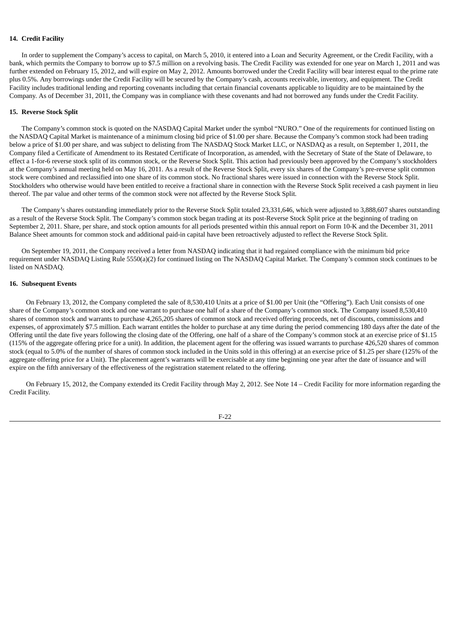# **14. Credit Facility**

In order to supplement the Company's access to capital, on March 5, 2010, it entered into a Loan and Security Agreement, or the Credit Facility, with a bank, which permits the Company to borrow up to \$7.5 million on a revolving basis. The Credit Facility was extended for one year on March 1, 2011 and was further extended on February 15, 2012, and will expire on May 2, 2012. Amounts borrowed under the Credit Facility will bear interest equal to the prime rate plus 0.5%. Any borrowings under the Credit Facility will be secured by the Company's cash, accounts receivable, inventory, and equipment. The Credit Facility includes traditional lending and reporting covenants including that certain financial covenants applicable to liquidity are to be maintained by the Company. As of December 31, 2011, the Company was in compliance with these covenants and had not borrowed any funds under the Credit Facility.

### **15. Reverse Stock Split**

The Company's common stock is quoted on the NASDAQ Capital Market under the symbol "NURO." One of the requirements for continued listing on the NASDAQ Capital Market is maintenance of a minimum closing bid price of \$1.00 per share. Because the Company's common stock had been trading below a price of \$1.00 per share, and was subject to delisting from The NASDAQ Stock Market LLC, or NASDAQ as a result, on September 1, 2011, the Company filed a Certificate of Amendment to its Restated Certificate of Incorporation, as amended, with the Secretary of State of the State of Delaware, to effect a 1-for-6 reverse stock split of its common stock, or the Reverse Stock Split. This action had previously been approved by the Company's stockholders at the Company's annual meeting held on May 16, 2011. As a result of the Reverse Stock Split, every six shares of the Company's pre-reverse split common stock were combined and reclassified into one share of its common stock. No fractional shares were issued in connection with the Reverse Stock Split. Stockholders who otherwise would have been entitled to receive a fractional share in connection with the Reverse Stock Split received a cash payment in lieu thereof. The par value and other terms of the common stock were not affected by the Reverse Stock Split.

The Company's shares outstanding immediately prior to the Reverse Stock Split totaled 23,331,646, which were adjusted to 3,888,607 shares outstanding as a result of the Reverse Stock Split. The Company's common stock began trading at its post-Reverse Stock Split price at the beginning of trading on September 2, 2011. Share, per share, and stock option amounts for all periods presented within this annual report on Form 10-K and the December 31, 2011 Balance Sheet amounts for common stock and additional paid-in capital have been retroactively adjusted to reflect the Reverse Stock Split.

On September 19, 2011, the Company received a letter from NASDAQ indicating that it had regained compliance with the minimum bid price requirement under NASDAQ Listing Rule 5550(a)(2) for continued listing on The NASDAQ Capital Market. The Company's common stock continues to be listed on NASDAQ.

#### **16. Subsequent Events**

On February 13, 2012, the Company completed the sale of 8,530,410 Units at a price of \$1.00 per Unit (the "Offering"). Each Unit consists of one share of the Company's common stock and one warrant to purchase one half of a share of the Company's common stock. The Company issued 8,530,410 shares of common stock and warrants to purchase 4,265,205 shares of common stock and received offering proceeds, net of discounts, commissions and expenses, of approximately \$7.5 million. Each warrant entitles the holder to purchase at any time during the period commencing 180 days after the date of the Offering until the date five years following the closing date of the Offering, one half of a share of the Company's common stock at an exercise price of \$1.15 (115% of the aggregate offering price for a unit). In addition, the placement agent for the offering was issued warrants to purchase 426,520 shares of common stock (equal to 5.0% of the number of shares of common stock included in the Units sold in this offering) at an exercise price of \$1.25 per share (125% of the aggregate offering price for a Unit). The placement agent's warrants will be exercisable at any time beginning one year after the date of issuance and will expire on the fifth anniversary of the effectiveness of the registration statement related to the offering.

On February 15, 2012, the Company extended its Credit Facility through May 2, 2012. See Note 14 – Credit Facility for more information regarding the Credit Facility.

F-22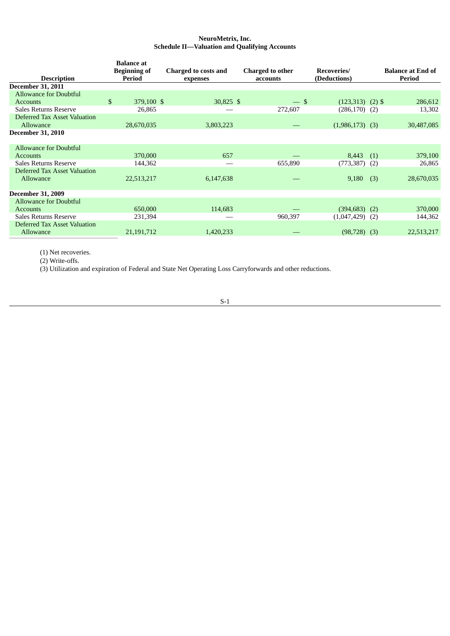# **NeuroMetrix, Inc. Schedule II—Valuation and Qualifying Accounts**

| <b>Description</b>                               | <b>Balance</b> at<br><b>Beginning of</b><br>Period | Charged to costs and<br>expenses | <b>Charged to other</b><br>accounts | <b>Recoveries</b> /<br>(Deductions) | <b>Balance at End of</b><br>Period |
|--------------------------------------------------|----------------------------------------------------|----------------------------------|-------------------------------------|-------------------------------------|------------------------------------|
| <b>December 31, 2011</b>                         |                                                    |                                  |                                     |                                     |                                    |
| <b>Allowance for Doubtful</b>                    |                                                    |                                  |                                     |                                     |                                    |
| <b>Accounts</b>                                  | $\mathbb{S}$<br>379,100 \$                         | 30,825 \$                        | $-$ \$                              | $(123,313)$ $(2)$ \$                | 286,612                            |
| Sales Returns Reserve                            | 26,865                                             |                                  | 272,607                             | $(286, 170)$ (2)                    | 13,302                             |
| Deferred Tax Asset Valuation                     |                                                    |                                  |                                     |                                     |                                    |
| Allowance                                        | 28,670,035                                         | 3,803,223                        |                                     | $(1,986,173)$ (3)                   | 30,487,085                         |
| <b>December 31, 2010</b>                         |                                                    |                                  |                                     |                                     |                                    |
| <b>Allowance for Doubtful</b>                    |                                                    |                                  |                                     |                                     |                                    |
| <b>Accounts</b>                                  | 370,000                                            | 657                              |                                     | 8,443                               | 379,100<br>(1)                     |
| Sales Returns Reserve                            | 144,362                                            |                                  | 655,890                             | (773, 387)                          | (2)<br>26,865                      |
| <b>Deferred Tax Asset Valuation</b><br>Allowance | 22,513,217                                         | 6,147,638                        |                                     | 9,180                               | 28,670,035<br>(3)                  |
| <b>December 31, 2009</b>                         |                                                    |                                  |                                     |                                     |                                    |
| <b>Allowance for Doubtful</b>                    |                                                    |                                  |                                     |                                     |                                    |
| <b>Accounts</b>                                  | 650,000                                            | 114,683                          |                                     | $(394, 683)$ $(2)$                  | 370,000                            |
| Sales Returns Reserve                            | 231,394                                            |                                  | 960,397                             | (1,047,429)                         | (2)<br>144,362                     |
| <b>Deferred Tax Asset Valuation</b>              |                                                    |                                  |                                     |                                     |                                    |
| Allowance                                        | 21, 191, 712                                       | 1,420,233                        |                                     | (98, 728)                           | 22,513,217<br>(3)                  |

(1) Net recoveries.

(2) Write-offs.

(3) Utilization and expiration of Federal and State Net Operating Loss Carryforwards and other reductions.

S-1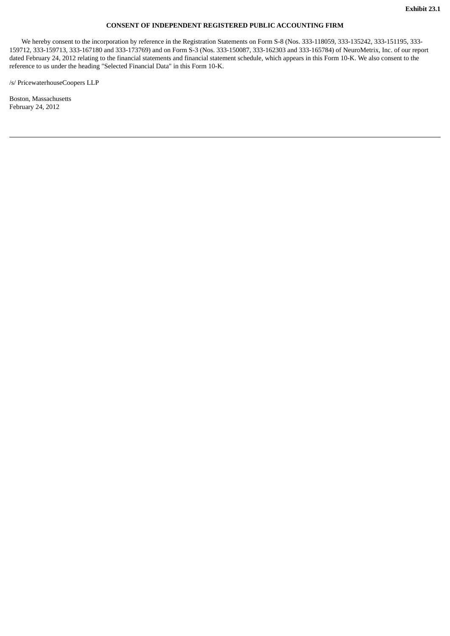# **CONSENT OF INDEPENDENT REGISTERED PUBLIC ACCOUNTING FIRM**

We hereby consent to the incorporation by reference in the Registration Statements on Form S-8 (Nos. 333-118059, 333-135242, 333-151195, 333- 159712, 333-159713, 333-167180 and 333-173769) and on Form S-3 (Nos. 333-150087, 333-162303 and 333-165784) of NeuroMetrix, Inc. of our report dated February 24, 2012 relating to the financial statements and financial statement schedule, which appears in this Form 10-K. We also consent to the reference to us under the heading "Selected Financial Data" in this Form 10-K.

/s/ PricewaterhouseCoopers LLP

Boston, Massachusetts February 24, 2012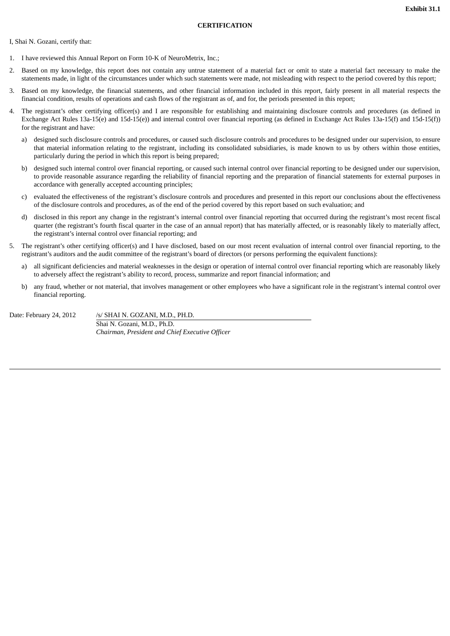I, Shai N. Gozani, certify that:

- 1. I have reviewed this Annual Report on Form 10-K of NeuroMetrix, Inc.;
- 2. Based on my knowledge, this report does not contain any untrue statement of a material fact or omit to state a material fact necessary to make the statements made, in light of the circumstances under which such statements were made, not misleading with respect to the period covered by this report;
- 3. Based on my knowledge, the financial statements, and other financial information included in this report, fairly present in all material respects the financial condition, results of operations and cash flows of the registrant as of, and for, the periods presented in this report;
- 4. The registrant's other certifying officer(s) and I are responsible for establishing and maintaining disclosure controls and procedures (as defined in Exchange Act Rules 13a-15(e) and 15d-15(e)) and internal control over financial reporting (as defined in Exchange Act Rules 13a-15(f) and 15d-15(f)) for the registrant and have:
	- a) designed such disclosure controls and procedures, or caused such disclosure controls and procedures to be designed under our supervision, to ensure that material information relating to the registrant, including its consolidated subsidiaries, is made known to us by others within those entities, particularly during the period in which this report is being prepared;
	- b) designed such internal control over financial reporting, or caused such internal control over financial reporting to be designed under our supervision, to provide reasonable assurance regarding the reliability of financial reporting and the preparation of financial statements for external purposes in accordance with generally accepted accounting principles;
	- c) evaluated the effectiveness of the registrant's disclosure controls and procedures and presented in this report our conclusions about the effectiveness of the disclosure controls and procedures, as of the end of the period covered by this report based on such evaluation; and
	- d) disclosed in this report any change in the registrant's internal control over financial reporting that occurred during the registrant's most recent fiscal quarter (the registrant's fourth fiscal quarter in the case of an annual report) that has materially affected, or is reasonably likely to materially affect, the registrant's internal control over financial reporting; and
- 5. The registrant's other certifying officer(s) and I have disclosed, based on our most recent evaluation of internal control over financial reporting, to the registrant's auditors and the audit committee of the registrant's board of directors (or persons performing the equivalent functions):
	- a) all significant deficiencies and material weaknesses in the design or operation of internal control over financial reporting which are reasonably likely to adversely affect the registrant's ability to record, process, summarize and report financial information; and
	- b) any fraud, whether or not material, that involves management or other employees who have a significant role in the registrant's internal control over financial reporting.

Date: February 24, 2012 /s/ SHAI N. GOZANI, M.D., PH.D. Shai N. Gozani, M.D., Ph.D. *Chairman, President and Chief Executive Officer*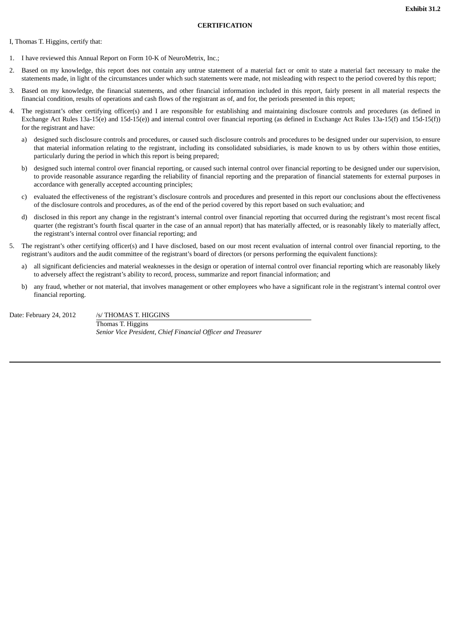### I, Thomas T. Higgins, certify that:

- 1. I have reviewed this Annual Report on Form 10-K of NeuroMetrix, Inc.;
- 2. Based on my knowledge, this report does not contain any untrue statement of a material fact or omit to state a material fact necessary to make the statements made, in light of the circumstances under which such statements were made, not misleading with respect to the period covered by this report;
- 3. Based on my knowledge, the financial statements, and other financial information included in this report, fairly present in all material respects the financial condition, results of operations and cash flows of the registrant as of, and for, the periods presented in this report;
- 4. The registrant's other certifying officer(s) and I are responsible for establishing and maintaining disclosure controls and procedures (as defined in Exchange Act Rules 13a-15(e) and 15d-15(e)) and internal control over financial reporting (as defined in Exchange Act Rules 13a-15(f) and 15d-15(f)) for the registrant and have:
	- a) designed such disclosure controls and procedures, or caused such disclosure controls and procedures to be designed under our supervision, to ensure that material information relating to the registrant, including its consolidated subsidiaries, is made known to us by others within those entities, particularly during the period in which this report is being prepared;
	- b) designed such internal control over financial reporting, or caused such internal control over financial reporting to be designed under our supervision, to provide reasonable assurance regarding the reliability of financial reporting and the preparation of financial statements for external purposes in accordance with generally accepted accounting principles;
	- c) evaluated the effectiveness of the registrant's disclosure controls and procedures and presented in this report our conclusions about the effectiveness of the disclosure controls and procedures, as of the end of the period covered by this report based on such evaluation; and
	- d) disclosed in this report any change in the registrant's internal control over financial reporting that occurred during the registrant's most recent fiscal quarter (the registrant's fourth fiscal quarter in the case of an annual report) that has materially affected, or is reasonably likely to materially affect, the registrant's internal control over financial reporting; and
- 5. The registrant's other certifying officer(s) and I have disclosed, based on our most recent evaluation of internal control over financial reporting, to the registrant's auditors and the audit committee of the registrant's board of directors (or persons performing the equivalent functions):
	- a) all significant deficiencies and material weaknesses in the design or operation of internal control over financial reporting which are reasonably likely to adversely affect the registrant's ability to record, process, summarize and report financial information; and
	- b) any fraud, whether or not material, that involves management or other employees who have a significant role in the registrant's internal control over financial reporting.

Date: February 24, 2012 /s/ THOMAS T. HIGGINS Thomas T. Higgins *Senior Vice President, Chief Financial Officer and Treasurer*